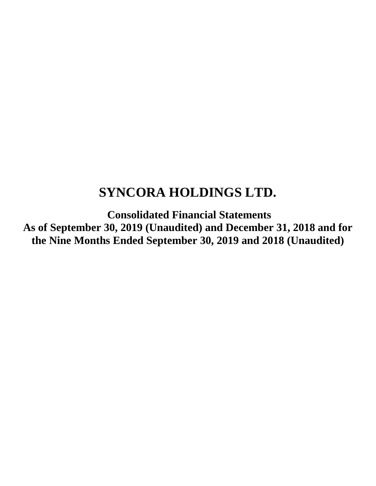# **SYNCORA HOLDINGS LTD.**

**Consolidated Financial Statements As of September 30, 2019 (Unaudited) and December 31, 2018 and for the Nine Months Ended September 30, 2019 and 2018 (Unaudited)**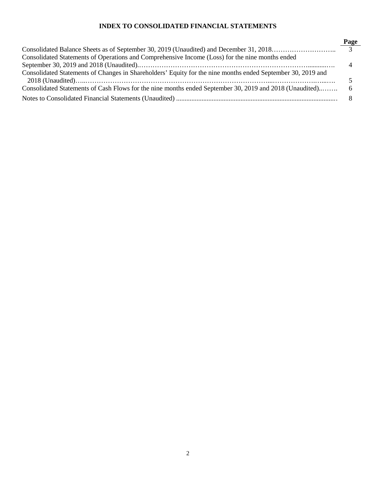# **INDEX TO CONSOLIDATED FINANCIAL STATEMENTS**

| Consolidated Statements of Operations and Comprehensive Income (Loss) for the nine months ended             |  |
|-------------------------------------------------------------------------------------------------------------|--|
|                                                                                                             |  |
| Consolidated Statements of Changes in Shareholders' Equity for the nine months ended September 30, 2019 and |  |
|                                                                                                             |  |
| Consolidated Statements of Cash Flows for the nine months ended September 30, 2019 and 2018 (Unaudited) 6   |  |
|                                                                                                             |  |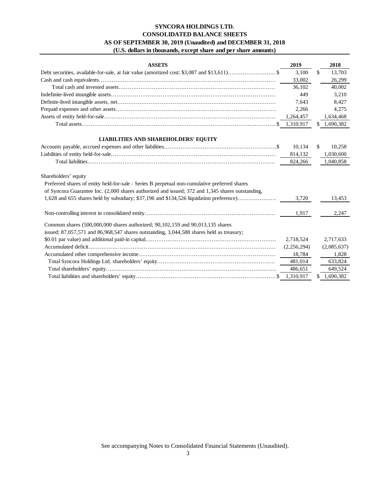# **SYNCORA HOLDINGS LTD. (U.S. dollars in thousands, except share and per share amounts) AS OF SEPTEMBER 30, 2019 (Unaudited) and DECEMBER 31, 2018 CONSOLIDATED BALANCE SHEETS**

| <b>ASSETS</b>                                                                                    | 2019        |     | 2018        |
|--------------------------------------------------------------------------------------------------|-------------|-----|-------------|
|                                                                                                  | 3,100       | \$. | 13,703      |
|                                                                                                  | 33,002      |     | 26,299      |
|                                                                                                  | 36.102      |     | 40,002      |
|                                                                                                  | 449         |     | 3,210       |
|                                                                                                  | 7,643       |     | 8,427       |
|                                                                                                  | 2,266       |     | 4,275       |
|                                                                                                  | 1,264,457   |     | 1,634,468   |
|                                                                                                  |             | \$  | 1,690,382   |
| <b>LIABILITIES AND SHAREHOLDERS' EQUITY</b>                                                      |             |     |             |
|                                                                                                  | 10,134      | \$. | 10,258      |
|                                                                                                  | 814,132     |     | 1,030,600   |
|                                                                                                  | 824,266     |     | 1,040,858   |
| Shareholders' equity                                                                             |             |     |             |
| Preferred shares of entity held-for-sale - Series B perpetual non-cumulative preferred shares    |             |     |             |
| of Syncora Guarantee Inc. (2,000 shares authorized and issued; 372 and 1,345 shares outstanding, |             |     |             |
| 1,628 and 655 shares held by subsidiary; \$37,196 and \$134,526 liquidation preference)          | 3.720       |     | 13,453      |
|                                                                                                  | 1,917       |     | 2,247       |
| Common shares (500,000,000 shares authorized; 90,102,159 and 90,013,135 shares                   |             |     |             |
| issued; $87,057,571$ and $86,968,547$ shares outstanding, $3,044,588$ shares held as treasury;   |             |     |             |
|                                                                                                  | 2,718,524   |     | 2,717,633   |
|                                                                                                  | (2,256,294) |     | (2,085,637) |
|                                                                                                  | 18,784      |     | 1,828       |
|                                                                                                  | 481,014     |     | 633,824     |
|                                                                                                  | 486,651     |     | 649,524     |
|                                                                                                  | 1,310,917   | S   | 1,690,382   |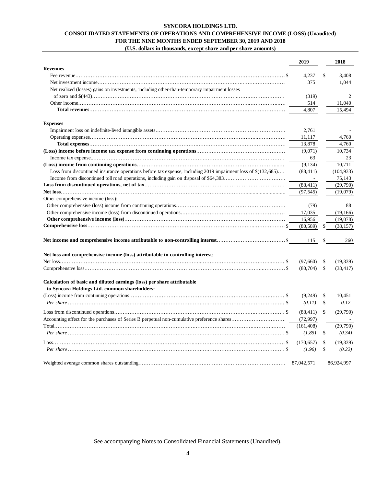# **SYNCORA HOLDINGS LTD. CONSOLIDATED STATEMENTS OF OPERATIONS AND COMPREHENSIVE INCOME (LOSS) (Unaudited) FOR THE NINE MONTHS ENDED SEPTEMBER 30, 2019 AND 2018 (U.S. dollars in thousands, except share and per share amounts)**

|                                                                                                               | 2019       |              | 2018       |
|---------------------------------------------------------------------------------------------------------------|------------|--------------|------------|
| <b>Revenues</b>                                                                                               |            |              |            |
|                                                                                                               | 4.237      | \$           | 3,408      |
|                                                                                                               | 375        |              | 1,044      |
| Net realized (losses) gains on investments, including other-than-temporary impairment losses                  |            |              |            |
|                                                                                                               | (319)      |              | 2          |
|                                                                                                               | 514        |              | 11,040     |
|                                                                                                               | 4,807      |              | 15,494     |
| <b>Expenses</b>                                                                                               |            |              |            |
|                                                                                                               | 2,761      |              |            |
|                                                                                                               | 11,117     |              | 4.760      |
|                                                                                                               | 13,878     |              | 4,760      |
|                                                                                                               | (9,071)    |              | 10.734     |
|                                                                                                               | 63         |              | 23         |
|                                                                                                               | (9.134)    |              | 10.711     |
| Loss from discontinued insurance operations before tax expense, including 2019 impairment loss of \$(132,685) | (88, 411)  |              | (104, 933) |
|                                                                                                               | $\sim$     |              | 75,143     |
|                                                                                                               | (88, 411)  |              | (29,790)   |
|                                                                                                               | (97, 545)  |              | (19,079)   |
| Other comprehensive income (loss):                                                                            |            |              |            |
|                                                                                                               | (79)       |              | 88         |
|                                                                                                               |            |              | (19, 166)  |
|                                                                                                               | 17,035     |              |            |
|                                                                                                               | 16,956     |              | (19,078)   |
|                                                                                                               | (80, 589)  | \$           | (38, 157)  |
|                                                                                                               | 115        | S            | 260        |
| Net loss and comprehensive income (loss) attributable to controlling interest:                                |            |              |            |
|                                                                                                               | (97,660)   | \$           | (19, 339)  |
|                                                                                                               | (80, 704)  | \$           | (38, 417)  |
| Calculation of basic and diluted earnings (loss) per share attributable                                       |            |              |            |
| to Syncora Holdings Ltd. common shareholders:                                                                 |            |              |            |
|                                                                                                               | (9,249)    | \$           | 10.451     |
|                                                                                                               | (0.11)     | \$           | 0.12       |
|                                                                                                               | (88, 411)  | $\mathbb{S}$ | (29,790)   |
|                                                                                                               | (72, 997)  |              |            |
|                                                                                                               | (161, 408) |              | (29,790)   |
|                                                                                                               | (1.85)     | \$           | (0.34)     |
|                                                                                                               |            |              |            |
|                                                                                                               | (170, 657) | \$           | (19, 339)  |
|                                                                                                               | (1.96)     | \$           | (0.22)     |
|                                                                                                               | 87.042.571 |              | 86,924,997 |

See accompanying Notes to Consolidated Financial Statements (Unaudited).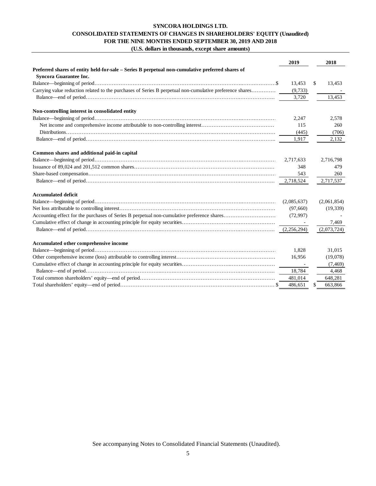# **SYNCORA HOLDINGS LTD. CONSOLIDATED STATEMENTS OF CHANGES IN SHAREHOLDERS' EQUITY (Unaudited) FOR THE NINE MONTHS ENDED SEPTEMBER 30, 2019 AND 2018 (U.S. dollars in thousands, except share amounts)**

|                                                                                                          | 2019                     | 2018         |
|----------------------------------------------------------------------------------------------------------|--------------------------|--------------|
| Preferred shares of entity held-for-sale - Series B perpetual non-cumulative preferred shares of         |                          |              |
| <b>Syncora Guarantee Inc.</b>                                                                            |                          |              |
|                                                                                                          | 13,453                   | \$<br>13,453 |
| Carrying value reduction related to the purchases of Series B perpetual non-cumulative preference shares | (9,733)                  |              |
|                                                                                                          | 3,720                    | 13,453       |
| Non-controlling interest in consolidated entity                                                          |                          |              |
|                                                                                                          | 2,247                    | 2,578        |
|                                                                                                          | 115                      | 260          |
|                                                                                                          | (445)                    | (706)        |
|                                                                                                          | 1,917                    | 2,132        |
| Common shares and additional paid-in capital                                                             |                          |              |
|                                                                                                          | 2,717,633                | 2,716,798    |
|                                                                                                          | 348                      | 479          |
|                                                                                                          | 543                      | 260          |
|                                                                                                          | 2,718,524                | 2,717,537    |
| <b>Accumulated deficit</b>                                                                               |                          |              |
|                                                                                                          | (2,085,637)              | (2,061,854)  |
|                                                                                                          | (97,660)                 | (19, 339)    |
|                                                                                                          | (72,997)                 |              |
|                                                                                                          |                          | 7,469        |
|                                                                                                          | (2,256,294)              | (2,073,724)  |
| Accumulated other comprehensive income                                                                   |                          |              |
|                                                                                                          | 1,828                    | 31,015       |
|                                                                                                          | 16,956                   | (19,078)     |
|                                                                                                          | <b>Contract Contract</b> | (7, 469)     |
|                                                                                                          | 18,784                   | 4,468        |
|                                                                                                          | 481,014                  | 648,281      |
|                                                                                                          | 486,651                  | 663,866      |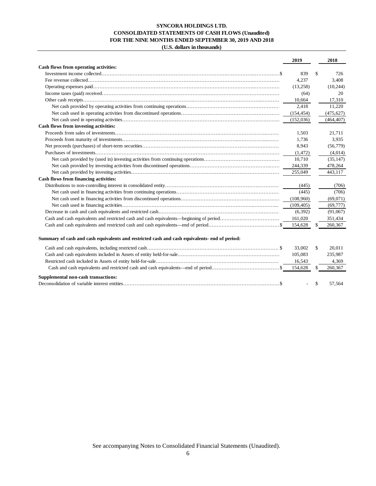## **SYNCORA HOLDINGS LTD. CONSOLIDATED STATEMENTS OF CASH FLOWS (Unaudited) FOR THE NINE MONTHS ENDED SEPTEMBER 30, 2019 AND 2018 (U.S. dollars in thousands)**

|                                                                                               | 2019       | 2018          |
|-----------------------------------------------------------------------------------------------|------------|---------------|
| Cash flows from operating activities:                                                         |            |               |
|                                                                                               | 839        | \$<br>726     |
|                                                                                               | 4.237      | 3.408         |
|                                                                                               | (13,258)   | (10, 244)     |
|                                                                                               | (64)       | 20            |
|                                                                                               | 10,664     | 17,310        |
|                                                                                               | 2,418      | 11,220        |
|                                                                                               | (154, 454) | (475, 627)    |
|                                                                                               | (152,036)  | (464, 407)    |
| Cash flows from investing activities:                                                         |            |               |
|                                                                                               | 1.503      | 21.711        |
|                                                                                               | 1.736      | 3,935         |
|                                                                                               | 8,943      | (56, 779)     |
|                                                                                               | (1, 472)   | (4,014)       |
|                                                                                               | 10,710     | (35, 147)     |
|                                                                                               | 244,339    | 478,264       |
|                                                                                               | 255,049    | 443,117       |
| Cash flows from financing activities:                                                         |            |               |
|                                                                                               | (445)      | (706)         |
|                                                                                               | (445)      | (706)         |
|                                                                                               | (108,960)  | (69,071)      |
|                                                                                               | (109, 405) | (69, 777)     |
|                                                                                               | (6, 392)   | (91,067)      |
|                                                                                               | 161,020    | 351,434       |
|                                                                                               | 154,628    | \$<br>260,367 |
| Summary of cash and cash equivalents and restricted cash and cash equivalents- end of period: |            |               |
|                                                                                               | 33.002     | \$<br>20.011  |
|                                                                                               | 105,083    | 235,987       |

|                                     | 16.543 | 4,369         |
|-------------------------------------|--------|---------------|
|                                     |        | 260,367       |
| Supplemental non-cash transactions: |        |               |
|                                     |        | $-$ \$ 57.564 |

See accompanying Notes to Consolidated Financial Statements (Unaudited).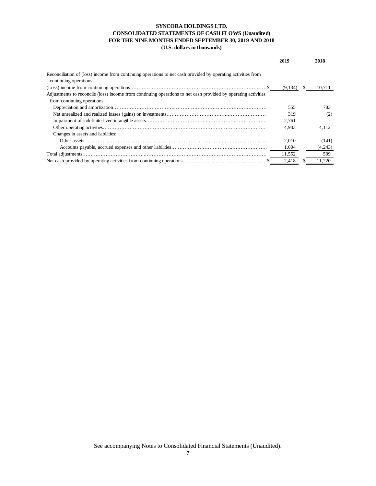# **SYNCORA HOLDINGS LTD. CONSOLIDATED STATEMENTS OF CASH FLOWS (Unaudited) FOR THE NINE MONTHS ENDED SEPTEMBER 30, 2019 AND 2018**

**(U.S. dollars in thousands)**

|                                                                                                                | 2019    |    | 2018    |
|----------------------------------------------------------------------------------------------------------------|---------|----|---------|
| Reconciliation of (loss) income from continuing operations to net cash provided by operating activities from   |         |    |         |
| continuing operations:                                                                                         |         |    |         |
|                                                                                                                | (9,134) | S. | 10.711  |
| Adjustments to reconcile (loss) income from continuing operations to net cash provided by operating activities |         |    |         |
| from continuing operations:                                                                                    |         |    |         |
|                                                                                                                | 555     |    | 783     |
|                                                                                                                | 319     |    | (2)     |
|                                                                                                                | 2,761   |    |         |
|                                                                                                                | 4.903   |    | 4.112   |
| Changes in assets and liabilities:                                                                             |         |    |         |
|                                                                                                                | 2.010   |    | (141)   |
|                                                                                                                | 1,004   |    | (4,243) |
|                                                                                                                | 11,552  |    | 509     |
|                                                                                                                | 2,418   |    | 11,220  |

See accompanying Notes to Consolidated Financial Statements (Unaudited).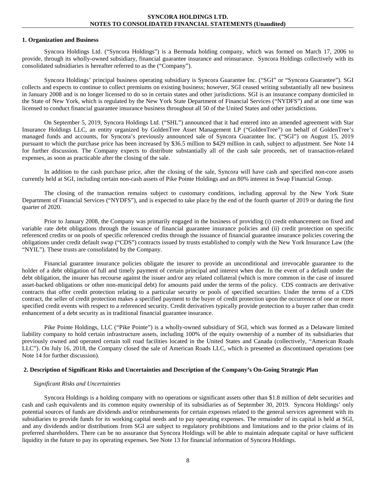#### **1. Organization and Business**

Syncora Holdings Ltd. ("Syncora Holdings") is a Bermuda holding company, which was formed on March 17, 2006 to provide, through its wholly-owned subsidiary, financial guarantee insurance and reinsurance. Syncora Holdings collectively with its consolidated subsidiaries is hereafter referred to as the ("Company").

Syncora Holdings' principal business operating subsidiary is Syncora Guarantee Inc. ("SGI" or "Syncora Guarantee"). SGI collects and expects to continue to collect premiums on existing business; however, SGI ceased writing substantially all new business in January 2008 and is no longer licensed to do so in certain states and other jurisdictions. SGI is an insurance company domiciled in the State of New York, which is regulated by the New York State Department of Financial Services ("NYDFS") and at one time was licensed to conduct financial guarantee insurance business throughout all 50 of the United States and other jurisdictions.

On September 5, 2019, Syncora Holdings Ltd. ("SHL") announced that it had entered into an amended agreement with Star Insurance Holdings LLC, an entity organized by GoldenTree Asset Management LP ("GoldenTree") on behalf of GoldenTree's managed funds and accounts, for Syncora's previously announced sale of Syncora Guarantee Inc. ("SGI") on August 15, 2019 pursuant to which the purchase price has been increased by \$36.5 million to \$429 million in cash, subject to adjustment. See Note 14 for further discussion. The Company expects to distribute substantially all of the cash sale proceeds, net of transaction-related expenses, as soon as practicable after the closing of the sale.

In addition to the cash purchase price, after the closing of the sale, Syncora will have cash and specified non-core assets currently held at SGI, including certain non-cash assets of Pike Pointe Holdings and an 80% interest in Swap Financial Group.

The closing of the transaction remains subject to customary conditions, including approval by the New York State Department of Financial Services ("NYDFS"), and is expected to take place by the end of the fourth quarter of 2019 or during the first quarter of 2020.

Prior to January 2008, the Company was primarily engaged in the business of providing (i) credit enhancement on fixed and variable rate debt obligations through the issuance of financial guarantee insurance policies and (ii) credit protection on specific referenced credits or on pools of specific referenced credits through the issuance of financial guarantee insurance policies covering the obligations under credit default swap ("CDS") contracts issued by trusts established to comply with the New York Insurance Law (the "NYIL"). These trusts are consolidated by the Company.

Financial guarantee insurance policies obligate the insurer to provide an unconditional and irrevocable guarantee to the holder of a debt obligation of full and timely payment of certain principal and interest when due. In the event of a default under the debt obligation, the insurer has recourse against the issuer and/or any related collateral (which is more common in the case of insured asset-backed obligations or other non-municipal debt) for amounts paid under the terms of the policy. CDS contracts are derivative contracts that offer credit protection relating to a particular security or pools of specified securities. Under the terms of a CDS contract, the seller of credit protection makes a specified payment to the buyer of credit protection upon the occurrence of one or more specified credit events with respect to a referenced security. Credit derivatives typically provide protection to a buyer rather than credit enhancement of a debt security as in traditional financial guarantee insurance.

Pike Pointe Holdings, LLC ("Pike Pointe") is a wholly-owned subsidiary of SGI, which was formed as a Delaware limited liability company to hold certain infrastructure assets, including 100% of the equity ownership of a number of its subsidiaries that previously owned and operated certain toll road facilities located in the United States and Canada (collectively, "American Roads LLC"). On July 16, 2018, the Company closed the sale of American Roads LLC, which is presented as discontinued operations (see Note 14 for further discussion).

#### **2. Description of Significant Risks and Uncertainties and Description of the Company's On-Going Strategic Plan**

#### *Significant Risks and Uncertainties*

Syncora Holdings is a holding company with no operations or significant assets other than \$1.8 million of debt securities and cash and cash equivalents and its common equity ownership of its subsidiaries as of September 30, 2019. Syncora Holdings' only potential sources of funds are dividends and/or reimbursements for certain expenses related to the general services agreement with its subsidiaries to provide funds for its working capital needs and to pay operating expenses. The remainder of its capital is held at SGI, and any dividends and/or distributions from SGI are subject to regulatory prohibitions and limitations and to the prior claims of its preferred shareholders. There can be no assurance that Syncora Holdings will be able to maintain adequate capital or have sufficient liquidity in the future to pay its operating expenses. See Note 13 for financial information of Syncora Holdings.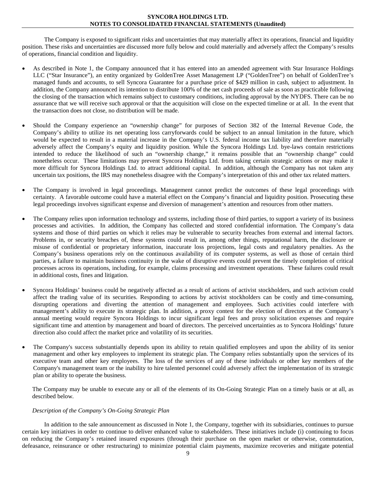The Company is exposed to significant risks and uncertainties that may materially affect its operations, financial and liquidity position. These risks and uncertainties are discussed more fully below and could materially and adversely affect the Company's results of operations, financial condition and liquidity.

- As described in Note 1, the Company announced that it has entered into an amended agreement with Star Insurance Holdings LLC ("Star Insurance"), an entity organized by GoldenTree Asset Management LP ("GoldenTree") on behalf of GoldenTree's managed funds and accounts, to sell Syncora Guarantee for a purchase price of \$429 million in cash, subject to adjustment. In addition, the Company announced its intention to distribute 100% of the net cash proceeds of sale as soon as practicable following the closing of the transaction which remains subject to customary conditions, including approval by the NYDFS. There can be no assurance that we will receive such approval or that the acquisition will close on the expected timeline or at all. In the event that the transaction does not close, no distribution will be made.
- Should the Company experience an "ownership change" for purposes of Section 382 of the Internal Revenue Code, the Company's ability to utilize its net operating loss carryforwards could be subject to an annual limitation in the future, which would be expected to result in a material increase in the Company's U.S. federal income tax liability and therefore materially adversely affect the Company's equity and liquidity position. While the Syncora Holdings Ltd. bye-laws contain restrictions intended to reduce the likelihood of such an "ownership change," it remains possible that an "ownership change" could nonetheless occur. These limitations may prevent Syncora Holdings Ltd. from taking certain strategic actions or may make it more difficult for Syncora Holdings Ltd. to attract additional capital. In addition, although the Company has not taken any uncertain tax positions, the IRS may nonetheless disagree with the Company's interpretation of this and other tax related matters.
- The Company is involved in legal proceedings. Management cannot predict the outcomes of these legal proceedings with certainty. A favorable outcome could have a material effect on the Company's financial and liquidity position. Prosecuting these legal proceedings involves significant expense and diversion of management's attention and resources from other matters.
- The Company relies upon information technology and systems, including those of third parties, to support a variety of its business processes and activities. In addition, the Company has collected and stored confidential information. The Company's data systems and those of third parties on which it relies may be vulnerable to security breaches from external and internal factors. Problems in, or security breaches of, these systems could result in, among other things, reputational harm, the disclosure or misuse of confidential or proprietary information, inaccurate loss projections, legal costs and regulatory penalties. As the Company's business operations rely on the continuous availability of its computer systems, as well as those of certain third parties, a failure to maintain business continuity in the wake of disruptive events could prevent the timely completion of critical processes across its operations, including, for example, claims processing and investment operations. These failures could result in additional costs, fines and litigation.
- Syncora Holdings' business could be negatively affected as a result of actions of activist stockholders, and such activism could affect the trading value of its securities. Responding to actions by activist stockholders can be costly and time-consuming, disrupting operations and diverting the attention of management and employees. Such activities could interfere with management's ability to execute its strategic plan. In addition, a proxy contest for the election of directors at the Company's annual meeting would require Syncora Holdings to incur significant legal fees and proxy solicitation expenses and require significant time and attention by management and board of directors. The perceived uncertainties as to Syncora Holdings' future direction also could affect the market price and volatility of its securities.
- The Company's success substantially depends upon its ability to retain qualified employees and upon the ability of its senior management and other key employees to implement its strategic plan. The Company relies substantially upon the services of its executive team and other key employees. The loss of the services of any of these individuals or other key members of the Company's management team or the inability to hire talented personnel could adversely affect the implementation of its strategic plan or ability to operate the business.

The Company may be unable to execute any or all of the elements of its On-Going Strategic Plan on a timely basis or at all, as described below.

# *Description of the Company's On-Going Strategic Plan*

In addition to the sale announcement as discussed in Note 1, the Company, together with its subsidiaries, continues to pursue certain key initiatives in order to continue to deliver enhanced value to stakeholders. These initiatives include (i) continuing to focus on reducing the Company's retained insured exposures (through their purchase on the open market or otherwise, commutation, defeasance, reinsurance or other restructuring) to minimize potential claim payments, maximize recoveries and mitigate potential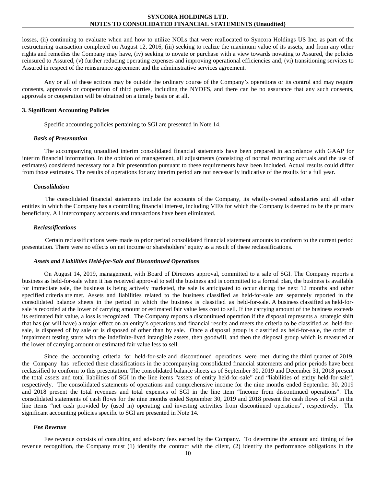losses, (ii) continuing to evaluate when and how to utilize NOLs that were reallocated to Syncora Holdings US Inc. as part of the restructuring transaction completed on August 12, 2016, (iii) seeking to realize the maximum value of its assets, and from any other rights and remedies the Company may have, (iv) seeking to novate or purchase with a view towards novating to Assured, the policies reinsured to Assured, (v) further reducing operating expenses and improving operational efficiencies and, (vi) transitioning services to Assured in respect of the reinsurance agreement and the administrative services agreement.

Any or all of these actions may be outside the ordinary course of the Company's operations or its control and may require consents, approvals or cooperation of third parties, including the NYDFS, and there can be no assurance that any such consents, approvals or cooperation will be obtained on a timely basis or at all.

#### **3. Significant Accounting Policies**

Specific accounting policies pertaining to SGI are presented in Note 14.

#### *Basis of Presentation*

The accompanying unaudited interim consolidated financial statements have been prepared in accordance with GAAP for interim financial information. In the opinion of management, all adjustments (consisting of normal recurring accruals and the use of estimates) considered necessary for a fair presentation pursuant to these requirements have been included. Actual results could differ from those estimates. The results of operations for any interim period are not necessarily indicative of the results for a full year.

#### *Consolidation*

The consolidated financial statements include the accounts of the Company, its wholly-owned subsidiaries and all other entities in which the Company has a controlling financial interest, including VIEs for which the Company is deemed to be the primary beneficiary. All intercompany accounts and transactions have been eliminated.

#### *Reclassifications*

Certain reclassifications were made to prior period consolidated financial statement amounts to conform to the current period presentation. There were no effects on net income or shareholders' equity as a result of these reclassifications.

#### *Assets and Liabilities Held-for-Sale and Discontinued Operations*

On August 14, 2019, management, with Board of Directors approval, committed to a sale of SGI. The Company reports a business as held-for-sale when it has received approval to sell the business and is committed to a formal plan, the business is available for immediate sale, the business is being actively marketed, the sale is anticipated to occur during the next 12 months and other specified criteria are met. Assets and liabilities related to the business classified as held-for-sale are separately reported in the consolidated balance sheets in the period in which the business is classified as held-for-sale. A business classified as held-forsale is recorded at the lower of carrying amount or estimated fair value less cost to sell. If the carrying amount of the business exceeds its estimated fair value, a loss is recognized. The Company reports a discontinued operation if the disposal represents a strategic shift that has (or will have) a major effect on an entity's operations and financial results and meets the criteria to be classified as held-forsale, is disposed of by sale or is disposed of other than by sale. Once a disposal group is classified as held-for-sale, the order of impairment testing starts with the indefinite-lived intangible assets, then goodwill, and then the disposal group which is measured at the lower of carrying amount or estimated fair value less to sell.

Since the accounting criteria for held-for-sale and discontinued operations were met during the third quarter of 2019, the Company has reflected these classifications in the accompanying consolidated financial statements and prior periods have been reclassified to conform to this presentation. The consolidated balance sheets as of September 30, 2019 and December 31, 2018 present the total assets and total liabilities of SGI in the line items "assets of entity held-for-sale" and "liabilities of entity held-for-sale", respectively. The consolidated statements of operations and comprehensive income for the nine months ended September 30, 2019 and 2018 present the total revenues and total expenses of SGI in the line item "Income from discontinued operations". The consolidated statements of cash flows for the nine months ended September 30, 2019 and 2018 present the cash flows of SGI in the line items "net cash provided by (used in) operating and investing activities from discontinued operations", respectively. The significant accounting policies specific to SGI are presented in Note 14.

#### *Fee Revenue*

Fee revenue consists of consulting and advisory fees earned by the Company. To determine the amount and timing of fee revenue recognition, the Company must (1) identify the contract with the client, (2) identify the performance obligations in the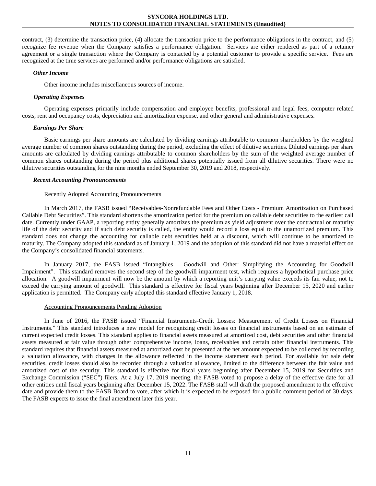contract, (3) determine the transaction price, (4) allocate the transaction price to the performance obligations in the contract, and (5) recognize fee revenue when the Company satisfies a performance obligation. Services are either rendered as part of a retainer agreement or a single transaction where the Company is contacted by a potential customer to provide a specific service. Fees are recognized at the time services are performed and/or performance obligations are satisfied.

#### *Other Income*

Other income includes miscellaneous sources of income.

# *Operating Expenses*

Operating expenses primarily include compensation and employee benefits, professional and legal fees, computer related costs, rent and occupancy costs, depreciation and amortization expense, and other general and administrative expenses.

## *Earnings Per Share*

Basic earnings per share amounts are calculated by dividing earnings attributable to common shareholders by the weighted average number of common shares outstanding during the period, excluding the effect of dilutive securities. Diluted earnings per share amounts are calculated by dividing earnings attributable to common shareholders by the sum of the weighted average number of common shares outstanding during the period plus additional shares potentially issued from all dilutive securities. There were no dilutive securities outstanding for the nine months ended September 30, 2019 and 2018, respectively.

## *Recent Accounting Pronouncements*

## Recently Adopted Accounting Pronouncements

In March 2017, the FASB issued "Receivables-Nonrefundable Fees and Other Costs - Premium Amortization on Purchased Callable Debt Securities". This standard shortens the amortization period for the premium on callable debt securities to the earliest call date. Currently under GAAP, a reporting entity generally amortizes the premium as yield adjustment over the contractual or maturity life of the debt security and if such debt security is called, the entity would record a loss equal to the unamortized premium. This standard does not change the accounting for callable debt securities held at a discount, which will continue to be amortized to maturity. The Company adopted this standard as of January 1, 2019 and the adoption of this standard did not have a material effect on the Company's consolidated financial statements.

In January 2017, the FASB issued "Intangibles – Goodwill and Other: Simplifying the Accounting for Goodwill Impairment". This standard removes the second step of the goodwill impairment test, which requires a hypothetical purchase price allocation. A goodwill impairment will now be the amount by which a reporting unit's carrying value exceeds its fair value, not to exceed the carrying amount of goodwill. This standard is effective for fiscal years beginning after December 15, 2020 and earlier application is permitted. The Company early adopted this standard effective January 1, 2018.

#### Accounting Pronouncements Pending Adoption

In June of 2016, the FASB issued "Financial Instruments-Credit Losses: Measurement of Credit Losses on Financial Instruments." This standard introduces a new model for recognizing credit losses on financial instruments based on an estimate of current expected credit losses. This standard applies to financial assets measured at amortized cost, debt securities and other financial assets measured at fair value through other comprehensive income, loans, receivables and certain other financial instruments. This standard requires that financial assets measured at amortized cost be presented at the net amount expected to be collected by recording a valuation allowance, with changes in the allowance reflected in the income statement each period. For available for sale debt securities, credit losses should also be recorded through a valuation allowance, limited to the difference between the fair value and amortized cost of the security. This standard is effective for fiscal years beginning after December 15, 2019 for Securities and Exchange Commission ("SEC") filers. At a July 17, 2019 meeting, the FASB voted to propose a delay of the effective date for all other entities until fiscal years beginning after December 15, 2022. The FASB staff will draft the proposed amendment to the effective date and provide them to the FASB Board to vote, after which it is expected to be exposed for a public comment period of 30 days. The FASB expects to issue the final amendment later this year.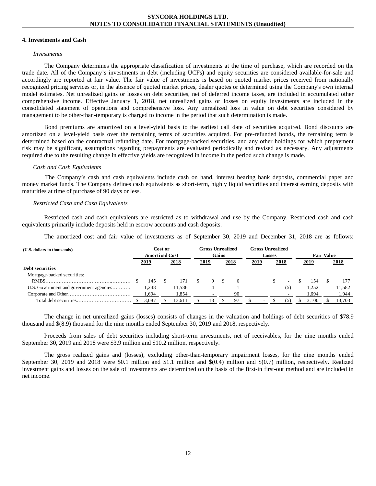#### **4. Investments and Cash**

#### *Investments*

The Company determines the appropriate classification of investments at the time of purchase, which are recorded on the trade date. All of the Company's investments in debt (including UCFs) and equity securities are considered available-for-sale and accordingly are reported at fair value. The fair value of investments is based on quoted market prices received from nationally recognized pricing services or, in the absence of quoted market prices, dealer quotes or determined using the Company's own internal model estimates. Net unrealized gains or losses on debt securities, net of deferred income taxes, are included in accumulated other comprehensive income. Effective January 1, 2018, net unrealized gains or losses on equity investments are included in the consolidated statement of operations and comprehensive loss. Any unrealized loss in value on debt securities considered by management to be other-than-temporary is charged to income in the period that such determination is made.

Bond premiums are amortized on a level-yield basis to the earliest call date of securities acquired. Bond discounts are amortized on a level-yield basis over the remaining terms of securities acquired. For pre-refunded bonds, the remaining term is determined based on the contractual refunding date. For mortgage-backed securities, and any other holdings for which prepayment risk may be significant, assumptions regarding prepayments are evaluated periodically and revised as necessary. Any adjustments required due to the resulting change in effective yields are recognized in income in the period such change is made.

#### *Cash and Cash Equivalents*

The Company's cash and cash equivalents include cash on hand, interest bearing bank deposits, commercial paper and money market funds. The Company defines cash equivalents as short-term, highly liquid securities and interest earning deposits with maturities at time of purchase of 90 days or less.

## *Restricted Cash and Cash Equivalents*

Restricted cash and cash equivalents are restricted as to withdrawal and use by the Company. Restricted cash and cash equivalents primarily include deposits held in escrow accounts and cash deposits.

The amortized cost and fair value of investments as of September 30, 2019 and December 31, 2018 are as follows:

| (U.S. dollars in thousands)             |                       | Cost or |        | <b>Gross Unrealized</b> |                        |      |              |   | <b>Gross Unrealized</b> |                          |       |                   |        |
|-----------------------------------------|-----------------------|---------|--------|-------------------------|------------------------|------|--------------|---|-------------------------|--------------------------|-------|-------------------|--------|
|                                         | <b>Amortized Cost</b> |         |        |                         | Gains<br><b>Losses</b> |      |              |   |                         |                          |       | <b>Fair Value</b> |        |
|                                         | <u>2019</u>           |         | 2018   | 2019                    |                        | 2018 | 2018<br>2019 |   | 2019                    |                          | 2018  |                   |        |
| Debt securities                         |                       |         |        |                         |                        |      |              |   |                         |                          |       |                   |        |
| Mortgage-backed securities:             |                       |         |        |                         |                        |      |              |   |                         |                          |       |                   |        |
|                                         | 145                   |         | 171    |                         |                        |      |              |   |                         | $\overline{\phantom{a}}$ | 154   |                   |        |
| U.S. Government and government agencies | 1,248                 |         | 11,586 |                         |                        |      |              |   |                         | (5)                      | 1.252 |                   | 11,582 |
|                                         | 1,694                 |         | 1.854  |                         |                        | 90   |              |   |                         |                          | .694  |                   | 1,944  |
|                                         | 3,087                 |         | 13.611 | 13                      |                        | 97   |              | ۰ |                         | (5)                      | 3.100 |                   | 13,703 |

The change in net unrealized gains (losses) consists of changes in the valuation and holdings of debt securities of \$78.9 thousand and \$(8.9) thousand for the nine months ended September 30, 2019 and 2018, respectively.

Proceeds from sales of debt securities including short-term investments, net of receivables, for the nine months ended September 30, 2019 and 2018 were \$3.9 million and \$10.2 million, respectively.

The gross realized gains and (losses), excluding other-than-temporary impairment losses, for the nine months ended September 30, 2019 and 2018 were \$0.1 million and \$1.1 million and \$(0.4) million and \$(0.7) million, respectively. Realized investment gains and losses on the sale of investments are determined on the basis of the first-in first-out method and are included in net income.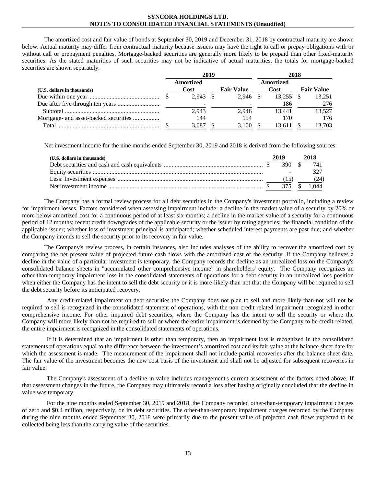The amortized cost and fair value of bonds at September 30, 2019 and December 31, 2018 by contractual maturity are shown below. Actual maturity may differ from contractual maturity because issuers may have the right to call or prepay obligations with or without call or prepayment penalties. Mortgage-backed securities are generally more likely to be prepaid than other fixed-maturity securities. As the stated maturities of such securities may not be indicative of actual maturities, the totals for mortgage-backed securities are shown separately.

|                             | 2019 |                     |  |                   |  | 2018        |  |                   |  |  |  |
|-----------------------------|------|---------------------|--|-------------------|--|-------------|--|-------------------|--|--|--|
|                             |      | Amortized           |  |                   |  | Amortized   |  |                   |  |  |  |
| (U.S. dollars in thousands) |      | Cost                |  | <b>Fair Value</b> |  | <b>Cost</b> |  | <b>Fair Value</b> |  |  |  |
|                             |      | $2.943 \text{ }$ \$ |  | 2.946 \$          |  | 13.255      |  | 13.251            |  |  |  |
|                             |      |                     |  |                   |  | 186         |  | 276               |  |  |  |
|                             |      | 2,943               |  | 2.946             |  | 13.441      |  | 13.527            |  |  |  |
|                             |      | 144                 |  | 154               |  | 170         |  | 176               |  |  |  |
| Total                       |      | 3.087               |  | 3.100             |  | 13.611      |  | 13.703            |  |  |  |

Net investment income for the nine months ended September 30, 2019 and 2018 is derived from the following sources:

| (U.S. dollars in thousands) | 2019   | 2018  |
|-----------------------------|--------|-------|
|                             |        | 741   |
|                             |        |       |
|                             |        | (24)  |
|                             | 375 \$ | 1.044 |

The Company has a formal review process for all debt securities in the Company's investment portfolio, including a review for impairment losses. Factors considered when assessing impairment include: a decline in the market value of a security by 20% or more below amortized cost for a continuous period of at least six months; a decline in the market value of a security for a continuous period of 12 months; recent credit downgrades of the applicable security or the issuer by rating agencies; the financial condition of the applicable issuer; whether loss of investment principal is anticipated; whether scheduled interest payments are past due; and whether the Company intends to sell the security prior to its recovery in fair value.

The Company's review process, in certain instances, also includes analyses of the ability to recover the amortized cost by comparing the net present value of projected future cash flows with the amortized cost of the security. If the Company believes a decline in the value of a particular investment is temporary, the Company records the decline as an unrealized loss on the Company's consolidated balance sheets in "accumulated other comprehensive income" in shareholders' equity. The Company recognizes an other-than-temporary impairment loss in the consolidated statements of operations for a debt security in an unrealized loss position when either the Company has the intent to sell the debt security or it is more-likely-than not that the Company will be required to sell the debt security before its anticipated recovery.

Any credit-related impairment on debt securities the Company does not plan to sell and more-likely-than-not will not be required to sell is recognized in the consolidated statement of operations, with the non-credit-related impairment recognized in other comprehensive income. For other impaired debt securities, where the Company has the intent to sell the security or where the Company will more-likely-than not be required to sell or where the entire impairment is deemed by the Company to be credit-related, the entire impairment is recognized in the consolidated statements of operations.

If it is determined that an impairment is other than temporary, then an impairment loss is recognized in the consolidated statements of operations equal to the difference between the investment's amortized cost and its fair value at the balance sheet date for which the assessment is made. The measurement of the impairment shall not include partial recoveries after the balance sheet date. The fair value of the investment becomes the new cost basis of the investment and shall not be adjusted for subsequent recoveries in fair value.

The Company's assessment of a decline in value includes management's current assessment of the factors noted above. If that assessment changes in the future, the Company may ultimately record a loss after having originally concluded that the decline in value was temporary.

For the nine months ended September 30, 2019 and 2018, the Company recorded other-than-temporary impairment charges of zero and \$0.4 million, respectively, on its debt securities. The other-than-temporary impairment charges recorded by the Company during the nine months ended September 30, 2018 were primarily due to the present value of projected cash flows expected to be collected being less than the carrying value of the securities.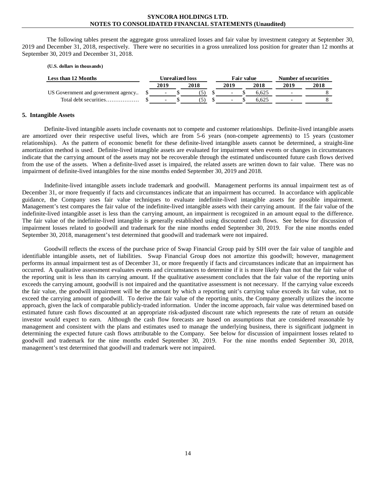The following tables present the aggregate gross unrealized losses and fair value by investment category at September 30, 2019 and December 31, 2018, respectively. There were no securities in a gross unrealized loss position for greater than 12 months at September 30, 2019 and December 31, 2018.

#### **(U.S. dollars in thousands)**

| Less than 12 Months                 | Unrealized loss          |  |      |                          | Fair value |       |                          | Number of securities |
|-------------------------------------|--------------------------|--|------|--------------------------|------------|-------|--------------------------|----------------------|
|                                     | 2019                     |  | 2018 | 2019                     |            | 2018  | 2019                     | 2018                 |
| US Government and government agency | $\overline{\phantom{0}}$ |  |      | $\overline{\phantom{0}}$ |            | 6.625 |                          |                      |
| Total debt securities               | $\overline{\phantom{0}}$ |  |      |                          |            | 6.625 | $\overline{\phantom{0}}$ |                      |

#### **5. Intangible Assets**

Definite-lived intangible assets include covenants not to compete and customer relationships. Definite-lived intangible assets are amortized over their respective useful lives, which are from 5-6 years (non-compete agreements) to 15 years (customer relationships). As the pattern of economic benefit for these definite-lived intangible assets cannot be determined, a straight-line amortization method is used. Definite-lived intangible assets are evaluated for impairment when events or changes in circumstances indicate that the carrying amount of the assets may not be recoverable through the estimated undiscounted future cash flows derived from the use of the assets. When a definite-lived asset is impaired, the related assets are written down to fair value. There was no impairment of definite-lived intangibles for the nine months ended September 30, 2019 and 2018.

Indefinite-lived intangible assets include trademark and goodwill. Management performs its annual impairment test as of December 31, or more frequently if facts and circumstances indicate that an impairment has occurred. In accordance with applicable guidance, the Company uses fair value techniques to evaluate indefinite-lived intangible assets for possible impairment. Management's test compares the fair value of the indefinite-lived intangible assets with their carrying amount. If the fair value of the indefinite-lived intangible asset is less than the carrying amount, an impairment is recognized in an amount equal to the difference. The fair value of the indefinite-lived intangible is generally established using discounted cash flows. See below for discussion of impairment losses related to goodwill and trademark for the nine months ended September 30, 2019. For the nine months ended September 30, 2018, management's test determined that goodwill and trademark were not impaired.

Goodwill reflects the excess of the purchase price of Swap Financial Group paid by SIH over the fair value of tangible and identifiable intangible assets, net of liabilities. Swap Financial Group does not amortize this goodwill; however, management performs its annual impairment test as of December 31, or more frequently if facts and circumstances indicate that an impairment has occurred. A qualitative assessment evaluates events and circumstances to determine if it is more likely than not that the fair value of the reporting unit is less than its carrying amount. If the qualitative assessment concludes that the fair value of the reporting units exceeds the carrying amount, goodwill is not impaired and the quantitative assessment is not necessary. If the carrying value exceeds the fair value, the goodwill impairment will be the amount by which a reporting unit's carrying value exceeds its fair value, not to exceed the carrying amount of goodwill. To derive the fair value of the reporting units, the Company generally utilizes the income approach, given the lack of comparable publicly-traded information. Under the income approach, fair value was determined based on estimated future cash flows discounted at an appropriate risk-adjusted discount rate which represents the rate of return an outside investor would expect to earn. Although the cash flow forecasts are based on assumptions that are considered reasonable by management and consistent with the plans and estimates used to manage the underlying business, there is significant judgment in determining the expected future cash flows attributable to the Company. See below for discussion of impairment losses related to goodwill and trademark for the nine months ended September 30, 2019. For the nine months ended September 30, 2018, management's test determined that goodwill and trademark were not impaired.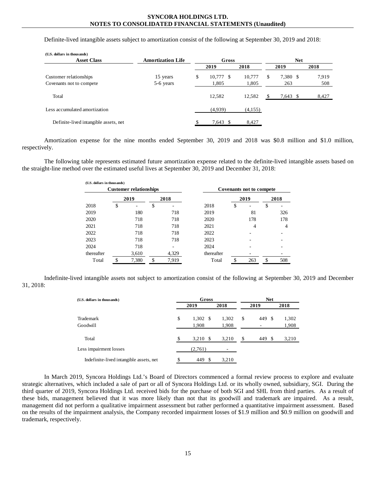Definite-lived intangible assets subject to amortization consist of the following at September 30, 2019 and 2018:

| (U.S. dollars in thousands)           |                          |               |         |            |          |       |  |  |  |  |
|---------------------------------------|--------------------------|---------------|---------|------------|----------|-------|--|--|--|--|
| <b>Asset Class</b>                    | <b>Amortization Life</b> | Gross         |         | <b>Net</b> |          |       |  |  |  |  |
|                                       |                          | 2019          | 2018    |            | 2019     | 2018  |  |  |  |  |
| Customer relationships                | 15 years                 | \$<br>10.777S | 10,777  | S          | 7,380 \$ | 7.919 |  |  |  |  |
| Covenants not to compete              | 5-6 years                | 1,805         | 1,805   |            | 263      | 508   |  |  |  |  |
| Total                                 |                          | 12,582        | 12.582  |            | 7,643 \$ | 8,427 |  |  |  |  |
| Less accumulated amortization         |                          | (4,939)       | (4,155) |            |          |       |  |  |  |  |
| Definite-lived intangible assets, net |                          | 7,643 \$      | 8,427   |            |          |       |  |  |  |  |

Amortization expense for the nine months ended September 30, 2019 and 2018 was \$0.8 million and \$1.0 million, respectively.

The following table represents estimated future amortization expense related to the definite-lived intangible assets based on the straight-line method over the estimated useful lives at September 30, 2019 and December 31, 2018:

| (U.S. dollars in thousands) |    |                               |    |       |            |                                 |      |    |      |  |  |  |  |
|-----------------------------|----|-------------------------------|----|-------|------------|---------------------------------|------|----|------|--|--|--|--|
|                             |    | <b>Customer relationships</b> |    |       |            | <b>Covenants not to compete</b> |      |    |      |  |  |  |  |
|                             |    | 2019                          |    | 2018  |            |                                 | 2019 |    | 2018 |  |  |  |  |
| 2018                        | \$ |                               | \$ |       | 2018       | S                               |      | \$ |      |  |  |  |  |
| 2019                        |    | 180                           |    | 718   | 2019       |                                 | 81   |    | 326  |  |  |  |  |
| 2020                        |    | 718                           |    | 718   | 2020       |                                 | 178  |    | 178  |  |  |  |  |
| 2021                        |    | 718                           |    | 718   | 2021       |                                 | 4    |    | 4    |  |  |  |  |
| 2022                        |    | 718                           |    | 718   | 2022       |                                 |      |    |      |  |  |  |  |
| 2023                        |    | 718                           |    | 718   | 2023       |                                 |      |    |      |  |  |  |  |
| 2024                        |    | 718                           |    |       | 2024       |                                 |      |    |      |  |  |  |  |
| thereafter                  |    | 3,610                         |    | 4,329 | thereafter |                                 |      |    |      |  |  |  |  |
| Total                       | ¢  | 7,380                         | ¢  | 7,919 | Total      | ¢                               | 263  | S  | 508  |  |  |  |  |

Indefinite-lived intangible assets not subject to amortization consist of the following at September 30, 2019 and December 31, 2018:

| (U.S. dollars in thousands)             | Gross          |       | <b>Net</b> |           |       |  |  |
|-----------------------------------------|----------------|-------|------------|-----------|-------|--|--|
|                                         | 2019           | 2018  |            | 2019      | 2018  |  |  |
| Trademark                               | \$<br>1,302 \$ | 1,302 | \$         | 449<br>-S | 1,302 |  |  |
| Goodwill                                | 1,908          | 1,908 |            |           | 1,908 |  |  |
| Total                                   | 3,210<br>- \$  | 3,210 | \$.        | 449<br>-S | 3,210 |  |  |
| Less impairment losses                  | (2,761)        |       |            |           |       |  |  |
| Indefinite-lived intangible assets, net | 449<br>-S      | 3,210 |            |           |       |  |  |

In March 2019, Syncora Holdings Ltd.'s Board of Directors commenced a formal review process to explore and evaluate strategic alternatives, which included a sale of part or all of Syncora Holdings Ltd. or its wholly owned, subsidiary, SGI. During the third quarter of 2019, Syncora Holdings Ltd. received bids for the purchase of both SGI and SHL from third parties. As a result of these bids, management believed that it was more likely than not that its goodwill and trademark are impaired. As a result, management did not perform a qualitative impairment assessment but rather performed a quantitative impairment assessment. Based on the results of the impairment analysis, the Company recorded impairment losses of \$1.9 million and \$0.9 million on goodwill and trademark, respectively.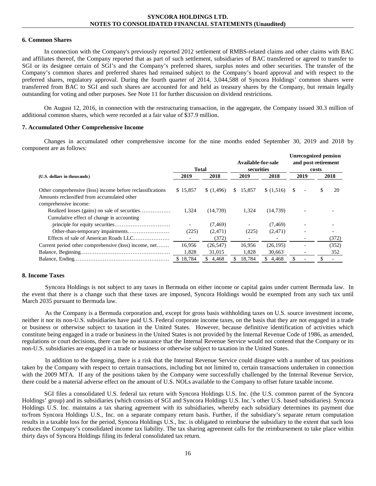## **6. Common Shares**

In connection with the Company's previously reported 2012 settlement of RMBS-related claims and other claims with BAC and affiliates thereof, the Company reported that as part of such settlement, subsidiaries of BAC transferred or agreed to transfer to SGI or its designee certain of SGI's and the Company's preferred shares, surplus notes and other securities. The transfer of the Company's common shares and preferred shares had remained subject to the Company's board approval and with respect to the preferred shares, regulatory approval. During the fourth quarter of 2014, 3,044,588 of Syncora Holdings' common shares were transferred from BAC to SGI and such shares are accounted for and held as treasury shares by the Company, but remain legally outstanding for voting and other purposes. See Note 11 for further discussion on dividend restrictions.

On August 12, 2016, in connection with the restructuring transaction, in the aggregate, the Company issued 30.3 million of additional common shares, which were recorded at a fair value of \$37.9 million.

#### **7. Accumulated Other Comprehensive Income**

Changes in accumulated other comprehensive income for the nine months ended September 30, 2019 and 2018 by component are as follows:

|                                                                                                           |                 | Available-for-sale<br>securities<br>Total |                 |                     |      |                | <b>Unrecognized pension</b><br>and post-retirement<br>costs |              |  |  |  |  |
|-----------------------------------------------------------------------------------------------------------|-----------------|-------------------------------------------|-----------------|---------------------|------|----------------|-------------------------------------------------------------|--------------|--|--|--|--|
| (U.S. dollars in thousands)                                                                               | 2019            | 2018                                      | 2019            | 2018                | 2019 |                |                                                             | 2018         |  |  |  |  |
| Other comprehensive (loss) income before reclassifications<br>Amounts reclassified from accumulated other | \$15,857        | (1,496)                                   | \$15,857        | \$(1,516)           | -S   | $\blacksquare$ | \$                                                          | 20           |  |  |  |  |
| comprehensive income:<br>Cumulative effect of change in accounting                                        | 1.324           | (14, 739)                                 | 1,324           | (14, 739)           |      |                |                                                             |              |  |  |  |  |
|                                                                                                           | (225)           | (7, 469)<br>(2, 471)                      | (225)           | (7, 469)<br>(2,471) |      |                |                                                             |              |  |  |  |  |
|                                                                                                           |                 | (372)                                     |                 |                     |      |                |                                                             | (372)        |  |  |  |  |
| Current period other comprehensive (loss) income, net                                                     | 16,956<br>1,828 | (26, 547)<br>31,015                       | 16,956<br>1,828 | (26, 195)<br>30.663 |      |                |                                                             | (352)<br>352 |  |  |  |  |
|                                                                                                           | \$18,784        | \$4,468                                   | 18,784<br>\$    | \$4,468             |      |                |                                                             |              |  |  |  |  |

#### **8. Income Taxes**

Syncora Holdings is not subject to any taxes in Bermuda on either income or capital gains under current Bermuda law. In the event that there is a change such that these taxes are imposed, Syncora Holdings would be exempted from any such tax until March 2035 pursuant to Bermuda law.

As the Company is a Bermuda corporation and, except for gross basis withholding taxes on U.S. source investment income, neither it nor its non-U.S. subsidiaries have paid U.S. Federal corporate income taxes, on the basis that they are not engaged in a trade or business or otherwise subject to taxation in the United States. However, because definitive identification of activities which constitute being engaged in a trade or business in the United States is not provided by the Internal Revenue Code of 1986, as amended, regulations or court decisions, there can be no assurance that the Internal Revenue Service would not contend that the Company or its non-U.S. subsidiaries are engaged in a trade or business or otherwise subject to taxation in the United States.

In addition to the foregoing, there is a risk that the Internal Revenue Service could disagree with a number of tax positions taken by the Company with respect to certain transactions, including but not limited to, certain transactions undertaken in connection with the 2009 MTA. If any of the positions taken by the Company were successfully challenged by the Internal Revenue Service, there could be a material adverse effect on the amount of U.S. NOLs available to the Company to offset future taxable income.

SGI files a consolidated U.S. federal tax return with Syncora Holdings U.S. Inc. (the U.S. common parent of the Syncora Holdings' group) and its subsidiaries (which consists of SGI and Syncora Holdings U.S. Inc.'s other U.S. based subsidiaries). Syncora Holdings U.S. Inc. maintains a tax sharing agreement with its subsidiaries, whereby each subsidiary determines its payment due to/from Syncora Holdings U.S., Inc. on a separate company return basis. Further, if the subsidiary's separate return computation results in a taxable loss for the period, Syncora Holdings U.S., Inc. is obligated to reimburse the subsidiary to the extent that such loss reduces the Company's consolidated income tax liability. The tax sharing agreement calls for the reimbursement to take place within thirty days of Syncora Holdings filing its federal consolidated tax return.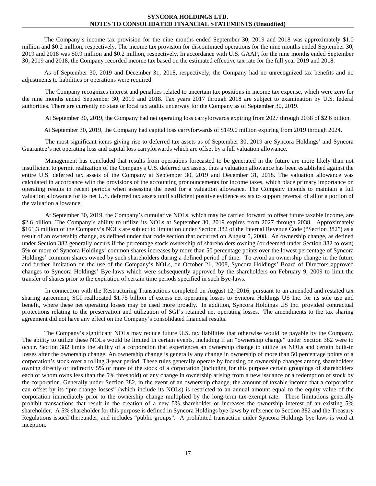The Company's income tax provision for the nine months ended September 30, 2019 and 2018 was approximately \$1.0 million and \$0.2 million, respectively. The income tax provision for discontinued operations for the nine months ended September 30, 2019 and 2018 was \$0.9 million and \$0.2 million, respectively. In accordance with U.S. GAAP, for the nine months ended September 30, 2019 and 2018, the Company recorded income tax based on the estimated effective tax rate for the full year 2019 and 2018.

As of September 30, 2019 and December 31, 2018, respectively, the Company had no unrecognized tax benefits and no adjustments to liabilities or operations were required.

The Company recognizes interest and penalties related to uncertain tax positions in income tax expense, which were zero for the nine months ended September 30, 2019 and 2018. Tax years 2017 through 2018 are subject to examination by U.S. federal authorities. There are currently no state or local tax audits underway for the Company as of September 30, 2019.

At September 30, 2019, the Company had net operating loss carryforwards expiring from 2027 through 2038 of \$2.6 billion.

At September 30, 2019, the Company had capital loss carryforwards of \$149.0 million expiring from 2019 through 2024.

The most significant items giving rise to deferred tax assets as of September 30, 2019 are Syncora Holdings' and Syncora Guarantee's net operating loss and capital loss carryforwards which are offset by a full valuation allowance.

Management has concluded that results from operations forecasted to be generated in the future are more likely than not insufficient to permit realization of the Company's U.S. deferred tax assets, thus a valuation allowance has been established against the entire U.S. deferred tax assets of the Company at September 30, 2019 and December 31, 2018. The valuation allowance was calculated in accordance with the provisions of the accounting pronouncements for income taxes, which place primary importance on operating results in recent periods when assessing the need for a valuation allowance. The Company intends to maintain a full valuation allowance for its net U.S. deferred tax assets until sufficient positive evidence exists to support reversal of all or a portion of the valuation allowance.

At September 30, 2019, the Company's cumulative NOLs, which may be carried forward to offset future taxable income, are \$2.6 billion. The Company's ability to utilize its NOLs at September 30, 2019 expires from 2027 through 2038. Approximately \$161.3 million of the Company's NOLs are subject to limitation under Section 382 of the Internal Revenue Code ("Section 382") as a result of an ownership change, as defined under that code section that occurred on August 5, 2008. An ownership change, as defined under Section 382 generally occurs if the percentage stock ownership of shareholders owning (or deemed under Section 382 to own) 5% or more of Syncora Holdings' common shares increases by more than 50 percentage points over the lowest percentage of Syncora Holdings' common shares owned by such shareholders during a defined period of time. To avoid an ownership change in the future and further limitation on the use of the Company's NOLs, on October 21, 2008, Syncora Holdings' Board of Directors approved changes to Syncora Holdings' Bye-laws which were subsequently approved by the shareholders on February 9, 2009 to limit the transfer of shares prior to the expiration of certain time periods specified in such Bye-laws.

In connection with the Restructuring Transactions completed on August 12, 2016, pursuant to an amended and restated tax sharing agreement, SGI reallocated \$1.75 billion of excess net operating losses to Syncora Holdings US Inc. for its sole use and benefit, where these net operating losses may be used more broadly. In addition, Syncora Holdings US Inc. provided contractual protections relating to the preservation and utilization of SGI's retained net operating losses. The amendments to the tax sharing agreement did not have any effect on the Company's consolidated financial results.

The Company's significant NOLs may reduce future U.S. tax liabilities that otherwise would be payable by the Company. The ability to utilize these NOLs would be limited in certain events, including if an "ownership change" under Section 382 were to occur. Section 382 limits the ability of a corporation that experiences an ownership change to utilize its NOLs and certain built-in losses after the ownership change. An ownership change is generally any change in ownership of more than 50 percentage points of a corporation's stock over a rolling 3-year period. These rules generally operate by focusing on ownership changes among shareholders owning directly or indirectly 5% or more of the stock of a corporation (including for this purpose certain groupings of shareholders each of whom owns less than the 5% threshold) or any change in ownership arising from a new issuance or a redemption of stock by the corporation. Generally under Section 382, in the event of an ownership change, the amount of taxable income that a corporation can offset by its "pre-change losses" (which include its NOLs) is restricted to an annual amount equal to the equity value of the corporation immediately prior to the ownership change multiplied by the long-term tax-exempt rate. These limitations generally prohibit transactions that result in the creation of a new 5% shareholder or increases the ownership interest of an existing 5% shareholder. A 5% shareholder for this purpose is defined in Syncora Holdings bye-laws by reference to Section 382 and the Treasury Regulations issued thereunder, and includes "public groups". A prohibited transaction under Syncora Holdings bye-laws is void at inception.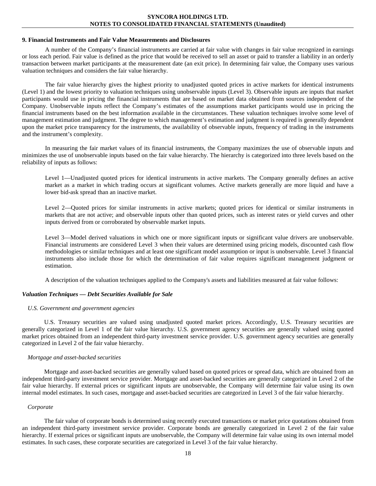#### **9. Financial Instruments and Fair Value Measurements and Disclosures**

A number of the Company's financial instruments are carried at fair value with changes in fair value recognized in earnings or loss each period. Fair value is defined as the price that would be received to sell an asset or paid to transfer a liability in an orderly transaction between market participants at the measurement date (an exit price). In determining fair value, the Company uses various valuation techniques and considers the fair value hierarchy.

The fair value hierarchy gives the highest priority to unadjusted quoted prices in active markets for identical instruments (Level 1) and the lowest priority to valuation techniques using unobservable inputs (Level 3). Observable inputs are inputs that market participants would use in pricing the financial instruments that are based on market data obtained from sources independent of the Company. Unobservable inputs reflect the Company's estimates of the assumptions market participants would use in pricing the financial instruments based on the best information available in the circumstances. These valuation techniques involve some level of management estimation and judgment. The degree to which management's estimation and judgment is required is generally dependent upon the market price transparency for the instruments, the availability of observable inputs, frequency of trading in the instruments and the instrument's complexity.

In measuring the fair market values of its financial instruments, the Company maximizes the use of observable inputs and minimizes the use of unobservable inputs based on the fair value hierarchy. The hierarchy is categorized into three levels based on the reliability of inputs as follows:

Level 1—Unadjusted quoted prices for identical instruments in active markets. The Company generally defines an active market as a market in which trading occurs at significant volumes. Active markets generally are more liquid and have a lower bid-ask spread than an inactive market.

Level 2—Quoted prices for similar instruments in active markets; quoted prices for identical or similar instruments in markets that are not active; and observable inputs other than quoted prices, such as interest rates or yield curves and other inputs derived from or corroborated by observable market inputs.

Level 3—Model derived valuations in which one or more significant inputs or significant value drivers are unobservable. Financial instruments are considered Level 3 when their values are determined using pricing models, discounted cash flow methodologies or similar techniques and at least one significant model assumption or input is unobservable. Level 3 financial instruments also include those for which the determination of fair value requires significant management judgment or estimation.

A description of the valuation techniques applied to the Company's assets and liabilities measured at fair value follows:

#### *Valuation Techniques — Debt Securities Available for Sale*

#### *U.S. Government and government agencies*

U.S. Treasury securities are valued using unadjusted quoted market prices. Accordingly, U.S. Treasury securities are generally categorized in Level 1 of the fair value hierarchy. U.S. government agency securities are generally valued using quoted market prices obtained from an independent third-party investment service provider. U.S. government agency securities are generally categorized in Level 2 of the fair value hierarchy.

#### *Mortgage and asset-backed securities*

Mortgage and asset-backed securities are generally valued based on quoted prices or spread data, which are obtained from an independent third-party investment service provider. Mortgage and asset-backed securities are generally categorized in Level 2 of the fair value hierarchy. If external prices or significant inputs are unobservable, the Company will determine fair value using its own internal model estimates. In such cases, mortgage and asset-backed securities are categorized in Level 3 of the fair value hierarchy.

#### *Corporate*

The fair value of corporate bonds is determined using recently executed transactions or market price quotations obtained from an independent third-party investment service provider. Corporate bonds are generally categorized in Level 2 of the fair value hierarchy. If external prices or significant inputs are unobservable, the Company will determine fair value using its own internal model estimates. In such cases, these corporate securities are categorized in Level 3 of the fair value hierarchy.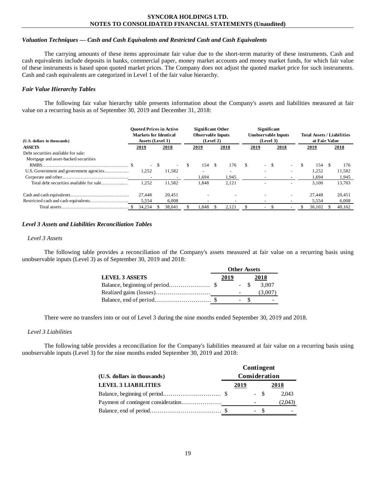## *Valuation Techniques — Cash and Cash Equivalents and Restricted Cash and Cash Equivalents*

The carrying amounts of these items approximate fair value due to the short-term maturity of these instruments. Cash and cash equivalents include deposits in banks, commercial paper, money market accounts and money market funds, for which fair value of these instruments is based upon quoted market prices. The Company does not adjust the quoted market price for such instruments. Cash and cash equivalents are categorized in Level 1 of the fair value hierarchy.

# *Fair Value Hierarchy Tables*

The following fair value hierarchy table presents information about the Company's assets and liabilities measured at fair value on a recurring basis as of September 30, 2019 and December 31, 2018:

| (U.S. dollars in thousands)              | <b>Ouoted Prices in Active</b><br><b>Markets for Identical</b><br>Assets (Level 1) |                          |     | <b>Significant Other</b><br><b>Observable Inputs</b><br>(Level 2) |  |       |    | Significant<br><b>Unobservable Inputs</b><br>(Level 3) | <b>Total Assets / Liabilities</b><br>at Fair Value |    |             |  |        |
|------------------------------------------|------------------------------------------------------------------------------------|--------------------------|-----|-------------------------------------------------------------------|--|-------|----|--------------------------------------------------------|----------------------------------------------------|----|-------------|--|--------|
| <b>ASSETS</b>                            | 2019                                                                               | 2018                     |     | <u>2019</u>                                                       |  | 2018  |    | 2019                                                   | 2018                                               |    | <u>2019</u> |  | 2018   |
| Debt securities available for sale:      |                                                                                    |                          |     |                                                                   |  |       |    |                                                        |                                                    |    |             |  |        |
| Mortgage and asset-backed securities     |                                                                                    |                          |     |                                                                   |  |       |    |                                                        |                                                    |    |             |  |        |
|                                          |                                                                                    | $-$ \$<br>$\blacksquare$ | \$. | 154                                                               |  | 176   | \$ | $-$ \$                                                 | $\overline{\phantom{a}}$                           | \$ | 154         |  | 176    |
|                                          | 1.252                                                                              | 11,582                   |     |                                                                   |  |       |    |                                                        |                                                    |    | 1.252       |  | 11,582 |
|                                          |                                                                                    |                          |     | 1.694                                                             |  | 1,945 |    |                                                        |                                                    |    | 1.694       |  | 1,945  |
| Total debt securities available for sale | 1,252                                                                              | 11.582                   |     | 1,848                                                             |  | 2,121 |    |                                                        |                                                    |    | 3.100       |  | 13,703 |
|                                          | 27.448                                                                             | 20.451                   |     |                                                                   |  |       |    |                                                        |                                                    |    | 27.448      |  | 20.451 |
|                                          | 5.554                                                                              | 6.008                    |     |                                                                   |  |       |    |                                                        |                                                    |    | 5.554       |  | 6.008  |
|                                          | 34,254                                                                             | 38,041                   |     | .848                                                              |  | 2,121 |    |                                                        |                                                    | ь  | 36,102      |  | 40,162 |

# *Level 3 Assets and Liabilities Reconciliation Tables*

#### *Level 3 Assets*

The following table provides a reconciliation of the Company's assets measured at fair value on a recurring basis using unobservable inputs (Level 3) as of September 30, 2019 and 2018:

|                       | <b>Other Assets</b> |        |  |                          |  |
|-----------------------|---------------------|--------|--|--------------------------|--|
| <b>LEVEL 3 ASSETS</b> | 2019                |        |  | 2018                     |  |
|                       |                     | $-$ S  |  | 3.007                    |  |
|                       |                     |        |  | 3.007                    |  |
|                       |                     | $\sim$ |  | $\overline{\phantom{a}}$ |  |

There were no transfers into or out of Level 3 during the nine months ended September 30, 2019 and 2018.

## *Level 3 Liabilities*

The following table provides a reconciliation for the Company's liabilities measured at fair value on a recurring basis using unobservable inputs (Level 3) for the nine months ended September 30, 2019 and 2018:

|                             |               |        | Contingent |                          |
|-----------------------------|---------------|--------|------------|--------------------------|
| (U.S. dollars in thousands) | Consideration |        |            |                          |
| <b>LEVEL 3 LIABILITIES</b>  | 2019          |        |            | 2018                     |
|                             |               | $-$ \$ |            | 2.043                    |
|                             |               |        |            | (2,043)                  |
|                             |               | $- S$  |            | $\overline{\phantom{a}}$ |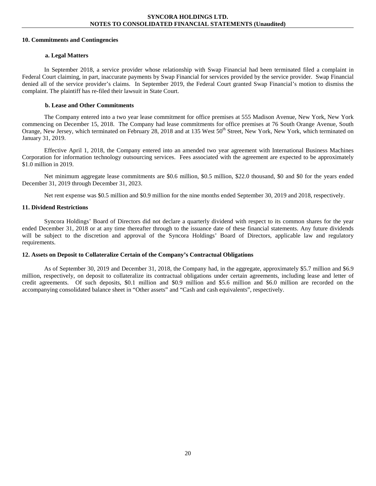#### **10. Commitments and Contingencies**

# **a. Legal Matters**

In September 2018, a service provider whose relationship with Swap Financial had been terminated filed a complaint in Federal Court claiming, in part, inaccurate payments by Swap Financial for services provided by the service provider. Swap Financial denied all of the service provider's claims. In September 2019, the Federal Court granted Swap Financial's motion to dismiss the complaint. The plaintiff has re-filed their lawsuit in State Court.

# **b. Lease and Other Commitments**

The Company entered into a two year lease commitment for office premises at 555 Madison Avenue, New York, New York commencing on December 15, 2018. The Company had lease commitments for office premises at 76 South Orange Avenue, South Orange, New Jersey, which terminated on February 28, 2018 and at 135 West 50<sup>th</sup> Street, New York, New York, which terminated on January 31, 2019.

Effective April 1, 2018, the Company entered into an amended two year agreement with International Business Machines Corporation for information technology outsourcing services. Fees associated with the agreement are expected to be approximately \$1.0 million in 2019.

Net minimum aggregate lease commitments are \$0.6 million, \$0.5 million, \$22.0 thousand, \$0 and \$0 for the years ended December 31, 2019 through December 31, 2023.

Net rent expense was \$0.5 million and \$0.9 million for the nine months ended September 30, 2019 and 2018, respectively.

# **11. Dividend Restrictions**

Syncora Holdings' Board of Directors did not declare a quarterly dividend with respect to its common shares for the year ended December 31, 2018 or at any time thereafter through to the issuance date of these financial statements. Any future dividends will be subject to the discretion and approval of the Syncora Holdings' Board of Directors, applicable law and regulatory requirements.

# **12. Assets on Deposit to Collateralize Certain of the Company's Contractual Obligations**

As of September 30, 2019 and December 31, 2018, the Company had, in the aggregate, approximately \$5.7 million and \$6.9 million, respectively, on deposit to collateralize its contractual obligations under certain agreements, including lease and letter of credit agreements. Of such deposits, \$0.1 million and \$0.9 million and \$5.6 million and \$6.0 million are recorded on the accompanying consolidated balance sheet in "Other assets" and "Cash and cash equivalents", respectively.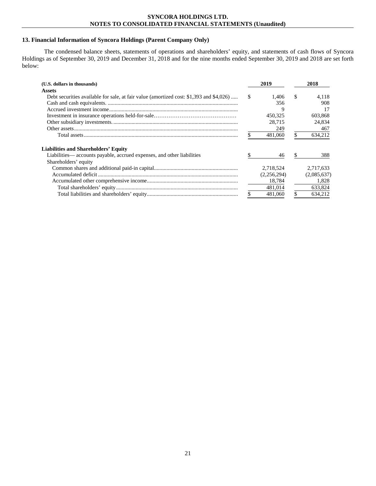## **13. Financial Information of Syncora Holdings (Parent Company Only)**

The condensed balance sheets, statements of operations and shareholders' equity, and statements of cash flows of Syncora Holdings as of September 30, 2019 and December 31, 2018 and for the nine months ended September 30, 2019 and 2018 are set forth below:

| (U.S. dollars in thousands)                                                             |     | 2019        |    | 2018        |
|-----------------------------------------------------------------------------------------|-----|-------------|----|-------------|
| <b>Assets</b>                                                                           |     |             |    |             |
| Debt securities available for sale, at fair value (amortized cost: \$1,393 and \$4,026) | - S | 1.406       | -S | 4.118       |
|                                                                                         |     | 356         |    | 908         |
|                                                                                         |     | 9           |    | 17          |
|                                                                                         |     | 450.325     |    | 603,868     |
|                                                                                         |     | 28.715      |    | 24,834      |
|                                                                                         |     | 249         |    | 467         |
|                                                                                         |     | 481,060     |    | 634,212     |
| <b>Liabilities and Shareholders' Equity</b>                                             |     |             |    |             |
| Liabilities—accounts payable, accrued expenses, and other liabilities                   |     | 46          |    | 388         |
| Shareholders' equity                                                                    |     |             |    |             |
|                                                                                         |     | 2.718.524   |    | 2.717.633   |
|                                                                                         |     | (2,256,294) |    | (2,085,637) |
|                                                                                         |     | 18.784      |    | 1.828       |
|                                                                                         |     | 481.014     |    | 633.824     |
|                                                                                         |     | 481,060     |    | 634.212     |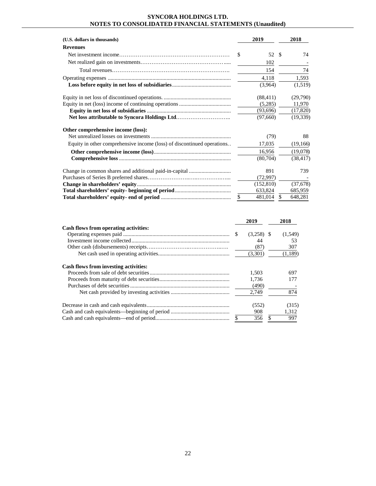| (U.S. dollars in thousands)                                            | 2019          |     | 2018      |
|------------------------------------------------------------------------|---------------|-----|-----------|
| <b>Revenues</b>                                                        |               |     |           |
|                                                                        | \$<br>52 S    |     | 74        |
|                                                                        | 102           |     |           |
|                                                                        | 154           |     | 74        |
|                                                                        | 4,118         |     | 1,593     |
|                                                                        | (3,964)       |     | (1,519)   |
|                                                                        | (88, 411)     |     | (29,790)  |
|                                                                        | (5,285)       |     | 11,970    |
|                                                                        | (93,696)      |     | (17, 820) |
|                                                                        | (97,660)      |     | (19, 339) |
| Other comprehensive income (loss):                                     |               |     |           |
|                                                                        | (79)          |     | 88        |
| Equity in other comprehensive income (loss) of discontinued operations | 17,035        |     | (19,166)  |
|                                                                        | 16,956        |     | (19,078)  |
|                                                                        | (80,704)      |     | (38, 417) |
| Change in common shares and additional paid-in-capital                 | 891           |     | 739       |
|                                                                        | (72,997)      |     |           |
|                                                                        | (152, 810)    |     | (37,678)  |
|                                                                        | 633,824       |     | 685,959   |
|                                                                        | \$<br>481,014 | \$. | 648,281   |

|                                              |    | 2019         | 2018    |
|----------------------------------------------|----|--------------|---------|
| Cash flows from operating activities:        |    |              |         |
|                                              | -S | $(3,258)$ \$ | (1,549) |
|                                              |    | 44           | 53      |
|                                              |    | (87)         | 307     |
|                                              |    | (3,301)      | (1,189) |
| <b>Cash flows from investing activities:</b> |    |              |         |
|                                              |    | 1.503        | 697     |
|                                              |    | 1.736        | 177     |
|                                              |    | (490)        |         |
|                                              |    | 2.749        | 874     |
|                                              |    | (552)        | (315)   |
|                                              |    | 908          | 1,312   |
|                                              | \$ | 356          | 997     |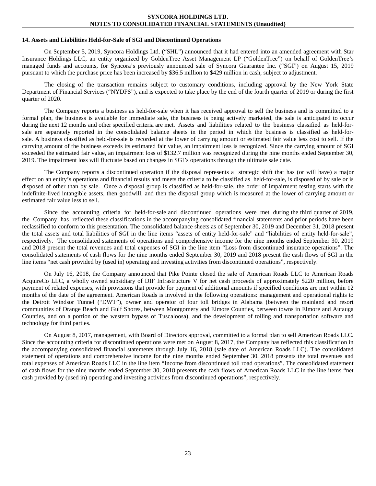#### **14. Assets and Liabilities Held-for-Sale of SGI and Discontinued Operations**

On September 5, 2019, Syncora Holdings Ltd. ("SHL") announced that it had entered into an amended agreement with Star Insurance Holdings LLC, an entity organized by GoldenTree Asset Management LP ("GoldenTree") on behalf of GoldenTree's managed funds and accounts, for Syncora's previously announced sale of Syncora Guarantee Inc. ("SGI") on August 15, 2019 pursuant to which the purchase price has been increased by \$36.5 million to \$429 million in cash, subject to adjustment.

The closing of the transaction remains subject to customary conditions, including approval by the New York State Department of Financial Services ("NYDFS"), and is expected to take place by the end of the fourth quarter of 2019 or during the first quarter of 2020.

The Company reports a business as held-for-sale when it has received approval to sell the business and is committed to a formal plan, the business is available for immediate sale, the business is being actively marketed, the sale is anticipated to occur during the next 12 months and other specified criteria are met. Assets and liabilities related to the business classified as held-forsale are separately reported in the consolidated balance sheets in the period in which the business is classified as held-forsale. A business classified as held-for-sale is recorded at the lower of carrying amount or estimated fair value less cost to sell. If the carrying amount of the business exceeds its estimated fair value, an impairment loss is recognized. Since the carrying amount of SGI exceeded the estimated fair value, an impairment loss of \$132.7 million was recognized during the nine months ended September 30, 2019. The impairment loss will fluctuate based on changes in SGI's operations through the ultimate sale date.

The Company reports a discontinued operation if the disposal represents a strategic shift that has (or will have) a major effect on an entity's operations and financial results and meets the criteria to be classified as held-for-sale, is disposed of by sale or is disposed of other than by sale. Once a disposal group is classified as held-for-sale, the order of impairment testing starts with the indefinite-lived intangible assets, then goodwill, and then the disposal group which is measured at the lower of carrying amount or estimated fair value less to sell.

Since the accounting criteria for held-for-sale and discontinued operations were met during the third quarter of 2019, the Company has reflected these classifications in the accompanying consolidated financial statements and prior periods have been reclassified to conform to this presentation. The consolidated balance sheets as of September 30, 2019 and December 31, 2018 present the total assets and total liabilities of SGI in the line items "assets of entity held-for-sale" and "liabilities of entity held-for-sale", respectively. The consolidated statements of operations and comprehensive income for the nine months ended September 30, 2019 and 2018 present the total revenues and total expenses of SGI in the line item "Loss from discontinued insurance operations". The consolidated statements of cash flows for the nine months ended September 30, 2019 and 2018 present the cash flows of SGI in the line items "net cash provided by (used in) operating and investing activities from discontinued operations", respectively.

On July 16, 2018, the Company announced that Pike Pointe closed the sale of American Roads LLC to American Roads AcquireCo LLC, a wholly owned subsidiary of DIF Infrastructure V for net cash proceeds of approximately \$220 million, before payment of related expenses, with provisions that provide for payment of additional amounts if specified conditions are met within 12 months of the date of the agreement. American Roads is involved in the following operations: management and operational rights to the Detroit Windsor Tunnel ("DWT"), owner and operator of four toll bridges in Alabama (between the mainland and resort communities of Orange Beach and Gulf Shores, between Montgomery and Elmore Counties, between towns in Elmore and Autauga Counties, and on a portion of the western bypass of Tuscaloosa), and the development of tolling and transportation software and technology for third parties.

On August 8, 2017, management, with Board of Directors approval, committed to a formal plan to sell American Roads LLC. Since the accounting criteria for discontinued operations were met on August 8, 2017, the Company has reflected this classification in the accompanying consolidated financial statements through July 16, 2018 (sale date of American Roads LLC). The consolidated statement of operations and comprehensive income for the nine months ended September 30, 2018 presents the total revenues and total expenses of American Roads LLC in the line item "Income from discontinued toll road operations". The consolidated statement of cash flows for the nine months ended September 30, 2018 presents the cash flows of American Roads LLC in the line items "net cash provided by (used in) operating and investing activities from discontinued operations", respectively.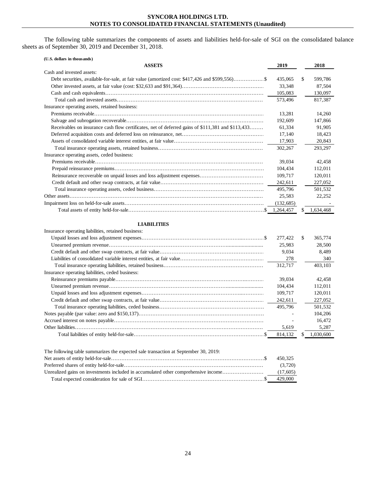The following table summarizes the components of assets and liabilities held-for-sale of SGI on the consolidated balance sheets as of September 30, 2019 and December 31, 2018.

| (U.S. dollars in thousands)                                                                       |            |                 |
|---------------------------------------------------------------------------------------------------|------------|-----------------|
| <b>ASSETS</b>                                                                                     | 2019       | 2018            |
| Cash and invested assets:                                                                         |            |                 |
|                                                                                                   | 435,065    | \$<br>599,786   |
|                                                                                                   | 33,348     | 87,504          |
|                                                                                                   | 105,083    | 130,097         |
|                                                                                                   | 573,496    | 817.387         |
| Insurance operating assets, retained business:                                                    |            |                 |
|                                                                                                   | 13,281     | 14,260          |
|                                                                                                   | 192,609    | 147,866         |
| Receivables on insurance cash flow certificates, net of deferred gains of \$111,381 and \$113,433 | 61,334     | 91,905          |
|                                                                                                   | 17,140     | 18,423          |
|                                                                                                   | 17,903     | 20,843          |
|                                                                                                   | 302,267    | 293,297         |
| Insurance operating assets, ceded business:                                                       |            |                 |
|                                                                                                   | 39,034     | 42,458          |
|                                                                                                   | 104,434    | 112,011         |
|                                                                                                   | 109,717    | 120,011         |
|                                                                                                   | 242,611    | 227,052         |
|                                                                                                   | 495,796    | 501,532         |
|                                                                                                   | 25,583     | 22,252          |
|                                                                                                   | (132, 685) |                 |
|                                                                                                   | 1,264,457  | \$<br>1,634,468 |
|                                                                                                   |            |                 |
| <b>LIABILITIES</b>                                                                                |            |                 |
| Insurance operating liabilities, retained business:                                               |            |                 |
|                                                                                                   | 277,422    | \$<br>365,774   |
|                                                                                                   | 25,983     | 28,500          |
|                                                                                                   | 9,034      | 8,489           |
|                                                                                                   | 278        | 340             |
|                                                                                                   | 312,717    | 403,103         |
| Insurance operating liabilities, ceded business:                                                  |            |                 |
|                                                                                                   | 39,034     | 42,458          |
|                                                                                                   | 104,434    | 112,011         |
|                                                                                                   |            |                 |
|                                                                                                   | 109,717    | 120,011         |
|                                                                                                   | 242,611    | 227,052         |
|                                                                                                   | 495,796    | 501,532         |
|                                                                                                   |            | 104,206         |
|                                                                                                   |            | 16.472          |
|                                                                                                   | 5,619      | 5,287           |
|                                                                                                   | 814,132    | 1,030,600       |
| The following table summarizes the expected sale transaction at September 30, 2019:               |            |                 |
|                                                                                                   | 450,325    |                 |
|                                                                                                   | (3,720)    |                 |
| Unrealized gains on investments included in accumulated other comprehensive income                | (17,605)   |                 |
|                                                                                                   | 429,000    |                 |

Total expected consideration for sale of SGI………………………………………………………………\$ 429,000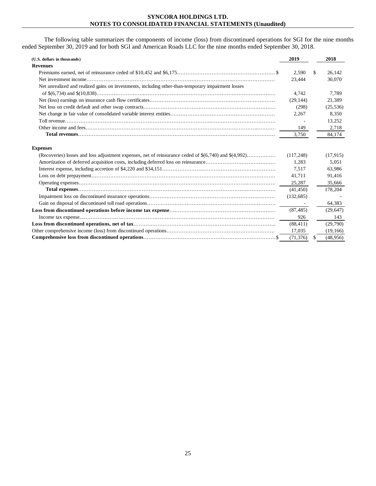The following table summarizes the components of income (loss) from discontinued operations for SGI for the nine months ended September 30, 2019 and for both SGI and American Roads LLC for the nine months ended September 30, 2018.

| (U.S. dollars in thousands)                                                                               | 2019           |    | 2018      |
|-----------------------------------------------------------------------------------------------------------|----------------|----|-----------|
| <b>Revenues</b>                                                                                           |                |    |           |
|                                                                                                           | 2,590          | S. | 26,142    |
|                                                                                                           | 23,444         |    | 30,070    |
| Net unrealized and realized gains on investments, including other-than-temporary impairment losses        |                |    |           |
|                                                                                                           | 4.742          |    | 7.789     |
|                                                                                                           | (29, 144)      |    | 21,389    |
|                                                                                                           | (298)          |    | (25, 536) |
|                                                                                                           | 2,267          |    | 8,350     |
|                                                                                                           |                |    | 13,252    |
|                                                                                                           | 149            |    | 2.718     |
|                                                                                                           | 3,750          |    | 84,174    |
| <b>Expenses</b>                                                                                           | (117, 248)     |    | (17, 915) |
| (Recoveries) losses and loss adjustment expenses, net of reinsurance ceded of $\$(6,740)$ and $\$(4,992)$ |                |    | 5,051     |
|                                                                                                           | 1,283<br>7.517 |    | 63.986    |
|                                                                                                           | 41,711         |    | 91,416    |
|                                                                                                           | 25,287         |    | 35,666    |
|                                                                                                           | (41, 450)      |    | 178,204   |
|                                                                                                           | (132, 685)     |    |           |
|                                                                                                           |                |    | 64,383    |
|                                                                                                           | (87, 485)      |    | (29, 647) |
|                                                                                                           | 926            |    | 143       |
|                                                                                                           | (88, 411)      |    | (29,790)  |
|                                                                                                           | 17,035         |    | (19, 166) |
|                                                                                                           | (71, 376)      | S. | (48,956)  |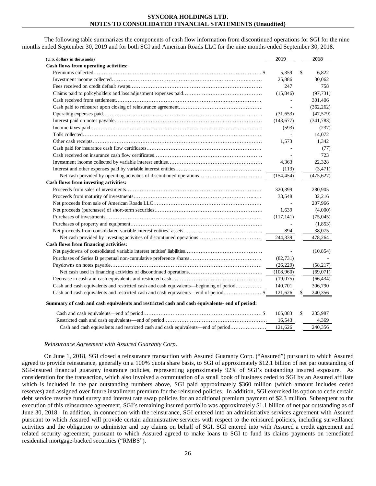The following table summarizes the components of cash flow information from discontinued operations for SGI for the nine months ended September 30, 2019 and for both SGI and American Roads LLC for the nine months ended September 30, 2018.

| (U.S. dollars in thousands)                                                                   | 2019       | 2018          |
|-----------------------------------------------------------------------------------------------|------------|---------------|
| Cash flows from operating activities:                                                         |            |               |
|                                                                                               | 5.359      | \$<br>6.822   |
|                                                                                               | 25,886     | 30,062        |
|                                                                                               | 247        | 758           |
|                                                                                               | (15, 846)  | (97.731)      |
|                                                                                               |            | 301,406       |
|                                                                                               |            | (362, 262)    |
|                                                                                               | (31, 653)  | (47, 579)     |
|                                                                                               | (143, 677) | (341, 783)    |
|                                                                                               | (593)      | (237)         |
|                                                                                               |            | 14,072        |
|                                                                                               | 1,573      | 1,342         |
|                                                                                               |            | (77)          |
|                                                                                               |            | 723           |
|                                                                                               | 4,363      | 22,328        |
|                                                                                               | (113)      | (3, 471)      |
|                                                                                               | (154, 454) | (475, 627)    |
| Cash flows from investing activities:                                                         |            |               |
|                                                                                               | 320,399    | 280,905       |
|                                                                                               | 38,548     | 32,216        |
|                                                                                               |            | 207,966       |
|                                                                                               | 1,639      | (4,000)       |
|                                                                                               | (117, 141) | (75,045)      |
|                                                                                               |            | (1, 853)      |
|                                                                                               | 894        | 38,075        |
|                                                                                               | 244,339    | 478,264       |
| Cash flows from financing activities:                                                         |            |               |
|                                                                                               |            | (10, 854)     |
|                                                                                               | (82, 731)  |               |
|                                                                                               | (26, 229)  | (58,217)      |
|                                                                                               | (108,960)  | (69,071)      |
|                                                                                               | (19,075)   | (66, 434)     |
| Cash and cash equivalents and restricted cash and cash equivalents—beginning of period        | 140,701    | 306,790       |
| Cash and cash equivalents and restricted cash and cash equivalents—end of period              | 121,626    | \$<br>240,356 |
| Summary of cash and cash equivalents and restricted cash and cash equivalents- end of period: |            |               |
|                                                                                               | 105,083    | \$<br>235,987 |
|                                                                                               | 16,543     | 4,369         |
| Cash and cash equivalents and restricted cash and cash equivalents—end of period              | 121,626    | 240.356       |
|                                                                                               |            |               |

## *Reinsurance Agreement with Assured Guaranty Corp.*

On June 1, 2018, SGI closed a reinsurance transaction with Assured Guaranty Corp. ("Assured") pursuant to which Assured agreed to provide reinsurance, generally on a 100% quota share basis, to SGI of approximately \$12.1 billion of net par outstanding of SGI-insured financial guaranty insurance policies, representing approximately 92% of SGI's outstanding insured exposure. As consideration for the transaction, which also involved a commutation of a small book of business ceded to SGI by an Assured affiliate which is included in the par outstanding numbers above, SGI paid approximately \$360 million (which amount includes ceded reserves) and assigned over future installment premium for the reinsured policies. In addition, SGI exercised its option to cede certain debt service reserve fund surety and interest rate swap policies for an additional premium payment of \$2.3 million. Subsequent to the execution of this reinsurance agreement, SGI's remaining insured portfolio was approximately \$1.1 billion of net par outstanding as of June 30, 2018. In addition, in connection with the reinsurance, SGI entered into an administrative services agreement with Assured pursuant to which Assured will provide certain administrative services with respect to the reinsured policies, including surveillance activities and the obligation to administer and pay claims on behalf of SGI. SGI entered into with Assured a credit agreement and related security agreement, pursuant to which Assured agreed to make loans to SGI to fund its claims payments on remediated residential mortgage-backed securities ("RMBS").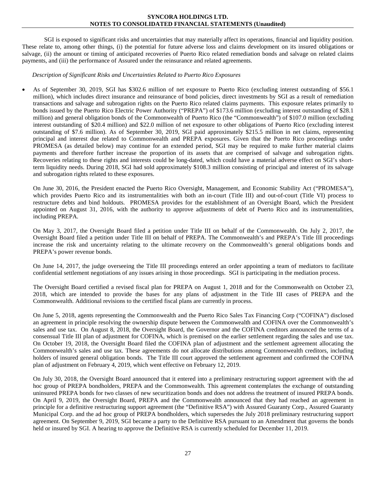SGI is exposed to significant risks and uncertainties that may materially affect its operations, financial and liquidity position. These relate to, among other things, (i) the potential for future adverse loss and claims development on its insured obligations or salvage, (ii) the amount or timing of anticipated recoveries of Puerto Rico related remediation bonds and salvage on related claims payments, and (iii) the performance of Assured under the reinsurance and related agreements.

## *Description of Significant Risks and Uncertainties Related to Puerto Rico Exposures*

• As of September 30, 2019, SGI has \$302.6 million of net exposure to Puerto Rico (excluding interest outstanding of \$56.1 million), which includes direct insurance and reinsurance of bond policies, direct investments by SGI as a result of remediation transactions and salvage and subrogation rights on the Puerto Rico related claims payments. This exposure relates primarily to bonds issued by the Puerto Rico Electric Power Authority ("PREPA") of \$173.6 million (excluding interest outstanding of \$28.1 million) and general obligation bonds of the Commonwealth of Puerto Rico (the "Commonwealth") of \$107.0 million (excluding interest outstanding of \$20.4 million) and \$22.0 million of net exposure to other obligations of Puerto Rico (excluding interest outstanding of \$7.6 million). As of September 30, 2019, SGI paid approximately \$215.5 million in net claims, representing principal and interest due related to Commonwealth and PREPA exposures. Given that the Puerto Rico proceedings under PROMESA (as detailed below) may continue for an extended period, SGI may be required to make further material claims payments and therefore further increase the proportion of its assets that are comprised of salvage and subrogation rights. Recoveries relating to these rights and interests could be long-dated, which could have a material adverse effect on SGI's shortterm liquidity needs. During 2018, SGI had sold approximately \$108.3 million consisting of principal and interest of its salvage and subrogation rights related to these exposures.

On June 30, 2016, the President enacted the Puerto Rico Oversight, Management, and Economic Stability Act ("PROMESA"), which provides Puerto Rico and its instrumentalities with both an in-court (Title III) and out-of-court (Title VI) process to restructure debts and bind holdouts. PROMESA provides for the establishment of an Oversight Board, which the President appointed on August 31, 2016, with the authority to approve adjustments of debt of Puerto Rico and its instrumentalities, including PREPA.

On May 3, 2017, the Oversight Board filed a petition under Title III on behalf of the Commonwealth. On July 2, 2017, the Oversight Board filed a petition under Title III on behalf of PREPA. The Commonwealth's and PREPA's Title III proceedings increase the risk and uncertainty relating to the ultimate recovery on the Commonwealth's general obligations bonds and PREPA's power revenue bonds.

On June 14, 2017, the judge overseeing the Title III proceedings entered an order appointing a team of mediators to facilitate confidential settlement negotiations of any issues arising in those proceedings. SGI is participating in the mediation process.

The Oversight Board certified a revised fiscal plan for PREPA on August 1, 2018 and for the Commonwealth on October 23, 2018, which are intended to provide the bases for any plans of adjustment in the Title III cases of PREPA and the Commonwealth. Additional revisions to the certified fiscal plans are currently in process.

On June 5, 2018, agents representing the Commonwealth and the Puerto Rico Sales Tax Financing Corp ("COFINA") disclosed an agreement in principle resolving the ownership dispute between the Commonwealth and COFINA over the Commonwealth's sales and use tax. On August 8, 2018, the Oversight Board, the Governor and the COFINA creditors announced the terms of a consensual Title III plan of adjustment for COFINA, which is premised on the earlier settlement regarding the sales and use tax. On October 19, 2018, the Oversight Board filed the COFINA plan of adjustment and the settlement agreement allocating the Commonwealth's sales and use tax. These agreements do not allocate distributions among Commonwealth creditors, including holders of insured general obligation bonds. The Title III court approved the settlement agreement and confirmed the COFINA plan of adjustment on February 4, 2019, which went effective on February 12, 2019.

On July 30, 2018, the Oversight Board announced that it entered into a preliminary restructuring support agreement with the ad hoc group of PREPA bondholders, PREPA and the Commonwealth. This agreement contemplates the exchange of outstanding uninsured PREPA bonds for two classes of new securitization bonds and does not address the treatment of insured PREPA bonds. On April 9, 2019, the Oversight Board, PREPA and the Commonwealth announced that they had reached an agreement in principle for a definitive restructuring support agreement (the "Definitive RSA") with Assured Guaranty Corp., Assured Guaranty Municipal Corp. and the ad hoc group of PREPA bondholders, which supersedes the July 2018 preliminary restructuring support agreement. On September 9, 2019, SGI became a party to the Definitive RSA pursuant to an Amendment that governs the bonds held or insured by SGI. A hearing to approve the Definitive RSA is currently scheduled for December 11, 2019.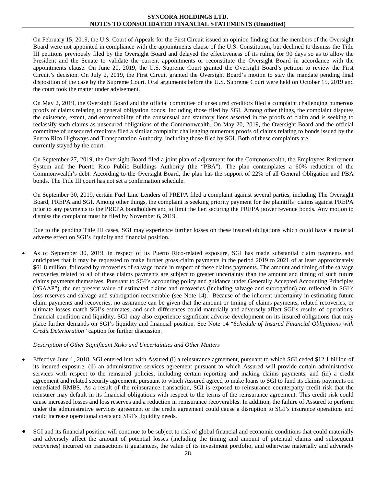On February 15, 2019, the U.S. Court of Appeals for the First Circuit issued an opinion finding that the members of the Oversight Board were not appointed in compliance with the appointments clause of the U.S. Constitution, but declined to dismiss the Title III petitions previously filed by the Oversight Board and delayed the effectiveness of its ruling for 90 days so as to allow the President and the Senate to validate the current appointments or reconstitute the Oversight Board in accordance with the appointments clause. On June 20, 2019, the U.S. Supreme Court granted the Oversight Board's petition to review the First Circuit's decision. On July 2, 2019, the First Circuit granted the Oversight Board's motion to stay the mandate pending final disposition of the case by the Supreme Court. Oral arguments before the U.S. Supreme Court were held on October 15, 2019 and the court took the matter under advisement.

On May 2, 2019, the Oversight Board and the official committee of unsecured creditors filed a complaint challenging numerous proofs of claims relating to general obligation bonds, including those filed by SGI. Among other things, the complaint disputes the existence, extent, and enforceability of the consensual and statutory liens asserted in the proofs of claim and is seeking to reclassify such claims as unsecured obligations of the Commonwealth. On May 20, 2019, the Oversight Board and the official committee of unsecured creditors filed a similar complaint challenging numerous proofs of claims relating to bonds issued by the Puerto Rico Highways and Transportation Authority, including those filed by SGI. Both of these complaints are currently stayed by the court.

On September 27, 2019, the Oversight Board filed a joint plan of adjustment for the Commonwealth, the Employees Retirement System and the Puerto Rico Public Buildings Authority (the "PBA"). The plan contemplates a 60% reduction of the Commonwealth's debt. According to the Oversight Board, the plan has the support of 22% of all General Obligation and PBA bonds. The Title III court has not set a confirmation schedule.

On September 30, 2019, certain Fuel Line Lenders of PREPA filed a complaint against several parties, including The Oversight Board, PREPA and SGI. Among other things, the complaint is seeking priority payment for the plaintiffs' claims against PREPA prior to any payments to the PREPA bondholders and to limit the lien securing the PREPA power revenue bonds. Any motion to dismiss the complaint must be filed by November 6, 2019.

Due to the pending Title III cases, SGI may experience further losses on these insured obligations which could have a material adverse effect on SGI's liquidity and financial position.

• As of September 30, 2019, in respect of its Puerto Rico-related exposure, SGI has made substantial claim payments and anticipates that it may be requested to make further gross claim payments in the period 2019 to 2021 of at least approximately \$61.8 million, followed by recoveries of salvage made in respect of these claims payments. The amount and timing of the salvage recoveries related to all of these claims payments are subject to greater uncertainty than the amount and timing of such future claims payments themselves. Pursuant to SGI's accounting policy and guidance under Generally Accepted Accounting Principles ("GAAP"), the net present value of estimated claims and recoveries (including salvage and subrogation) are reflected in SGI's loss reserves and salvage and subrogation recoverable (see Note 14). Because of the inherent uncertainty in estimating future claim payments and recoveries, no assurance can be given that the amount or timing of claims payments, related recoveries, or ultimate losses match SGI's estimates, and such differences could materially and adversely affect SGI's results of operations, financial condition and liquidity. SGI may also experience significant adverse development on its insured obligations that may place further demands on SGI's liquidity and financial position. See Note 14 "*Schedule of Insured Financial Obligations with Credit Deterioration*" caption for further discussion.

# *Description of Other Significant Risks and Uncertainties and Other Matters*

- Effective June 1, 2018, SGI entered into with Assured (i) a reinsurance agreement, pursuant to which SGI ceded \$12.1 billion of its insured exposure, (ii) an administrative services agreement pursuant to which Assured will provide certain administrative services with respect to the reinsured policies, including certain reporting and making claims payments, and (iii) a credit agreement and related security agreement, pursuant to which Assured agreed to make loans to SGI to fund its claims payments on remediated RMBS. As a result of the reinsurance transaction, SGI is exposed to reinsurance counterparty credit risk that the reinsurer may default in its financial obligations with respect to the terms of the reinsurance agreement. This credit risk could cause increased losses and loss reserves and a reduction in reinsurance recoverables. In addition, the failure of Assured to perform under the administrative services agreement or the credit agreement could cause a disruption to SGI's insurance operations and could increase operational costs and SGI's liquidity needs.
- SGI and its financial position will continue to be subject to risk of global financial and economic conditions that could materially and adversely affect the amount of potential losses (including the timing and amount of potential claims and subsequent recoveries) incurred on transactions it guarantees, the value of its investment portfolio, and otherwise materially and adversely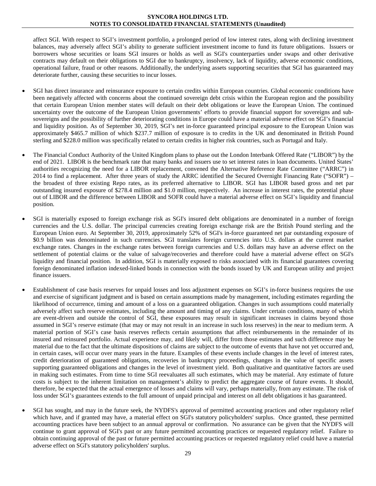affect SGI. With respect to SGI's investment portfolio, a prolonged period of low interest rates, along with declining investment balances, may adversely affect SGI's ability to generate sufficient investment income to fund its future obligations. Issuers or borrowers whose securities or loans SGI insures or holds as well as SGI's counterparties under swaps and other derivative contracts may default on their obligations to SGI due to bankruptcy, insolvency, lack of liquidity, adverse economic conditions, operational failure, fraud or other reasons. Additionally, the underlying assets supporting securities that SGI has guaranteed may deteriorate further, causing these securities to incur losses.

- SGI has direct insurance and reinsurance exposure to certain credits within European countries. Global economic conditions have been negatively affected with concerns about the continued sovereign debt crisis within the European region and the possibility that certain European Union member states will default on their debt obligations or leave the European Union. The continued uncertainty over the outcome of the European Union governments' efforts to provide financial support for sovereigns and subsovereigns and the possibility of further deteriorating conditions in Europe could have a material adverse effect on SGI's financial and liquidity position. As of September 30, 2019, SGI's net in-force guaranteed principal exposure to the European Union was approximately \$465.7 million of which \$237.7 million of exposure is to credits in the UK and denominated in British Pound sterling and \$228.0 million was specifically related to certain credits in higher risk countries, such as Portugal and Italy.
- The Financial Conduct Authority of the United Kingdom plans to phase out the London Interbank Offered Rate ("LIBOR") by the end of 2021. LIBOR is the benchmark rate that many banks and issuers use to set interest rates in loan documents. United States' authorities recognizing the need for a LIBOR replacement, convened the Alternative Reference Rate Committee ("ARRC") in 2014 to find a replacement. After three years of study the ARRC identified the Secured Overnight Financing Rate ("SOFR") – the broadest of three existing Repo rates, as its preferred alternative to LIBOR. SGI has LIBOR based gross and net par outstanding insured exposure of \$278.4 million and \$1.0 million, respectively. An increase in interest rates, the potential phase out of LIBOR and the difference between LIBOR and SOFR could have a material adverse effect on SGI's liquidity and financial position.
- SGI is materially exposed to foreign exchange risk as SGI's insured debt obligations are denominated in a number of foreign currencies and the U.S. dollar. The principal currencies creating foreign exchange risk are the British Pound sterling and the European Union euro. At September 30, 2019, approximately 52% of SGI's in-force guaranteed net par outstanding exposure of \$0.9 billion was denominated in such currencies. SGI translates foreign currencies into U.S. dollars at the current market exchange rates. Changes in the exchange rates between foreign currencies and U.S. dollars may have an adverse effect on the settlement of potential claims or the value of salvage/recoveries and therefore could have a material adverse effect on SGI's liquidity and financial position. In addition, SGI is materially exposed to risks associated with its financial guarantees covering foreign denominated inflation indexed-linked bonds in connection with the bonds issued by UK and European utility and project finance issuers.
- Establishment of case basis reserves for unpaid losses and loss adjustment expenses on SGI's in-force business requires the use and exercise of significant judgment and is based on certain assumptions made by management, including estimates regarding the likelihood of occurrence, timing and amount of a loss on a guaranteed obligation. Changes in such assumptions could materially adversely affect such reserve estimates, including the amount and timing of any claims. Under certain conditions, many of which are event-driven and outside the control of SGI, these exposures may result in significant increases in claims beyond those assumed in SGI's reserve estimate (that may or may not result in an increase in such loss reserves) in the near to medium term. A material portion of SGI's case basis reserves reflects certain assumptions that affect reimbursements in the remainder of its insured and reinsured portfolio. Actual experience may, and likely will, differ from those estimates and such difference may be material due to the fact that the ultimate dispositions of claims are subject to the outcome of events that have not yet occurred and, in certain cases, will occur over many years in the future. Examples of these events include changes in the level of interest rates, credit deterioration of guaranteed obligations, recoveries in bankruptcy proceedings, changes in the value of specific assets supporting guaranteed obligations and changes in the level of investment yield. Both qualitative and quantitative factors are used in making such estimates. From time to time SGI reevaluates all such estimates, which may be material. Any estimate of future costs is subject to the inherent limitation on management's ability to predict the aggregate course of future events. It should, therefore, be expected that the actual emergence of losses and claims will vary, perhaps materially, from any estimate. The risk of loss under SGI's guarantees extends to the full amount of unpaid principal and interest on all debt obligations it has guaranteed.
- SGI has sought, and may in the future seek, the NYDFS's approval of permitted accounting practices and other regulatory relief which have, and if granted may have, a material effect on SGI's statutory policyholders' surplus. Once granted, these permitted accounting practices have been subject to an annual approval or confirmation. No assurance can be given that the NYDFS will continue to grant approval of SGI's past or any future permitted accounting practices or requested regulatory relief. Failure to obtain continuing approval of the past or future permitted accounting practices or requested regulatory relief could have a material adverse effect on SGI's statutory policyholders' surplus.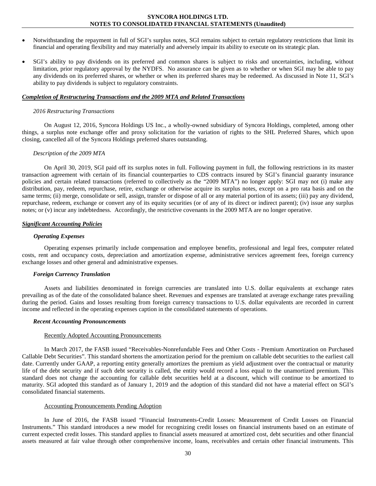- Notwithstanding the repayment in full of SGI's surplus notes, SGI remains subject to certain regulatory restrictions that limit its financial and operating flexibility and may materially and adversely impair its ability to execute on its strategic plan.
- SGI's ability to pay dividends on its preferred and common shares is subject to risks and uncertainties, including, without limitation, prior regulatory approval by the NYDFS. No assurance can be given as to whether or when SGI may be able to pay any dividends on its preferred shares, or whether or when its preferred shares may be redeemed. As discussed in Note 11, SGI's ability to pay dividends is subject to regulatory constraints.

#### *Completion of Restructuring Transactions and the 2009 MTA and Related Transactions*

#### *2016 Restructuring Transactions*

On August 12, 2016, Syncora Holdings US Inc., a wholly-owned subsidiary of Syncora Holdings, completed, among other things, a surplus note exchange offer and proxy solicitation for the variation of rights to the SHL Preferred Shares, which upon closing, cancelled all of the Syncora Holdings preferred shares outstanding.

#### *Description of the 2009 MTA*

On April 30, 2019, SGI paid off its surplus notes in full. Following payment in full, the following restrictions in its master transaction agreement with certain of its financial counterparties to CDS contracts insured by SGI's financial guaranty insurance policies and certain related transactions (referred to collectively as the "2009 MTA") no longer apply: SGI may not (i) make any distribution, pay, redeem, repurchase, retire, exchange or otherwise acquire its surplus notes, except on a pro rata basis and on the same terms; (ii) merge, consolidate or sell, assign, transfer or dispose of all or any material portion of its assets; (iii) pay any dividend, repurchase, redeem, exchange or convert any of its equity securities (or of any of its direct or indirect parent); (iv) issue any surplus notes; or (v) incur any indebtedness. Accordingly, the restrictive covenants in the 2009 MTA are no longer operative.

## *Significant Accounting Policies*

#### *Operating Expenses*

Operating expenses primarily include compensation and employee benefits, professional and legal fees, computer related costs, rent and occupancy costs, depreciation and amortization expense, administrative services agreement fees, foreign currency exchange losses and other general and administrative expenses.

#### *Foreign Currency Translation*

Assets and liabilities denominated in foreign currencies are translated into U.S. dollar equivalents at exchange rates prevailing as of the date of the consolidated balance sheet. Revenues and expenses are translated at average exchange rates prevailing during the period. Gains and losses resulting from foreign currency transactions to U.S. dollar equivalents are recorded in current income and reflected in the operating expenses caption in the consolidated statements of operations.

#### *Recent Accounting Pronouncements*

#### Recently Adopted Accounting Pronouncements

In March 2017, the FASB issued "Receivables-Nonrefundable Fees and Other Costs - Premium Amortization on Purchased Callable Debt Securities". This standard shortens the amortization period for the premium on callable debt securities to the earliest call date. Currently under GAAP, a reporting entity generally amortizes the premium as yield adjustment over the contractual or maturity life of the debt security and if such debt security is called, the entity would record a loss equal to the unamortized premium. This standard does not change the accounting for callable debt securities held at a discount, which will continue to be amortized to maturity. SGI adopted this standard as of January 1, 2019 and the adoption of this standard did not have a material effect on SGI's consolidated financial statements.

## Accounting Pronouncements Pending Adoption

In June of 2016, the FASB issued "Financial Instruments-Credit Losses: Measurement of Credit Losses on Financial Instruments." This standard introduces a new model for recognizing credit losses on financial instruments based on an estimate of current expected credit losses. This standard applies to financial assets measured at amortized cost, debt securities and other financial assets measured at fair value through other comprehensive income, loans, receivables and certain other financial instruments. This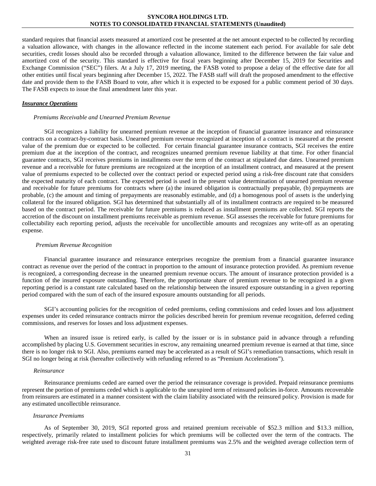standard requires that financial assets measured at amortized cost be presented at the net amount expected to be collected by recording a valuation allowance, with changes in the allowance reflected in the income statement each period. For available for sale debt securities, credit losses should also be recorded through a valuation allowance, limited to the difference between the fair value and amortized cost of the security. This standard is effective for fiscal years beginning after December 15, 2019 for Securities and Exchange Commission ("SEC") filers. At a July 17, 2019 meeting, the FASB voted to propose a delay of the effective date for all other entities until fiscal years beginning after December 15, 2022. The FASB staff will draft the proposed amendment to the effective date and provide them to the FASB Board to vote, after which it is expected to be exposed for a public comment period of 30 days. The FASB expects to issue the final amendment later this year.

#### *Insurance Operations*

#### *Premiums Receivable and Unearned Premium Revenue*

SGI recognizes a liability for unearned premium revenue at the inception of financial guarantee insurance and reinsurance contracts on a contract-by-contract basis. Unearned premium revenue recognized at inception of a contract is measured at the present value of the premium due or expected to be collected. For certain financial guarantee insurance contracts, SGI receives the entire premium due at the inception of the contract, and recognizes unearned premium revenue liability at that time. For other financial guarantee contracts, SGI receives premiums in installments over the term of the contract at stipulated due dates. Unearned premium revenue and a receivable for future premiums are recognized at the inception of an installment contract, and measured at the present value of premiums expected to be collected over the contract period or expected period using a risk-free discount rate that considers the expected maturity of each contract. The expected period is used in the present value determination of unearned premium revenue and receivable for future premiums for contracts where (a) the insured obligation is contractually prepayable, (b) prepayments are probable, (c) the amount and timing of prepayments are reasonably estimable, and (d) a homogenous pool of assets is the underlying collateral for the insured obligation. SGI has determined that substantially all of its installment contracts are required to be measured based on the contract period. The receivable for future premiums is reduced as installment premiums are collected. SGI reports the accretion of the discount on installment premiums receivable as premium revenue. SGI assesses the receivable for future premiums for collectability each reporting period, adjusts the receivable for uncollectible amounts and recognizes any write-off as an operating expense.

#### *Premium Revenue Recognition*

Financial guarantee insurance and reinsurance enterprises recognize the premium from a financial guarantee insurance contract as revenue over the period of the contract in proportion to the amount of insurance protection provided. As premium revenue is recognized, a corresponding decrease in the unearned premium revenue occurs. The amount of insurance protection provided is a function of the insured exposure outstanding. Therefore, the proportionate share of premium revenue to be recognized in a given reporting period is a constant rate calculated based on the relationship between the insured exposure outstanding in a given reporting period compared with the sum of each of the insured exposure amounts outstanding for all periods.

SGI's accounting policies for the recognition of ceded premiums, ceding commissions and ceded losses and loss adjustment expenses under its ceded reinsurance contracts mirror the policies described herein for premium revenue recognition, deferred ceding commissions, and reserves for losses and loss adjustment expenses.

When an insured issue is retired early, is called by the issuer or is in substance paid in advance through a refunding accomplished by placing U.S. Government securities in escrow, any remaining unearned premium revenue is earned at that time, since there is no longer risk to SGI. Also, premiums earned may be accelerated as a result of SGI's remediation transactions, which result in SGI no longer being at risk (hereafter collectively with refunding referred to as "Premium Accelerations").

#### *Reinsurance*

Reinsurance premiums ceded are earned over the period the reinsurance coverage is provided. Prepaid reinsurance premiums represent the portion of premiums ceded which is applicable to the unexpired term of reinsured policies in-force. Amounts recoverable from reinsurers are estimated in a manner consistent with the claim liability associated with the reinsured policy. Provision is made for any estimated uncollectible reinsurance.

#### *Insurance Premiums*

As of September 30, 2019, SGI reported gross and retained premium receivable of \$52.3 million and \$13.3 million, respectively, primarily related to installment policies for which premiums will be collected over the term of the contracts. The weighted average risk-free rate used to discount future installment premiums was 2.5% and the weighted average collection term of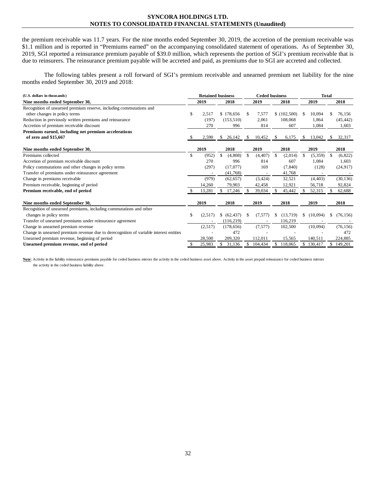the premium receivable was 11.7 years. For the nine months ended September 30, 2019, the accretion of the premium receivable was \$1.1 million and is reported in "Premiums earned" on the accompanying consolidated statement of operations. As of September 30, 2019, SGI reported a reinsurance premium payable of \$39.0 million, which represents the portion of SGI's premium receivable that is due to reinsurers. The reinsurance premium payable will be accreted and paid, as premiums due to SGI are accreted and collected.

The following tables present a roll forward of SGI's premium receivable and unearned premium net liability for the nine months ended September 30, 2019 and 2018:

| (U.S. dollars in thousands)                                                           | <b>Retained business</b> |         |    |              |                    | <b>Ceded business</b> |     | <b>Total</b> |    |                          |     |           |
|---------------------------------------------------------------------------------------|--------------------------|---------|----|--------------|--------------------|-----------------------|-----|--------------|----|--------------------------|-----|-----------|
| Nine months ended September 30,                                                       |                          | 2019    |    | 2018         |                    | 2019                  |     | 2018         |    | 2019                     |     | 2018      |
| Recognition of unearned premium reserve, including commutations and                   |                          |         |    |              |                    |                       |     |              |    |                          |     |           |
| other changes in policy terms                                                         | \$                       | 2,517   |    | \$178,656    | -S                 | 7,577                 |     | \$(102,500)  | \$ | 10,094                   | S   | 76,156    |
| Reduction in previously written premiums and reinsurance                              |                          | (197)   |    | (153, 510)   |                    | 2,061                 |     | 108,068      |    | 1,864                    |     | (45, 442) |
| Accretion of premium receivable discount                                              |                          | 270     |    | 996          |                    | 814                   |     | 607          |    | 1,084                    |     | 1,603     |
| Premiums earned, including net premium accelerations                                  |                          |         |    |              |                    |                       |     |              |    |                          |     |           |
| of zero and \$15,667                                                                  |                          | 2,590   | S  | 26,142       | -S                 | 10,452                | S   | 6,175        | S  | 13,042                   | -S  | 32,317    |
| Nine months ended September 30,                                                       |                          | 2019    |    | 2018         |                    | 2019                  |     | 2018         |    | 2019                     |     | 2018      |
| Premiums collected                                                                    | \$                       | (952)   | \$ | (4,808)      | $\mathbf{\hat{S}}$ | (4, 407)              | \$  | (2,014)      | \$ | (5,359)                  | -\$ | (6,822)   |
| Accretion of premium receivable discount                                              |                          | 270     |    | 996          |                    | 814                   |     | 607          |    | 1,084                    |     | 1,603     |
| Policy commutations and other changes in policy terms                                 |                          | (297)   |    | (17,077)     |                    | 169                   |     | (7, 840)     |    | (128)                    |     | (24, 917) |
| Transfer of premiums under reinsurance agreement                                      |                          |         |    | (41,768)     |                    |                       |     | 41,768       |    | $\overline{\phantom{a}}$ |     |           |
| Change in premiums receivable                                                         |                          | (979)   |    | (62, 657)    |                    | (3, 424)              |     | 32,521       |    | (4, 403)                 |     | (30, 136) |
| Premium receivable, beginning of period                                               |                          | 14,260  |    | 79,903       |                    | 42,458                |     | 12,921       |    | 56,718                   |     | 92,824    |
| Premium receivable, end of period                                                     |                          | 13,281  | \$ | 17,246       |                    | 39,034                | \$  | 45,442       | \$ | 52,315                   | -S  | 62,688    |
| Nine months ended September 30,                                                       |                          | 2019    |    | 2018         |                    | 2019                  |     | 2018         |    | 2019                     |     | 2018      |
| Recognition of unearned premiums, including commutations and other                    |                          |         |    |              |                    |                       |     |              |    |                          |     |           |
| changes in policy terms                                                               | \$                       | (2,517) |    | \$ (62, 437) | -S                 | (7,577)               | S   | (13,719)     | S  | (10,094)                 | S   | (76, 156) |
| Transfer of unearned premiums under reinsurance agreement                             |                          |         |    | (116, 219)   |                    |                       |     | 116,219      |    |                          |     |           |
| Change in unearned premium revenue                                                    |                          | (2,517) |    | (178, 656)   |                    | (7,577)               |     | 102,500      |    | (10,094)                 |     | (76, 156) |
| Change in unearned premium revenue due to derecognition of variable interest entities |                          |         |    | 472          |                    |                       |     |              |    |                          |     | 472       |
| Unearned premium revenue, beginning of period                                         |                          | 28,500  |    | 209,320      |                    | 112,011               |     | 15,565       |    | 140,511                  |     | 224,885   |
| Unearned premium revenue, end of period                                               | S                        | 25,983  | \$ | 31,136       | \$.                | 104,434               | \$. | 118,065      |    | \$130,417                |     | \$149,201 |

Note: Activity in the liability reinsurance premiums payable for ceded business mirrors the activity in the ceded business asset above. Activity in the asset prepaid reinsurance for ceded business mirrors the activity in the ceded business liability above.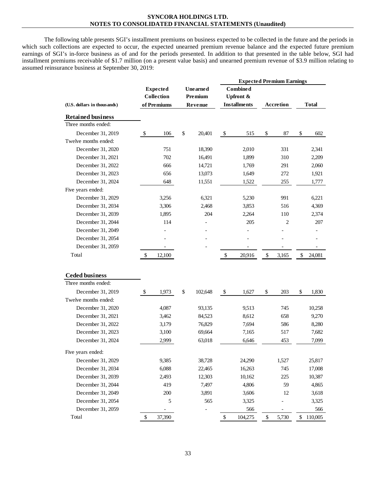The following table presents SGI's installment premiums on business expected to be collected in the future and the periods in which such collections are expected to occur, the expected unearned premium revenue balance and the expected future premium earnings of SGI's in-force business as of and for the periods presented. In addition to that presented in the table below, SGI had installment premiums receivable of \$1.7 million (on a present value basis) and unearned premium revenue of \$3.9 million relating to assumed reinsurance business at September 30, 2019:

|                             |                   |              |          | <b>Expected Premium Earnings</b> |                     |    |                  |    |              |
|-----------------------------|-------------------|--------------|----------|----------------------------------|---------------------|----|------------------|----|--------------|
|                             | <b>Expected</b>   |              | Unearned |                                  | <b>Combined</b>     |    |                  |    |              |
|                             | <b>Collection</b> |              | Premium  |                                  | Upfront &           |    |                  |    |              |
| (U.S. dollars in thousands) | of Premiums       |              | Revenue  |                                  | <b>Installments</b> |    | <b>Accretion</b> |    | <b>Total</b> |
| <b>Retained business</b>    |                   |              |          |                                  |                     |    |                  |    |              |
| Three months ended:         |                   |              |          |                                  |                     |    |                  |    |              |
| December 31, 2019           | \$<br>106         | $\mathbb{S}$ | 20,401   | $\$$                             | 515                 | \$ | 87               | \$ | 602          |
| Twelve months ended:        |                   |              |          |                                  |                     |    |                  |    |              |
| December 31, 2020           | 751               |              | 18,390   |                                  | 2,010               |    | 331              |    | 2,341        |
| December 31, 2021           | 702               |              | 16,491   |                                  | 1,899               |    | 310              |    | 2,209        |
| December 31, 2022           | 666               |              | 14,721   |                                  | 1,769               |    | 291              |    | 2,060        |
| December 31, 2023           | 656               |              | 13,073   |                                  | 1,649               |    | 272              |    | 1,921        |
| December 31, 2024           | 648               |              | 11,551   |                                  | 1,522               |    | 255              |    | 1,777        |
| Five years ended:           |                   |              |          |                                  |                     |    |                  |    |              |
| December 31, 2029           | 3,256             |              | 6,321    |                                  | 5,230               |    | 991              |    | 6,221        |
| December 31, 2034           | 3,306             |              | 2,468    |                                  | 3,853               |    | 516              |    | 4,369        |
| December 31, 2039           | 1,895             |              | 204      |                                  | 2,264               |    | 110              |    | 2,374        |
| December 31, 2044           | 114               |              |          |                                  | 205                 |    | 2                |    | 207          |
| December 31, 2049           |                   |              |          |                                  |                     |    |                  |    |              |
| December 31, 2054           |                   |              |          |                                  |                     |    |                  |    |              |
| December 31, 2059           |                   |              |          |                                  |                     |    |                  |    |              |
| Total                       | \$<br>12,100      |              |          | \$                               | 20,916              | \$ | 3,165            | \$ | 24,081       |
|                             |                   |              |          |                                  |                     |    |                  |    |              |
|                             |                   |              |          |                                  |                     |    |                  |    |              |
| <b>Ceded business</b>       |                   |              |          |                                  |                     |    |                  |    |              |
| Three months ended:         |                   |              |          |                                  |                     |    |                  |    |              |
| December 31, 2019           | \$<br>1,973       | \$           | 102,648  | \$                               | 1,627               | \$ | 203              | \$ | 1,830        |
| Twelve months ended:        |                   |              |          |                                  |                     |    |                  |    |              |
| December 31, 2020           | 4,087             |              | 93,135   |                                  | 9,513               |    | 745              |    | 10,258       |
| December 31, 2021           | 3,462             |              | 84,523   |                                  | 8,612               |    | 658              |    | 9,270        |
| December 31, 2022           | 3,179             |              | 76,829   |                                  | 7,694               |    | 586              |    | 8,280        |
| December 31, 2023           | 3,100             |              | 69,664   |                                  | 7,165               |    | 517              |    | 7,682        |
| December 31, 2024           | 2,999             |              | 63,018   |                                  | 6,646               |    | 453              |    | 7,099        |
| Five years ended:           |                   |              |          |                                  |                     |    |                  |    |              |
| December 31, 2029           | 9,385             |              | 38,728   |                                  | 24,290              |    | 1,527            |    | 25,817       |
| December 31, 2034           | 6,088             |              | 22,465   |                                  | 16,263              |    | 745              |    | 17,008       |
| December 31, 2039           | 2,493             |              | 12,303   |                                  | 10,162              |    | $225\,$          |    | 10,387       |
| December 31, 2044           | 419               |              | 7,497    |                                  | 4,806               |    | 59               |    | 4,865        |
| December 31, 2049           | 200               |              | 3,891    |                                  | 3,606               |    | 12               |    | 3,618        |
| December 31, 2054           | 5                 |              | 565      |                                  | 3,325               |    |                  |    | 3,325        |
| December 31, 2059           |                   |              |          |                                  | 566                 |    |                  |    | 566          |
| Total                       | \$<br>37,390      |              |          | \$                               | 104,275             | \$ | 5,730            |    | \$110,005    |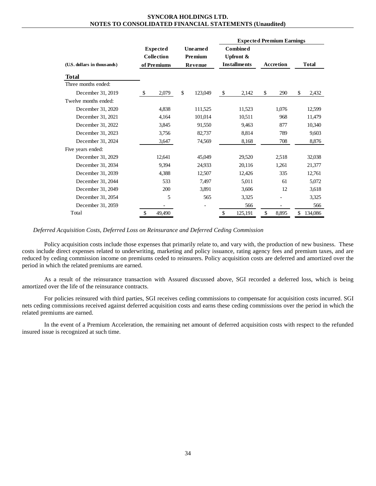|                             |                                              |                                | <b>Expected Premium Earnings</b>                               |                  |               |
|-----------------------------|----------------------------------------------|--------------------------------|----------------------------------------------------------------|------------------|---------------|
| (U.S. dollars in thousands) | <b>Expected</b><br>Collection<br>of Premiums | Unearned<br>Premium<br>Revenue | <b>Combined</b><br><b>Upfront &amp;</b><br><b>Installments</b> | <b>Accretion</b> | <b>Total</b>  |
|                             |                                              |                                |                                                                |                  |               |
| Total                       |                                              |                                |                                                                |                  |               |
| Three months ended:         |                                              |                                |                                                                |                  |               |
| December 31, 2019           | \$<br>2,079                                  | \$<br>123,049                  | \$<br>2,142                                                    | \$<br>290        | \$<br>2,432   |
| Twelve months ended:        |                                              |                                |                                                                |                  |               |
| December 31, 2020           | 4,838                                        | 111,525                        | 11,523                                                         | 1,076            | 12,599        |
| December 31, 2021           | 4,164                                        | 101,014                        | 10,511                                                         | 968              | 11,479        |
| December 31, 2022           | 3,845                                        | 91,550                         | 9.463                                                          | 877              | 10,340        |
| December 31, 2023           | 3,756                                        | 82,737                         | 8,814                                                          | 789              | 9,603         |
| December 31, 2024           | 3,647                                        | 74,569                         | 8,168                                                          | 708              | 8,876         |
| Five years ended:           |                                              |                                |                                                                |                  |               |
| December 31, 2029           | 12,641                                       | 45,049                         | 29,520                                                         | 2,518            | 32,038        |
| December 31, 2034           | 9,394                                        | 24,933                         | 20,116                                                         | 1,261            | 21,377        |
| December 31, 2039           | 4,388                                        | 12,507                         | 12,426                                                         | 335              | 12,761        |
| December 31, 2044           | 533                                          | 7,497                          | 5,011                                                          | 61               | 5,072         |
| December 31, 2049           | 200                                          | 3,891                          | 3,606                                                          | 12               | 3,618         |
| December 31, 2054           | 5                                            | 565                            | 3,325                                                          |                  | 3,325         |
| December 31, 2059           |                                              |                                | 566                                                            |                  | 566           |
| Total                       | \$<br>49,490                                 |                                | \$<br>125,191                                                  | \$<br>8,895      | \$<br>134,086 |

*Deferred Acquisition Costs, Deferred Loss on Reinsurance and Deferred Ceding Commission*

Policy acquisition costs include those expenses that primarily relate to, and vary with, the production of new business. These costs include direct expenses related to underwriting, marketing and policy issuance, rating agency fees and premium taxes, and are reduced by ceding commission income on premiums ceded to reinsurers. Policy acquisition costs are deferred and amortized over the period in which the related premiums are earned.

As a result of the reinsurance transaction with Assured discussed above, SGI recorded a deferred loss, which is being amortized over the life of the reinsurance contracts.

For policies reinsured with third parties, SGI receives ceding commissions to compensate for acquisition costs incurred. SGI nets ceding commissions received against deferred acquisition costs and earns these ceding commissions over the period in which the related premiums are earned.

In the event of a Premium Acceleration, the remaining net amount of deferred acquisition costs with respect to the refunded insured issue is recognized at such time.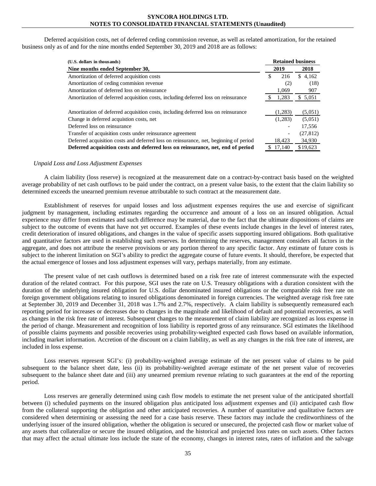Deferred acquisition costs, net of deferred ceding commission revenue, as well as related amortization, for the retained business only as of and for the nine months ended September 30, 2019 and 2018 are as follows:

| (U.S. dollars in thousands)                                                           |           | <b>Retained business</b> |
|---------------------------------------------------------------------------------------|-----------|--------------------------|
| Nine months ended September 30,                                                       | 2019      | 2018                     |
| Amortization of deferred acquisition costs                                            | \$<br>216 | \$4,162                  |
| Amortization of ceding commision revenue                                              | (2)       | (18)                     |
| Amortization of deferred loss on reinsurance                                          | 1,069     | 907                      |
| Amortization of deferred acquisition costs, including deferred loss on reinsurance    | 1,283     | \$ 5,051                 |
|                                                                                       |           |                          |
| Amortization of deferred acquisition costs, including deferred loss on reinsurance    | (1,283)   | (5,051)                  |
| Change in deferred acquistion costs, net                                              | (1,283)   | (5,051)                  |
| Deferred loss on reinsurance                                                          |           | 17,556                   |
| Transfer of acquisition costs under reinsurance agreement                             |           | (27, 812)                |
| Deferred acquisition costs and deferred loss on reinsurance, net, beginning of period | 18,423    | 34,930                   |
| Deferred acquisition costs and deferred loss on reinsurance, net, end of period       | 17.140    | \$19.623                 |

#### *Unpaid Loss and Loss Adjustment Expenses*

A claim liability (loss reserve) is recognized at the measurement date on a contract-by-contract basis based on the weighted average probability of net cash outflows to be paid under the contract, on a present value basis, to the extent that the claim liability so determined exceeds the unearned premium revenue attributable to such contract at the measurement date.

Establishment of reserves for unpaid losses and loss adjustment expenses requires the use and exercise of significant judgment by management, including estimates regarding the occurrence and amount of a loss on an insured obligation. Actual experience may differ from estimates and such difference may be material, due to the fact that the ultimate dispositions of claims are subject to the outcome of events that have not yet occurred. Examples of these events include changes in the level of interest rates, credit deterioration of insured obligations, and changes in the value of specific assets supporting insured obligations. Both qualitative and quantitative factors are used in establishing such reserves. In determining the reserves, management considers all factors in the aggregate, and does not attribute the reserve provisions or any portion thereof to any specific factor. Any estimate of future costs is subject to the inherent limitation on SGI's ability to predict the aggregate course of future events. It should, therefore, be expected that the actual emergence of losses and loss adjustment expenses will vary, perhaps materially, from any estimate.

The present value of net cash outflows is determined based on a risk free rate of interest commensurate with the expected duration of the related contract. For this purpose, SGI uses the rate on U.S. Treasury obligations with a duration consistent with the duration of the underlying insured obligation for U.S. dollar denominated insured obligations or the comparable risk free rate on foreign government obligations relating to insured obligations denominated in foreign currencies. The weighted average risk free rate at September 30, 2019 and December 31, 2018 was 1.7% and 2.7%, respectively. A claim liability is subsequently remeasured each reporting period for increases or decreases due to changes in the magnitude and likelihood of default and potential recoveries, as well as changes in the risk free rate of interest. Subsequent changes to the measurement of claim liability are recognized as loss expense in the period of change. Measurement and recognition of loss liability is reported gross of any reinsurance. SGI estimates the likelihood of possible claims payments and possible recoveries using probability-weighted expected cash flows based on available information, including market information. Accretion of the discount on a claim liability, as well as any changes in the risk free rate of interest, are included in loss expense.

Loss reserves represent SGI's: (i) probability-weighted average estimate of the net present value of claims to be paid subsequent to the balance sheet date, less (ii) its probability-weighted average estimate of the net present value of recoveries subsequent to the balance sheet date and (iii) any unearned premium revenue relating to such guarantees at the end of the reporting period.

Loss reserves are generally determined using cash flow models to estimate the net present value of the anticipated shortfall between (i) scheduled payments on the insured obligation plus anticipated loss adjustment expenses and (ii) anticipated cash flow from the collateral supporting the obligation and other anticipated recoveries. A number of quantitative and qualitative factors are considered when determining or assessing the need for a case basis reserve. These factors may include the creditworthiness of the underlying issuer of the insured obligation, whether the obligation is secured or unsecured, the projected cash flow or market value of any assets that collateralize or secure the insured obligation, and the historical and projected loss rates on such assets. Other factors that may affect the actual ultimate loss include the state of the economy, changes in interest rates, rates of inflation and the salvage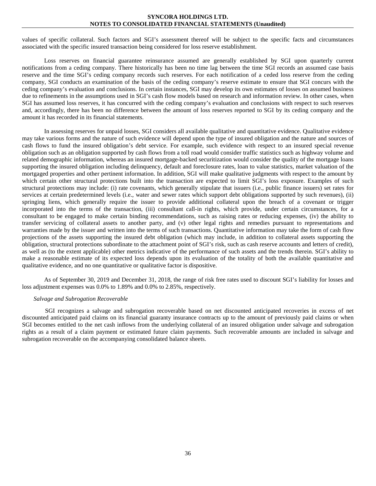values of specific collateral. Such factors and SGI's assessment thereof will be subject to the specific facts and circumstances associated with the specific insured transaction being considered for loss reserve establishment.

Loss reserves on financial guarantee reinsurance assumed are generally established by SGI upon quarterly current notifications from a ceding company. There historically has been no time lag between the time SGI records an assumed case basis reserve and the time SGI's ceding company records such reserves. For each notification of a ceded loss reserve from the ceding company, SGI conducts an examination of the basis of the ceding company's reserve estimate to ensure that SGI concurs with the ceding company's evaluation and conclusions. In certain instances, SGI may develop its own estimates of losses on assumed business due to refinements in the assumptions used in SGI's cash flow models based on research and information review. In other cases, when SGI has assumed loss reserves, it has concurred with the ceding company's evaluation and conclusions with respect to such reserves and, accordingly, there has been no difference between the amount of loss reserves reported to SGI by its ceding company and the amount it has recorded in its financial statements.

In assessing reserves for unpaid losses, SGI considers all available qualitative and quantitative evidence. Qualitative evidence may take various forms and the nature of such evidence will depend upon the type of insured obligation and the nature and sources of cash flows to fund the insured obligation's debt service. For example, such evidence with respect to an insured special revenue obligation such as an obligation supported by cash flows from a toll road would consider traffic statistics such as highway volume and related demographic information, whereas an insured mortgage-backed securitization would consider the quality of the mortgage loans supporting the insured obligation including delinquency, default and foreclosure rates, loan to value statistics, market valuation of the mortgaged properties and other pertinent information. In addition, SGI will make qualitative judgments with respect to the amount by which certain other structural protections built into the transaction are expected to limit SGI's loss exposure. Examples of such structural protections may include: (i) rate covenants, which generally stipulate that issuers (i.e., public finance issuers) set rates for services at certain predetermined levels (i.e., water and sewer rates which support debt obligations supported by such revenues), (ii) springing liens, which generally require the issuer to provide additional collateral upon the breach of a covenant or trigger incorporated into the terms of the transaction, (iii) consultant call-in rights, which provide, under certain circumstances, for a consultant to be engaged to make certain binding recommendations, such as raising rates or reducing expenses, (iv) the ability to transfer servicing of collateral assets to another party, and (v) other legal rights and remedies pursuant to representations and warranties made by the issuer and written into the terms of such transactions. Quantitative information may take the form of cash flow projections of the assets supporting the insured debt obligation (which may include, in addition to collateral assets supporting the obligation, structural protections subordinate to the attachment point of SGI's risk, such as cash reserve accounts and letters of credit), as well as (to the extent applicable) other metrics indicative of the performance of such assets and the trends therein. SGI's ability to make a reasonable estimate of its expected loss depends upon its evaluation of the totality of both the available quantitative and qualitative evidence, and no one quantitative or qualitative factor is dispositive.

As of September 30, 2019 and December 31, 2018, the range of risk free rates used to discount SGI's liability for losses and loss adjustment expenses was 0.0% to 1.89% and 0.0% to 2.85%, respectively.

#### *Salvage and Subrogation Recoverable*

SGI recognizes a salvage and subrogation recoverable based on net discounted anticipated recoveries in excess of net discounted anticipated paid claims on its financial guaranty insurance contracts up to the amount of previously paid claims or when SGI becomes entitled to the net cash inflows from the underlying collateral of an insured obligation under salvage and subrogation rights as a result of a claim payment or estimated future claim payments. Such recoverable amounts are included in salvage and subrogation recoverable on the accompanying consolidated balance sheets.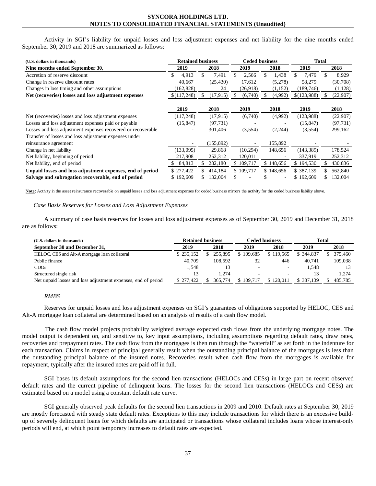Activity in SGI's liability for unpaid losses and loss adjustment expenses and net liability for the nine months ended September 30, 2019 and 2018 are summarized as follows:

| (U.S. dollars in thousands)                                  | <b>Retained business</b> |            | <b>Ceded business</b> |           |  |           |  | <b>Total</b> |    |           |  |
|--------------------------------------------------------------|--------------------------|------------|-----------------------|-----------|--|-----------|--|--------------|----|-----------|--|
| Nine months ended September 30,                              | 2019                     | 2018       |                       | 2019      |  | 2018      |  | 2019         |    | 2018      |  |
| Accretion of reserve discount                                | 4,913                    | 7,491      |                       | 2,566     |  | 1,438     |  | 7,479        | \$ | 8,929     |  |
| Change in reserve discount rates                             | 40,667                   | (25, 430)  |                       | 17,612    |  | (5,278)   |  | 58,279       |    | (30,708)  |  |
| Changes in loss timing and other assumptions                 | (162, 828)               | 24         |                       | (26,918)  |  | (1, 152)  |  | (189, 746)   |    | (1,128)   |  |
| Net (recoveries) losses and loss adjustment expenses         | \$(117,248)              | (17, 915)  |                       | (6,740)   |  | (4,992)   |  | \$(123,988)  |    | (22,907)  |  |
|                                                              |                          |            |                       |           |  |           |  |              |    |           |  |
|                                                              | 2019                     | 2018       |                       | 2019      |  | 2018      |  | 2019         |    | 2018      |  |
| Net (recoveries) losses and loss adjustment expenses         | (117, 248)               | (17, 915)  |                       | (6,740)   |  | (4,992)   |  | (123,988)    |    | (22,907)  |  |
| Losses and loss adjustment expenses paid or payable          | (15, 847)                | (97, 731)  |                       |           |  |           |  | (15, 847)    |    | (97, 731) |  |
| Losses and loss adjustment expenses recovered or recoverable |                          | 301,406    |                       | (3,554)   |  | (2, 244)  |  | (3,554)      |    | 299,162   |  |
| Transfer of losses and loss adjustment expenses under        |                          |            |                       |           |  |           |  |              |    |           |  |
| reinsurance agreement                                        | $\overline{\phantom{a}}$ | (155, 892) |                       |           |  | 155,892   |  |              |    |           |  |
| Change in net liability                                      | (133,095)                | 29,868     |                       | (10, 294) |  | 148,656   |  | (143, 389)   |    | 178,524   |  |
| Net liability, beginning of period                           | 217,908                  | 252,312    |                       | 120,011   |  |           |  | 337,919      |    | 252,312   |  |
| Net liability, end of period                                 | 84,813                   | 282,180    |                       | \$109,717 |  | \$148,656 |  | \$194,530    |    | 430,836   |  |
| Unpaid losses and loss adjustment expenses, end of period    | \$277,422                | 414,184    |                       | \$109,717 |  | \$148,656 |  | \$387,139    |    | 562,840   |  |
| Salvage and subrogation recoverable, end of period           | \$192,609                | 132,004    |                       |           |  |           |  | \$192,609    |    | 132,004   |  |

**Note**: Activity in the asset reinsurance recoverable on unpaid losses and loss adjustment expenses for ceded business mirrors the activity for the ceded business liability above.

#### *Case Basis Reserves for Losses and Loss Adjustment Expenses*

A summary of case basis reserves for losses and loss adjustment expenses as of September 30, 2019 and December 31, 2018 are as follows:

| (U.S. dollars in thousands)                                   |           | <b>Retained business</b> |           | Ceded business           | Total      |         |  |  |
|---------------------------------------------------------------|-----------|--------------------------|-----------|--------------------------|------------|---------|--|--|
| September 30 and December 31,                                 | 2019      | 2018                     | 2019      | 2018                     | 2019       | 2018    |  |  |
| HELOC, CES and Alt-A mortgage loan collateral                 | \$235,152 | 255.895                  | \$109,685 | \$119.565                | \$ 344,837 | 375,460 |  |  |
| Public finance                                                | 40,709    | 108.592                  | 32        | 446                      | 40.741     | 109.038 |  |  |
| CDO <sub>s</sub>                                              | 1.548     |                          |           |                          | 1.548      |         |  |  |
| Structured single risk                                        | 13        | 1.274                    |           | $\overline{\phantom{a}}$ | 13         | 1,274   |  |  |
| Net unpaid losses and loss adjustment expenses, end of period | \$277.422 | 365,774                  | \$109.717 | \$120,011                | \$387.139  | 485.785 |  |  |

#### *RMBS*

Reserves for unpaid losses and loss adjustment expenses on SGI's guarantees of obligations supported by HELOC, CES and Alt-A mortgage loan collateral are determined based on an analysis of results of a cash flow model.

The cash flow model projects probability weighted average expected cash flows from the underlying mortgage notes. The model output is dependent on, and sensitive to, key input assumptions, including assumptions regarding default rates, draw rates, recoveries and prepayment rates. The cash flow from the mortgages is then run through the "waterfall" as set forth in the indenture for each transaction. Claims in respect of principal generally result when the outstanding principal balance of the mortgages is less than the outstanding principal balance of the insured notes. Recoveries result when cash flow from the mortgages is available for repayment, typically after the insured notes are paid off in full.

SGI bases its default assumptions for the second lien transactions (HELOCs and CESs) in large part on recent observed default rates and the current pipeline of delinquent loans. The losses for the second lien transactions (HELOCs and CESs) are estimated based on a model using a constant default rate curve.

SGI generally observed peak defaults for the second lien transactions in 2009 and 2010. Default rates at September 30, 2019 are mostly forecasted with steady state default rates. Exceptions to this may include transactions for which there is an excessive buildup of severely delinquent loans for which defaults are anticipated or transactions whose collateral includes loans whose interest-only periods will end, at which point temporary increases to default rates are expected.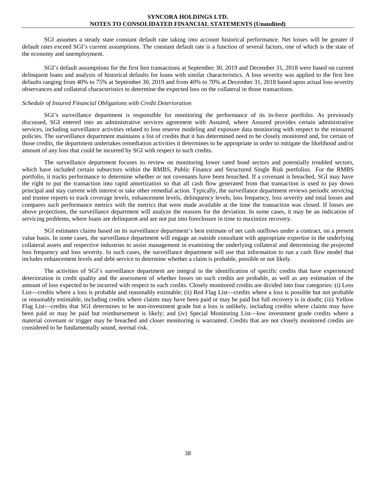SGI assumes a steady state constant default rate taking into account historical performance. Net losses will be greater if default rates exceed SGI's current assumptions. The constant default rate is a function of several factors, one of which is the state of the economy and unemployment.

SGI's default assumptions for the first lien transactions at September 30, 2019 and December 31, 2018 were based on current delinquent loans and analysis of historical defaults for loans with similar characteristics. A loss severity was applied to the first lien defaults ranging from 40% to 75% at September 30, 2019 and from 40% to 70% at December 31, 2018 based upon actual loss severity observances and collateral characteristics to determine the expected loss on the collateral in those transactions.

#### *Schedule of Insured Financial Obligations with Credit Deterioration*

SGI's surveillance department is responsible for monitoring the performance of its in-force portfolio. As previously discussed, SGI entered into an administrative services agreement with Assured, where Assured provides certain administrative services, including surveillance activities related to loss reserve modeling and exposure data monitoring with respect to the reinsured policies. The surveillance department maintains a list of credits that it has determined need to be closely monitored and, for certain of those credits, the department undertakes remediation activities it determines to be appropriate in order to mitigate the likelihood and/or amount of any loss that could be incurred by SGI with respect to such credits.

The surveillance department focuses its review on monitoring lower rated bond sectors and potentially troubled sectors, which have included certain subsectors within the RMBS, Public Finance and Structured Single Risk portfolios. For the RMBS portfolio, it tracks performance to determine whether or not covenants have been breached. If a covenant is breached, SGI may have the right to put the transaction into rapid amortization so that all cash flow generated from that transaction is used to pay down principal and stay current with interest or take other remedial action. Typically, the surveillance department reviews periodic servicing and trustee reports to track coverage levels, enhancement levels, delinquency levels, loss frequency, loss severity and total losses and compares such performance metrics with the metrics that were made available at the time the transaction was closed. If losses are above projections, the surveillance department will analyze the reasons for the deviation. In some cases, it may be an indication of servicing problems, where loans are delinquent and are not put into foreclosure in time to maximize recovery.

SGI estimates claims based on its surveillance department's best estimate of net cash outflows under a contract, on a present value basis. In some cases, the surveillance department will engage an outside consultant with appropriate expertise in the underlying collateral assets and respective industries to assist management in examining the underlying collateral and determining the projected loss frequency and loss severity. In such cases, the surveillance department will use that information to run a cash flow model that includes enhancement levels and debt service to determine whether a claim is probable, possible or not likely.

The activities of SGI's surveillance department are integral to the identification of specific credits that have experienced deterioration in credit quality and the assessment of whether losses on such credits are probable, as well as any estimation of the amount of loss expected to be incurred with respect to such credits. Closely monitored credits are divided into four categories: (i) Loss List—credits where a loss is probable and reasonably estimable; (ii) Red Flag List—credits where a loss is possible but not probable or reasonably estimable, including credits where claims may have been paid or may be paid but full recovery is in doubt; (iii) Yellow Flag List—credits that SGI determines to be non-investment grade but a loss is unlikely, including credits where claims may have been paid or may be paid but reimbursement is likely; and (iv) Special Monitoring List—low investment grade credits where a material covenant or trigger may be breached and closer monitoring is warranted. Credits that are not closely monitored credits are considered to be fundamentally sound, normal risk.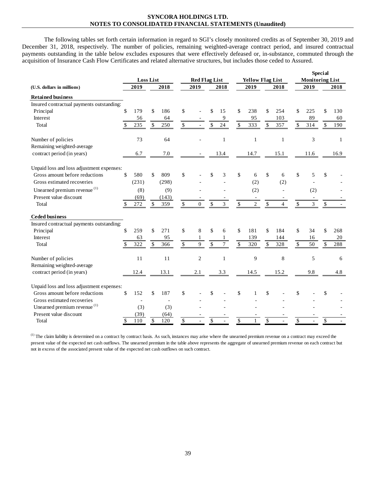The following tables set forth certain information in regard to SGI's closely monitored credits as of September 30, 2019 and December 31, 2018, respectively. The number of policies, remaining weighted-average contract period, and insured contractual payments outstanding in the table below excludes exposures that were effectively defeased or, in-substance, commuted through the acquisition of Insurance Cash Flow Certificates and related alternative structures, but includes those ceded to Assured.

|                                           |              |                  |              |       |                          |                      |                          |                |              |                         |                          |              |                    |                        | <b>Special</b> |      |
|-------------------------------------------|--------------|------------------|--------------|-------|--------------------------|----------------------|--------------------------|----------------|--------------|-------------------------|--------------------------|--------------|--------------------|------------------------|----------------|------|
|                                           |              | <b>Loss List</b> |              |       |                          | <b>Red Flag List</b> |                          |                |              | <b>Yellow Flag List</b> |                          |              |                    | <b>Monitoring List</b> |                |      |
| (U.S. dollars in millions)                |              | 2019             |              | 2018  |                          | 2019                 |                          | 2018           |              | 2019                    |                          | 2018         |                    | 2019                   |                | 2018 |
| <b>Retained business</b>                  |              |                  |              |       |                          |                      |                          |                |              |                         |                          |              |                    |                        |                |      |
| Insured contractual payments outstanding: |              |                  |              |       |                          |                      |                          |                |              |                         |                          |              |                    |                        |                |      |
| Principal                                 | \$           | 179              | \$           | 186   | \$                       |                      | \$                       | 15             | $\mathbb{S}$ | 238                     | \$                       | 254          | \$                 | 225                    |                | 130  |
| Interest                                  |              | 56               |              | 64    |                          |                      |                          | 9              |              | 95                      |                          | 103          |                    | 89                     |                | 60   |
| Total                                     | \$           | 235              | \$           | 250   | $\$$                     |                      | \$                       | 24             | $\mathbb{S}$ | 333                     | \$                       | 357          | \$                 | 314                    | \$             | 190  |
| Number of policies                        |              | 73               |              | 64    |                          |                      |                          | $\mathbf{1}$   |              | $\mathbf{1}$            |                          | $\mathbf{1}$ |                    | 3                      |                | 1    |
| Remaining weighted-average                |              |                  |              |       |                          |                      |                          |                |              |                         |                          |              |                    |                        |                |      |
| contract period (in years)                |              | 6.7              |              | 7.0   |                          |                      |                          | 13.4           |              | 14.7                    |                          | 15.1         |                    | 11.6                   |                | 16.9 |
| Unpaid loss and loss adjustment expenses: |              |                  |              |       |                          |                      |                          |                |              |                         |                          |              |                    |                        |                |      |
| Gross amount before reductions            | \$           | 580              | \$           | 809   | \$                       |                      | \$                       | 3              | \$           | 6                       | \$                       | 6            | \$                 | 5                      | \$             |      |
| Gross estimated recoveries                |              | (231)            |              | (298) |                          |                      |                          |                |              | (2)                     |                          | (2)          |                    |                        |                |      |
| Unearned premium revenue <sup>(1)</sup>   |              | (8)              |              | (9)   |                          |                      |                          |                |              | (2)                     |                          |              |                    | (2)                    |                |      |
| Present value discount                    |              | (69)             |              | (143) |                          |                      |                          |                |              |                         |                          |              |                    |                        |                |      |
| Total                                     | \$           | 272              | \$           | 359   | $\$$                     | $\overline{0}$       | \$                       | 3              | \$           | $\overline{c}$          | \$                       | 4            | \$                 | 3                      | $\mathbb{S}$   |      |
| <b>Ceded business</b>                     |              |                  |              |       |                          |                      |                          |                |              |                         |                          |              |                    |                        |                |      |
| Insured contractual payments outstanding: |              |                  |              |       |                          |                      |                          |                |              |                         |                          |              |                    |                        |                |      |
| Principal                                 | \$           | 259              | \$           | 271   | \$                       | 8                    | \$                       | 6              | \$           | 181                     | \$                       | 184          | \$                 | 34                     |                | 268  |
| Interest                                  |              | 63               |              | 95    |                          | 1                    |                          | $\mathbf{1}$   |              | 139                     |                          | 144          |                    | 16                     |                | 20   |
| Total                                     | \$           | 322              | \$           | 366   | $\overline{\mathcal{S}}$ | $\overline{9}$       | $\overline{\mathcal{S}}$ | $\overline{7}$ | \$           | 320                     | \$                       | 328          | \$                 | 50                     | \$             | 288  |
| Number of policies                        |              | 11               |              | 11    |                          | $\overline{2}$       |                          | $\mathbf{1}$   |              | 9                       |                          | 8            |                    | 5                      |                | 6    |
| Remaining weighted-average                |              |                  |              |       |                          |                      |                          |                |              |                         |                          |              |                    |                        |                |      |
| contract period (in years)                |              | 12.4             |              | 13.1  |                          | 2.1                  |                          | 3.3            |              | 14.5                    |                          | 15.2         |                    | 9.8                    |                | 4.8  |
| Unpaid loss and loss adjustment expenses: |              |                  |              |       |                          |                      |                          |                |              |                         |                          |              |                    |                        |                |      |
| Gross amount before reductions            | \$           | 152              | \$           | 187   | \$                       |                      | \$                       |                | \$           |                         | \$                       |              | \$                 |                        | \$             |      |
| Gross estimated recoveries                |              |                  |              |       |                          |                      |                          |                |              |                         |                          |              |                    |                        |                |      |
| Unearned premium revenue <sup>(1)</sup>   |              | (3)              |              | (3)   |                          |                      |                          |                |              |                         |                          |              |                    |                        |                |      |
| Present value discount                    |              | (39)             |              | (64)  |                          |                      |                          |                |              |                         |                          |              |                    |                        |                |      |
| Total                                     | $\mathbb{S}$ | 110              | $\mathbb{S}$ | 120   | $\mathbb{S}$             |                      | \$                       |                | \$           | $\mathbf{1}$            | $\overline{\mathcal{S}}$ |              | $\mathbf{\hat{S}}$ |                        | \$             |      |

(1) The claim liability is determined on a contract by contract basis. As such, instances may arise where the unearned premium revenue on a contract may exceed the present value of the expected net cash outflows. The unearned premium in the table above represents the aggregate of unearned premium revenue on each contract but not in excess of the associated present value of the expected net cash outflows on such contract.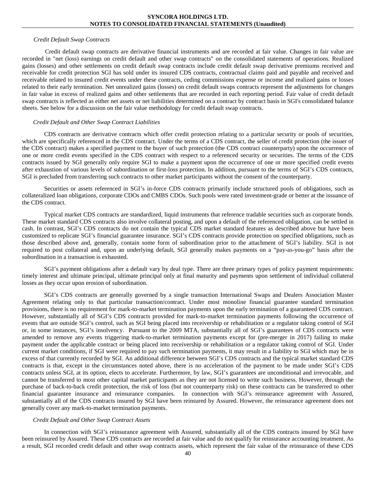#### *Credit Default Swap Contracts*

Credit default swap contracts are derivative financial instruments and are recorded at fair value. Changes in fair value are recorded in "net (loss) earnings on credit default and other swap contracts" on the consolidated statements of operations. Realized gains (losses) and other settlements on credit default swap contracts include credit default swap derivative premiums received and receivable for credit protection SGI has sold under its insured CDS contracts, contractual claims paid and payable and received and receivable related to insured credit events under these contracts, ceding commissions expense or income and realized gains or losses related to their early termination. Net unrealized gains (losses) on credit default swaps contracts represent the adjustments for changes in fair value in excess of realized gains and other settlements that are recorded in each reporting period. Fair value of credit default swap contracts is reflected as either net assets or net liabilities determined on a contract by contract basis in SGI's consolidated balance sheets. See below for a discussion on the fair value methodology for credit default swap contracts.

#### *Credit Default and Other Swap Contract Liabilities*

CDS contracts are derivative contracts which offer credit protection relating to a particular security or pools of securities, which are specifically referenced in the CDS contract. Under the terms of a CDS contract, the seller of credit protection (the issuer of the CDS contract) makes a specified payment to the buyer of such protection (the CDS contract counterparty) upon the occurrence of one or more credit events specified in the CDS contract with respect to a referenced security or securities. The terms of the CDS contracts issued by SGI generally only require SGI to make a payment upon the occurrence of one or more specified credit events after exhaustion of various levels of subordination or first-loss protection. In addition, pursuant to the terms of SGI's CDS contracts, SGI is precluded from transferring such contracts to other market participants without the consent of the counterparty.

Securities or assets referenced in SGI's in-force CDS contracts primarily include structured pools of obligations, such as collateralized loan obligations, corporate CDOs and CMBS CDOs. Such pools were rated investment-grade or better at the issuance of the CDS contract.

Typical market CDS contracts are standardized, liquid instruments that reference tradable securities such as corporate bonds. These market standard CDS contracts also involve collateral posting, and upon a default of the referenced obligation, can be settled in cash. In contrast, SGI's CDS contracts do not contain the typical CDS market standard features as described above but have been customized to replicate SGI's financial guarantee insurance. SGI's CDS contracts provide protection on specified obligations, such as those described above and, generally, contain some form of subordination prior to the attachment of SGI's liability. SGI is not required to post collateral and, upon an underlying default, SGI generally makes payments on a "pay-as-you-go" basis after the subordination in a transaction is exhausted.

SGI's payment obligations after a default vary by deal type. There are three primary types of policy payment requirements: timely interest and ultimate principal, ultimate principal only at final maturity and payments upon settlement of individual collateral losses as they occur upon erosion of subordination.

SGI's CDS contracts are generally governed by a single transaction International Swaps and Dealers Association Master Agreement relating only to that particular transaction/contract. Under most monoline financial guarantee standard termination provisions, there is no requirement for mark-to-market termination payments upon the early termination of a guaranteed CDS contract. However, substantially all of SGI's CDS contracts provided for mark-to-market termination payments following the occurrence of events that are outside SGI's control, such as SGI being placed into receivership or rehabilitation or a regulator taking control of SGI or, in some instances, SGI's insolvency. Pursuant to the 2009 MTA, substantially all of SGI's guarantees of CDS contracts were amended to remove any events triggering mark-to-market termination payments except for (pre-merger in 2017) failing to make payment under the applicable contract or being placed into receivership or rehabilitation or a regulator taking control of SGI. Under current market conditions, if SGI were required to pay such termination payments, it may result in a liability to SGI which may be in excess of that currently recorded by SGI. An additional difference between SGI's CDS contracts and the typical market standard CDS contracts is that, except in the circumstances noted above, there is no acceleration of the payment to be made under SGI's CDS contracts unless SGI, at its option, elects to accelerate. Furthermore, by law, SGI's guarantees are unconditional and irrevocable, and cannot be transferred to most other capital market participants as they are not licensed to write such business. However, through the purchase of back-to-back credit protection, the risk of loss (but not counterparty risk) on these contracts can be transferred to other financial guarantee insurance and reinsurance companies. In connection with SGI's reinsurance agreement with Assured, substantially all of the CDS contracts insured by SGI have been reinsured by Assured. However, the reinsurance agreement does not generally cover any mark-to-market termination payments.

#### *Credit Default and Other Swap Contract Assets*

In connection with SGI's reinsurance agreement with Assured, substantially all of the CDS contracts insured by SGI have been reinsured by Assured. These CDS contracts are recorded at fair value and do not qualify for reinsurance accounting treatment. As a result, SGI recorded credit default and other swap contracts assets, which represent the fair value of the reinsurance of these CDS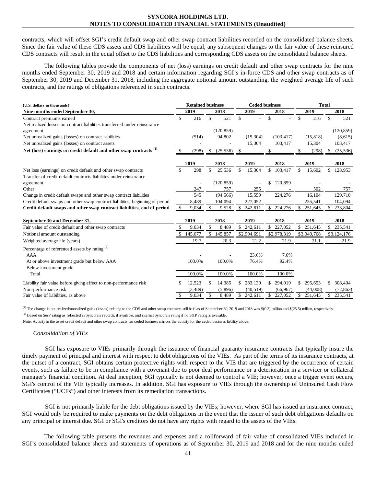contracts, which will offset SGI's credit default swap and other swap contract liabilities recorded on the consolidated balance sheets. Since the fair value of these CDS assets and CDS liabilities will be equal, any subsequent changes to the fair value of these reinsured CDS contracts will result in the equal offset to the CDS liabilities and corresponding CDS assets on the consolidated balance sheets.

The following tables provide the components of net (loss) earnings on credit default and other swap contracts for the nine months ended September 30, 2019 and 2018 and certain information regarding SGI's in-force CDS and other swap contracts as of September 30, 2019 and December 31, 2018, including the aggregate notional amount outstanding, the weighted average life of such contracts, and the ratings of obligations referenced in such contracts.

| (U.S. dollars in thousands)                                                   | <b>Retained business</b> |          |               |            | <b>Ceded business</b> |                |    |                | <b>Total</b> |             |              |             |
|-------------------------------------------------------------------------------|--------------------------|----------|---------------|------------|-----------------------|----------------|----|----------------|--------------|-------------|--------------|-------------|
| Nine months ended September 30,                                               |                          | 2019     |               | 2018       |                       | 2019           |    | 2018           |              | 2019        |              | 2018        |
| Contract premiums earned                                                      | \$                       | 216      | \$            | 521        | $\mathbb{S}$          | $\overline{a}$ | \$ |                | \$           | 216         | \$           | 521         |
| Net realized losses on contract liabilities transferred under reinsurance     |                          |          |               |            |                       |                |    |                |              |             |              |             |
| agreement                                                                     |                          |          |               | (120, 859) |                       |                |    |                |              |             |              | (120, 859)  |
| Net unrealized gains (losses) on contract liabilities                         |                          | (514)    |               | 94,802     |                       | (15, 304)      |    | (103, 417)     |              | (15, 818)   |              | (8,615)     |
| Net unrealized gains (losses) on contract assets                              |                          |          |               |            |                       | 15,304         |    | 103,417        |              | 15,304      |              | 103,417     |
| Net (loss) earnings on credit default and other swap contracts <sup>(1)</sup> | \$                       | (298)    | \$            | (25, 536)  | \$                    |                | \$ | $\overline{a}$ | \$           | (298)       | \$           | (25, 536)   |
|                                                                               |                          | 2019     |               | 2018       |                       | 2019           |    | 2018           |              | 2019        |              | 2018        |
| Net loss (earnings) on credit default and other swap contracts                | $\mathbb{S}$             | 298      | \$            | 25,536     | \$                    | 15,304         | \$ | 103,417        | \$           | 15,602      | \$           | 128,953     |
| Transfer of credit default contracts liabilities under reinsurance            |                          |          |               |            |                       |                |    |                |              |             |              |             |
| agreement                                                                     |                          |          |               | (120, 859) |                       |                |    | 120,859        |              |             |              |             |
| Other                                                                         |                          | 247      |               | 757        |                       | 255            |    |                |              | 502         |              | 757         |
| Change in credit default swaps and other swap contract liabilities            |                          | 545      |               | (94, 566)  |                       | 15,559         |    | 224,276        |              | 16,104      |              | 129,710     |
| Credit default swaps and other swap contract liabilities, beginning of period |                          | 8,489    |               | 104,094    |                       | 227,052        |    |                |              | 235,541     |              | 104,094     |
| Credit default swaps and other swap contract liabilities, end of period       | \$                       | 9,034    | \$            | 9,528      | $\mathbb{S}$          | 242,611        | S. | 224,276        | \$           | 251,645     | \$           | 233,804     |
| September 30 and December 31,                                                 |                          | 2019     |               | 2018       |                       | 2019           |    | 2018           |              | 2019        |              | 2018        |
| Fair value of credit default and other swap contracts                         | \$                       | 9.034    | \$            | 8,489      |                       | \$242,611      | \$ | 227,052        | $\mathbb{S}$ | 251,645     | $\mathbb{S}$ | 235,541     |
| Notional amount outstanding                                                   | \$.                      | 145,077  | $\mathbb{S}$  | 145,857    |                       | \$2,904,691    |    | \$2,978,319    |              | \$3,049,768 |              | \$3,124,176 |
| Weighted average life (years)                                                 |                          | 19.7     |               | 20.3       |                       | 21.2           |    | 21.9           |              | 21.1        |              | 21.9        |
| Percentage of referenced assets by rating <sup>(2)</sup>                      |                          |          |               |            |                       |                |    |                |              |             |              |             |
| <b>AAA</b>                                                                    |                          |          |               |            |                       | 23.6%          |    | 7.6%           |              |             |              |             |
| At or above investment grade but below AAA                                    |                          | 100.0%   |               | 100.0%     |                       | 76.4%          |    | 92.4%          |              |             |              |             |
| Below investment grade                                                        |                          |          |               |            |                       |                |    |                |              |             |              |             |
| Total                                                                         |                          | 100.0%   |               | 100.0%     |                       | 100.0%         |    | 100.0%         |              |             |              |             |
| Liability fair value before giving effect to non-performance risk             | \$                       | 12,523   | \$.           | 14,385     | $\mathbf{s}$          | 283,130        |    | 294,019        | S.           | 295,653     | \$.          | 308,404     |
| Non-performance risk                                                          |                          | (3, 489) |               | (5,896)    |                       | (40, 519)      |    | (66, 967)      |              | (44,008)    |              | (72, 863)   |
| Fair value of liabilities, as above                                           | \$                       | 9,034    | $\mathbf{\$}$ | 8,489      |                       | \$242,611      |    | \$227,052      | \$           | 251,645     |              | \$ 235,541  |

(1) The change in net realized/unrealized gains (losses) relating to the CDS and other swap contracts still held as of September 30, 2019 and 2018 was \$(0.3) million and \$(25.5) million, respectively.

<sup>(2)</sup> Based on S&P rating as reflected in Syncora's records, if available, and internal Syncora's rating if no S&P rating is available.

Note: Activity in the asset credit default and other swap contracts for ceded business mirrors the activity for the ceded business liability above.

#### *Consolidation of VIEs*

SGI has exposure to VIEs primarily through the issuance of financial guaranty insurance contracts that typically insure the timely payment of principal and interest with respect to debt obligations of the VIEs. As part of the terms of its insurance contracts, at the outset of a contract, SGI obtains certain protective rights with respect to the VIE that are triggered by the occurrence of certain events, such as failure to be in compliance with a covenant due to poor deal performance or a deterioration in a servicer or collateral manager's financial condition. At deal inception, SGI typically is not deemed to control a VIE; however, once a trigger event occurs, SGI's control of the VIE typically increases. In addition, SGI has exposure to VIEs through the ownership of Uninsured Cash Flow Certificates ("UCFs") and other interests from its remediation transactions.

SGI is not primarily liable for the debt obligations issued by the VIEs; however, where SGI has issued an insurance contract, SGI would only be required to make payments on the debt obligations in the event that the issuer of such debt obligations defaults on any principal or interest due. SGI or SGI's creditors do not have any rights with regard to the assets of the VIEs.

The following table presents the revenues and expenses and a rollforward of fair value of consolidated VIEs included in SGI's consolidated balance sheets and statements of operations as of September 30, 2019 and 2018 and for the nine months ended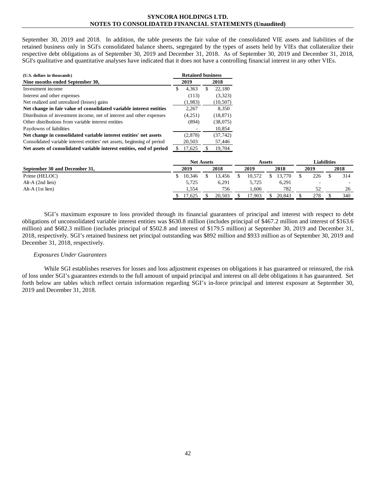September 30, 2019 and 2018. In addition, the table presents the fair value of the consolidated VIE assets and liabilities of the retained business only in SGI's consolidated balance sheets, segregated by the types of assets held by VIEs that collateralize their respective debt obligations as of September 30, 2019 and December 31, 2018. As of September 30, 2019 and December 31, 2018, SGI's qualitative and quantitative analyses have indicated that it does not have a controlling financial interest in any other VIEs.

| (U.S. dollars in thousands)                                              | <b>Retained business</b> |         |     |           |  |  |  |  |
|--------------------------------------------------------------------------|--------------------------|---------|-----|-----------|--|--|--|--|
| Nine months ended September 30,                                          |                          | 2019    |     | 2018      |  |  |  |  |
| Investment income                                                        | \$                       | 4.363   | \$. | 22.180    |  |  |  |  |
| Interest and other expenses                                              |                          | (113)   |     | (3,323)   |  |  |  |  |
| Net realized and unrealized (losses) gains                               |                          | (1,983) |     | (10, 507) |  |  |  |  |
| Net change in fair value of consolidated variable interest entities      |                          | 2,267   |     | 8,350     |  |  |  |  |
| Distribution of investment income, net of interest and other expenses    |                          | (4,251) |     | (18, 871) |  |  |  |  |
| Other distributions from variable interest entities                      |                          | (894)   |     | (38,075)  |  |  |  |  |
| Paydowns of liabilities                                                  |                          |         |     | 10,854    |  |  |  |  |
| Net change in consolidated variable interest entities' net assets        |                          | (2,878) |     | (37,742)  |  |  |  |  |
| Consolidated variable interest entities' net assets, beginning of period |                          | 20,503  |     | 57,446    |  |  |  |  |
| Net assets of consolidated variable interest entities, end of period     |                          | 17.625  |     | 19.704    |  |  |  |  |

|                               |  | <b>Net Assets</b> |        | Assets |  | Liabilities |  |      |  |                          |
|-------------------------------|--|-------------------|--------|--------|--|-------------|--|------|--|--------------------------|
| September 30 and December 31, |  | 2019              | 2018   | 2019   |  | 2018        |  | 2019 |  | 2018                     |
| Prime (HELOC)                 |  | 10.346            | 13.456 | 10.572 |  | 3.770       |  | 226  |  | 314                      |
| Alt-A $(2nd$ lien)            |  | 5,725             | 6.291  | 5.725  |  | 6,291       |  | -    |  | $\overline{\phantom{a}}$ |
| Alt-A $(1st$ lien)            |  | 1,554             | 756    | .606   |  | 782         |  |      |  | 26                       |
|                               |  | 17,625            | 20.503 | 7.903  |  | 20.843      |  | 278  |  | 340                      |

SGI's maximum exposure to loss provided through its financial guarantees of principal and interest with respect to debt obligations of unconsolidated variable interest entities was \$630.8 million (includes principal of \$467.2 million and interest of \$163.6 million) and \$682.3 million (includes principal of \$502.8 and interest of \$179.5 million) at September 30, 2019 and December 31, 2018, respectively. SGI's retained business net principal outstanding was \$892 million and \$933 million as of September 30, 2019 and December 31, 2018, respectively.

#### *Exposures Under Guarantees*

While SGI establishes reserves for losses and loss adjustment expenses on obligations it has guaranteed or reinsured, the risk of loss under SGI's guarantees extends to the full amount of unpaid principal and interest on all debt obligations it has guaranteed. Set forth below are tables which reflect certain information regarding SGI's in-force principal and interest exposure at September 30, 2019 and December 31, 2018.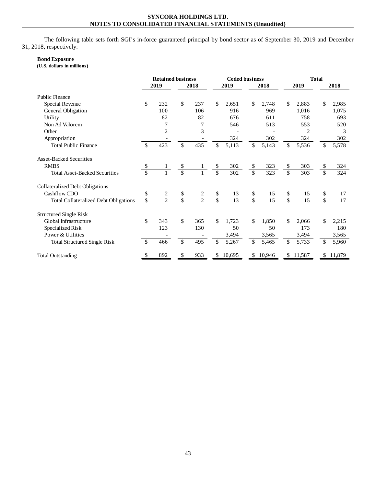The following table sets forth SGI's in-force guaranteed principal by bond sector as of September 30, 2019 and December 31, 2018, respectively:

# **Bond Exposure**

**(U.S. dollars in millions)**

|                                              | <b>Retained business</b> |                          |                         |                |               | <b>Ceded business</b> |                |                 | <b>Total</b>            |          |    |                 |  |
|----------------------------------------------|--------------------------|--------------------------|-------------------------|----------------|---------------|-----------------------|----------------|-----------------|-------------------------|----------|----|-----------------|--|
|                                              |                          | 2019                     |                         | 2018           | 2019<br>2018  |                       |                | 2019            |                         | 2018     |    |                 |  |
| Public Finance                               |                          |                          |                         |                |               |                       |                |                 |                         |          |    |                 |  |
| Special Revenue                              | \$                       | 232                      | \$                      | 237            | \$            | 2,651                 | \$             | 2,748           | \$                      | 2,883    | \$ | 2,985           |  |
| General Obligation                           |                          | 100                      |                         | 106            |               | 916                   |                | 969             |                         | 1,016    |    | 1,075           |  |
| Utility                                      |                          | 82                       |                         | 82             |               | 676                   |                | 611             |                         | 758      |    | 693             |  |
| Non Ad Valorem                               |                          | 7                        |                         | 7              |               | 546                   |                | 513             |                         | 553      |    | 520             |  |
| Other                                        |                          | $\overline{c}$           |                         | 3              |               |                       |                |                 |                         | 2        |    | 3               |  |
| Appropriation                                |                          |                          |                         |                |               | 324                   |                | 302             |                         | 324      |    | 302             |  |
| <b>Total Public Finance</b>                  | \$                       | 423                      | \$                      | 435            | \$            | 5,113                 | \$             | 5,143           | \$                      | 5,536    | \$ | 5,578           |  |
| <b>Asset-Backed Securities</b>               |                          |                          |                         |                |               |                       |                |                 |                         |          |    |                 |  |
| <b>RMBS</b>                                  | \$                       |                          | \$                      |                | \$            | 302                   | \$             | 323             | \$                      | 303      | \$ | 324             |  |
| <b>Total Asset-Backed Securities</b>         | \$                       |                          | \$                      |                | \$            | 302                   | \$             | 323             | \$                      | 303      | \$ | 324             |  |
| Collateralized Debt Obligations              |                          |                          |                         |                |               |                       |                |                 |                         |          |    |                 |  |
| Cashflow CDO                                 | \$                       |                          | \$                      | 2              |               | 13                    | \$             | 15              | \$                      | 15       | \$ | 17              |  |
| <b>Total Collateralized Debt Obligations</b> | $\mathbf{\hat{S}}$       | $\overline{\mathcal{L}}$ | $\overline{\mathbb{S}}$ | $\overline{2}$ | $\frac{s}{s}$ | 13                    | $\overline{s}$ | $\overline{15}$ | $\overline{\mathsf{s}}$ | 15       | \$ | $\overline{17}$ |  |
| <b>Structured Single Risk</b>                |                          |                          |                         |                |               |                       |                |                 |                         |          |    |                 |  |
| Global Infrastructure                        | \$                       | 343                      | \$                      | 365            | \$            | 1,723                 | \$             | 1,850           | \$                      | 2.066    | \$ | 2,215           |  |
| Specialized Risk                             |                          | 123                      |                         | 130            |               | 50                    |                | 50              |                         | 173      |    | 180             |  |
| Power & Utilities                            |                          |                          |                         |                |               | 3,494                 |                | 3,565           |                         | 3,494    |    | 3,565           |  |
| <b>Total Structured Single Risk</b>          | \$                       | 466                      | $\mathbb{S}$            | 495            | \$            | 5,267                 | \$             | 5,465           | \$                      | 5,733    | \$ | 5,960           |  |
| <b>Total Outstanding</b>                     | \$                       | 892                      | \$                      | 933            | \$            | 10,695                | \$             | 10,946          |                         | \$11,587 |    | \$ 11,879       |  |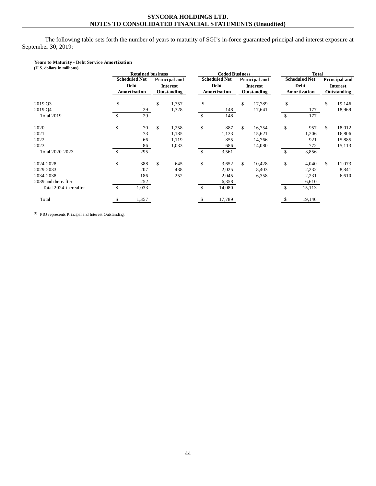The following table sets forth the number of years to maturity of SGI's in-force guaranteed principal and interest exposure at September 30, 2019:

## **Years to Maturity - Debt Service Amortization**

| (U.S. dollars in millions) |               |                          |                 |              |                          |               |                 |                      |                          |               |                 |  |  |
|----------------------------|---------------|--------------------------|-----------------|--------------|--------------------------|---------------|-----------------|----------------------|--------------------------|---------------|-----------------|--|--|
|                            |               | <b>Retained business</b> |                 |              | <b>Ceded Business</b>    |               |                 | <b>Total</b>         |                          |               |                 |  |  |
|                            |               | <b>Scheduled Net</b>     | Principal and   |              | <b>Scheduled Net</b>     | Principal and |                 | <b>Scheduled Net</b> |                          | Principal and |                 |  |  |
|                            |               | <b>Debt</b>              | <b>Interest</b> |              | Debt                     |               | <b>Interest</b> |                      | Debt                     |               | <b>Interest</b> |  |  |
|                            |               | Amortization             | Outstanding     |              | Amortization             |               | Outstanding     |                      | Amortization             | Outstanding   |                 |  |  |
| 2019 Q3                    | \$            | $\overline{\phantom{a}}$ | \$<br>1,357     | \$           | $\overline{\phantom{a}}$ | \$            | 17,789          | \$                   | $\overline{\phantom{a}}$ | \$            | 19,146          |  |  |
| 2019 Q4                    |               | 29                       | 1,328           |              | 148                      |               | 17,641          |                      | 177                      |               | 18,969          |  |  |
| <b>Total 2019</b>          | <sup>\$</sup> | 29                       |                 | \$           | 148                      |               |                 | \$                   | 177                      |               |                 |  |  |
| 2020                       | \$            | 70                       | \$<br>1,258     | \$           | 887                      | \$            | 16,754          | \$                   | 957                      | \$            | 18,012          |  |  |
| 2021                       |               | 73                       | 1,185           |              | 1,133                    |               | 15,621          |                      | 1,206                    |               | 16,806          |  |  |
| 2022                       |               | 66                       | 1,119           |              | 855                      |               | 14,766          |                      | 921                      |               | 15,885          |  |  |
| 2023                       |               | 86                       | 1,033           |              | 686                      |               | 14,080          |                      | 772                      |               | 15,113          |  |  |
| Total 2020-2023            | <sup>\$</sup> | 295                      |                 | \$           | 3,561                    |               |                 | $\mathbb{S}$         | 3,856                    |               |                 |  |  |
| 2024-2028                  | \$            | 388                      | \$<br>645       | \$           | 3,652                    | \$            | 10,428          | \$                   | 4,040                    | \$            | 11,073          |  |  |
| 2029-2033                  |               | 207                      | 438             |              | 2,025                    |               | 8,403           |                      | 2,232                    |               | 8,841           |  |  |
| 2034-2038                  |               | 186                      | 252             |              | 2,045                    |               | 6,358           |                      | 2,231                    |               | 6,610           |  |  |
| 2039 and thereafter        |               | 252                      |                 |              | 6,358                    |               |                 |                      | 6,610                    |               |                 |  |  |
| Total 2024-thereafter      | <sup>\$</sup> | 1,033                    |                 | $\mathbb{S}$ | 14,080                   |               |                 | $\mathbb{S}$         | 15,113                   |               |                 |  |  |
| Total                      | £.            | 1,357                    |                 | S            | 17,789                   |               |                 | S.                   | 19,146                   |               |                 |  |  |

 $(1)$  1PIO represents Principal and Interest Outstanding.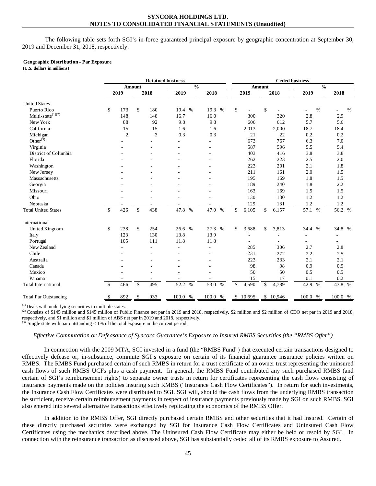The following table sets forth SGI's in-force guaranteed principal exposure by geographic concentration at September 30, 2019 and December 31, 2018, respectively:

#### **Geographic Distribution - Par Exposure**

**(U.S. dollars in millions)**

|                              |              | <b>Retained business</b> |               |      |               |              |    | <b>Ceded business</b> |               |          |         |               |         |      |  |  |  |
|------------------------------|--------------|--------------------------|---------------|------|---------------|--------------|----|-----------------------|---------------|----------|---------|---------------|---------|------|--|--|--|
|                              |              |                          | <b>Amount</b> |      | $\frac{0}{0}$ |              |    |                       | <b>Amount</b> |          |         | $\frac{0}{0}$ |         |      |  |  |  |
|                              |              | 2019                     |               | 2018 | 2019          | 2018         |    | 2019                  |               | 2018     | 2019    |               | 2018    |      |  |  |  |
| <b>United States</b>         |              |                          |               |      |               |              |    |                       |               |          |         |               |         |      |  |  |  |
| Puerto Rico                  | \$           | 173                      | \$            | 180  | 19.4 %        | 19.3<br>%    | \$ |                       | \$            |          |         | $\%$          |         | $\%$ |  |  |  |
| Multi-state $^{(1)(2)}$      |              | 148                      |               | 148  | 16.7          | 16.0         |    | 300                   |               | 320      | 2.8     |               | 2.9     |      |  |  |  |
| New York                     |              | 88                       |               | 92   | 9.8           | 9.8          |    | 606                   |               | 612      | 5.7     |               | 5.6     |      |  |  |  |
| California                   |              | 15                       |               | 15   | 1.6           | 1.6          |    | 2,013                 |               | 2,000    | 18.7    |               | 18.4    |      |  |  |  |
| Michigan                     |              | $\overline{2}$           |               | 3    | 0.3           | 0.3          |    | 21                    |               | 22       | 0.2     |               | 0.2     |      |  |  |  |
| Other $^{(3)}$               |              |                          |               |      |               |              |    | 673                   |               | 767      | 6.3     |               | 7.0     |      |  |  |  |
| Virginia                     |              |                          |               |      |               |              |    | 587                   |               | 596      | 5.5     |               | 5.4     |      |  |  |  |
| District of Columbia         |              |                          |               |      |               |              |    | 403                   |               | 416      | 3.8     |               | 3.8     |      |  |  |  |
| Florida                      |              |                          |               |      |               |              |    | 262                   |               | 223      | $2.5\,$ |               | 2.0     |      |  |  |  |
| Washington                   |              |                          |               |      |               |              |    | 223                   |               | 201      | 2.1     |               | 1.8     |      |  |  |  |
| New Jersey                   |              |                          |               |      |               |              |    | 211                   |               | 161      | 2.0     |               | 1.5     |      |  |  |  |
| Massachusetts                |              |                          |               |      |               |              |    | 195                   |               | 169      | 1.8     |               | 1.5     |      |  |  |  |
| Georgia                      |              |                          |               |      |               |              |    | 189                   |               | 240      | 1.8     |               | 2.2     |      |  |  |  |
| Missouri                     |              |                          |               |      |               |              |    | 163                   |               | 169      | 1.5     |               | 1.5     |      |  |  |  |
| Ohio                         |              |                          |               |      |               |              |    | 130                   |               | 130      | 1.2     |               | 1.2     |      |  |  |  |
| Nebraska                     |              |                          |               |      |               |              |    | 129                   |               | 131      | $1.2\,$ |               | 1.2     |      |  |  |  |
| <b>Total United States</b>   | \$           | 426                      | \$            | 438  | 47.8 %        | 47.0 %       | \$ | 6,105                 | \$            | 6,157    | 57.1 %  |               | 56.2 %  |      |  |  |  |
| International                |              |                          |               |      |               |              |    |                       |               |          |         |               |         |      |  |  |  |
| United Kingdom               | \$           | 238                      | \$            | 254  | 26.6 %        | 27.3<br>$\%$ | \$ | 3,688                 | \$            | 3,813    | 34.4    | $\%$          | 34.8 %  |      |  |  |  |
| Italy                        |              | 123                      |               | 130  | 13.8          | 13.9         |    | ÷                     |               |          |         |               |         |      |  |  |  |
| Portugal                     |              | 105                      |               | 111  | 11.8          | 11.8         |    |                       |               |          |         |               |         |      |  |  |  |
| New Zealand                  |              |                          |               |      |               |              |    | 285                   |               | 306      | 2.7     |               | 2.8     |      |  |  |  |
| Chile                        |              |                          |               |      |               |              |    | 231                   |               | 272      | 2.2     |               | 2.5     |      |  |  |  |
| Australia                    |              |                          |               |      |               |              |    | 223                   |               | 233      | 2.1     |               | 2.1     |      |  |  |  |
| Canada                       |              |                          |               |      |               |              |    | 98                    |               | 98       | 0.9     |               | 0.9     |      |  |  |  |
| Mexico                       |              |                          |               |      |               |              |    | 50                    |               | 50       | 0.5     |               | 0.5     |      |  |  |  |
| Panama                       |              |                          |               |      |               |              |    | 15                    |               | 17       | 0.1     |               | 0.2     |      |  |  |  |
| <b>Total International</b>   | $\mathbb{S}$ | 466                      | $\mathbb{S}$  | 495  | 52.2 %        | 53.0<br>$\%$ | \$ | 4,590                 | $\mathbb{S}$  | 4,789    | 42.9 %  |               | 43.8 %  |      |  |  |  |
| <b>Total Par Outstanding</b> | \$           | 892                      | \$            | 933  | 100.0 %       | 100.0 %      |    | \$10,695              |               | \$10,946 | 100.0 % |               | 100.0 % |      |  |  |  |

(1) Deals with underlying securities in multiple states.<br>
(2) Consists of \$145 million and \$145 million of Public Finance net par in 2019 and 2018, respectively, \$2 million and \$2 million of CDO net par in 2019 and 2018, respectively, and \$1 million and \$1 million of ABS net par in 2019 and 2018, respectively.

 $^{(3)}$  Single state with par outstanding < 1% of the total exposure in the current period.

#### *Effective Commutation or Defeasance of Syncora Guarantee's Exposure to Insured RMBS Securities (the "RMBS Offer")*

In connection with the 2009 MTA, SGI invested in a fund (the "RMBS Fund") that executed certain transactions designed to effectively defease or, in-substance, commute SGI's exposure on certain of its financial guarantee insurance policies written on RMBS. The RMBS Fund purchased certain of such RMBS in return for a trust certificate of an owner trust representing the uninsured cash flows of such RMBS UCFs plus a cash payment. In general, the RMBS Fund contributed any such purchased RMBS (and certain of SGI's reimbursement rights) to separate owner trusts in return for certificates representing the cash flows consisting of insurance payments made on the policies insuring such RMBS ("Insurance Cash Flow Certificates"). In return for such investments, the Insurance Cash Flow Certificates were distributed to SGI. SGI will, should the cash flows from the underlying RMBS transaction be sufficient, receive certain reimbursement payments in respect of insurance payments previously made by SGI on such RMBS. SGI also entered into several alternative transactions effectively replicating the economics of the RMBS Offer.

In addition to the RMBS Offer, SGI directly purchased certain RMBS and other securities that it had insured. Certain of these directly purchased securities were exchanged by SGI for Insurance Cash Flow Certificates and Uninsured Cash Flow Certificates using the mechanics described above. The Uninsured Cash Flow Certificate may either be held or resold by SGI. In connection with the reinsurance transaction as discussed above, SGI has substantially ceded all of its RMBS exposure to Assured.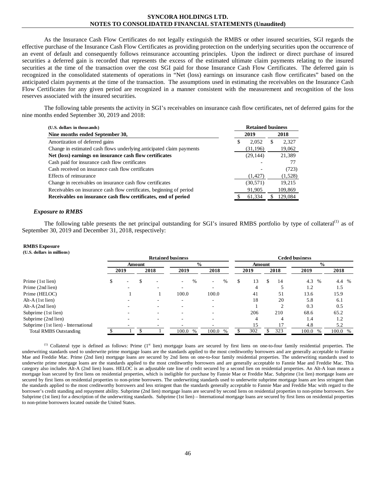As the Insurance Cash Flow Certificates do not legally extinguish the RMBS or other insured securities, SGI regards the effective purchase of the Insurance Cash Flow Certificates as providing protection on the underlying securities upon the occurrence of an event of default and consequently follows reinsurance accounting principles. Upon the indirect or direct purchase of insured securities a deferred gain is recorded that represents the excess of the estimated ultimate claim payments relating to the insured securities at the time of the transaction over the cost SGI paid for those Insurance Cash Flow Certificates. The deferred gain is recognized in the consolidated statements of operations in "Net (loss) earnings on insurance cash flow certificates" based on the anticipated claim payments at the time of the transaction. The assumptions used in estimating the receivables on the Insurance Cash Flow Certificates for any given period are recognized in a manner consistent with the measurement and recognition of the loss reserves associated with the insured securities.

The following table presents the activity in SGI's receivables on insurance cash flow certificates, net of deferred gains for the nine months ended September 30, 2019 and 2018:

| (U.S. dollars in thousands)                                          |   | <b>Retained business</b> |     |         |  |  |  |
|----------------------------------------------------------------------|---|--------------------------|-----|---------|--|--|--|
| Nine months ended September 30,                                      |   | 2019                     |     | 2018    |  |  |  |
| Amortization of deferred gains                                       | S | 2,052                    | \$. | 2,327   |  |  |  |
| Change in estimated cash flows underlying anticipated claim payments |   | (31, 196)                |     | 19,062  |  |  |  |
| Net (loss) earnings on insurance cash flow certificates              |   | (29, 144)                |     | 21,389  |  |  |  |
| Cash paid for insurance cash flow certificates                       |   |                          |     | 77      |  |  |  |
| Cash received on insurance cash flow certificates                    |   |                          |     | (723)   |  |  |  |
| Effects of reinsurance                                               |   | (1, 427)                 |     | (1,528) |  |  |  |
| Change in receivables on insurance cash flow certificates            |   | (30, 571)                |     | 19.215  |  |  |  |
| Receivables on insurance cash flow certificates, beginning of period |   | 91,905                   |     | 109,869 |  |  |  |
| Receivables on insurance cash flow certificates, end of period       |   | 61,334                   |     | 129,084 |  |  |  |
|                                                                      |   |                          |     |         |  |  |  |

#### *Exposure to RMBS*

The following table presents the net principal outstanding for SGI's insured RMBS portfolio by type of collateral<sup>(1)</sup> as of September 30, 2019 and December 31, 2018, respectively:

#### **RMBS Exposure**

**(U.S. dollars in millions)**

|                                     |      |  |        |  | <b>Retained business</b> |                                  | <b>Ceded business</b> |        |          |                        |         |  |  |  |  |
|-------------------------------------|------|--|--------|--|--------------------------|----------------------------------|-----------------------|--------|----------|------------------------|---------|--|--|--|--|
|                                     |      |  | Amount |  | $\frac{6}{9}$            |                                  |                       | Amount |          | $\frac{0}{0}$          |         |  |  |  |  |
|                                     | 2019 |  | 2018   |  | 2019                     | 2018                             |                       | 2019   | 2018     | 2019                   | 2018    |  |  |  |  |
| Prime (1st lien)                    | Ъ.   |  |        |  | $\%$                     | $\%$<br>$\overline{\phantom{a}}$ | \$                    | 13     | 14<br>\$ | 4.3 %                  | 4.4 %   |  |  |  |  |
| Prime (2nd lien)                    |      |  |        |  |                          |                                  |                       | 4      |          | 1.2                    | 1.5     |  |  |  |  |
| Prime (HELOC)                       |      |  |        |  | 100.0                    | 100.0                            |                       | 41     | 51       | 13.6                   | 15.9    |  |  |  |  |
| $Alt-A(1st$ lien)                   |      |  |        |  |                          |                                  |                       | 18     | 20       | 5.8                    | 6.1     |  |  |  |  |
| Alt- $A$ (2nd lien)                 |      |  |        |  |                          |                                  |                       |        | ◠        | 0.3                    | 0.5     |  |  |  |  |
| Subprime (1st lien)                 |      |  |        |  |                          |                                  |                       | 206    | 210      | 68.6                   | 65.2    |  |  |  |  |
| Subprime (2nd lien)                 |      |  |        |  |                          |                                  |                       | 4      | 4        | 1.4                    | 1.2     |  |  |  |  |
| Subprime (1st lien) - International |      |  |        |  |                          |                                  |                       | 15     | 17       | 4.8                    | 5.2     |  |  |  |  |
| <b>Total RMBS Outstanding</b>       |      |  |        |  | 100.0<br>$\%$            | 100.0 %                          |                       | 302    | 323      | 100.0<br>$\frac{0}{0}$ | 100.0 % |  |  |  |  |

 $<sup>(1)</sup>$  Collateral type is defined as follows: Prime (1st lien) mortgage loans are secured by first liens on one-to-four family residential properties. The</sup> underwriting standards used to underwrite prime mortgage loans are the standards applied to the most creditworthy borrowers and are generally acceptable to Fannie Mae and Freddie Mac. Prime (2nd lien) mortgage loans are secured by 2nd liens on one-to-four family residential properties. The underwriting standards used to underwrite prime mortgage loans are the standards applied to the most creditworthy borrowers and are generally acceptable to Fannie Mae and Freddie Mac. This category also includes Alt-A (2nd lien) loans. HELOC is an adjustable rate line of credit secured by a second lien on residential properties. An Alt-A loan means a mortgage loan secured by first liens on residential properties, which is ineligible for purchase by Fannie Mae or Freddie Mac. Subprime (1st lien) mortgage loans are secured by first liens on residential properties to non-prime borrowers. The underwriting standards used to underwrite subprime mortgage loans are less stringent than the standards applied to the most creditworthy borrowers and less stringent than the standards generally acceptable to Fannie Mae and Freddie Mac with regard to the borrower's credit standing and repayment ability. Subprime (2nd lien) mortgage loans are secured by second liens on residential properties to non-prime borrowers. See Subprime (1st lien) for a description of the underwriting standards. Subprime (1st lien) – International mortgage loans are secured by first liens on residential properties to non-prime borrowers located outside the United States.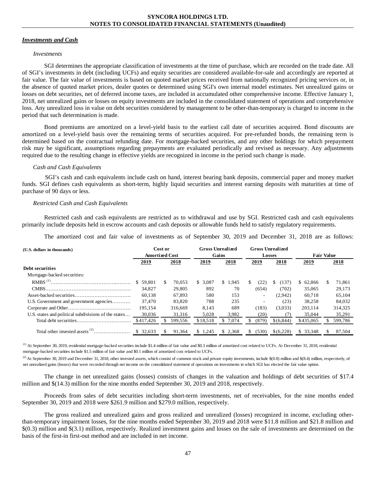#### *Investments and Cash*

#### *Investments*

SGI determines the appropriate classification of investments at the time of purchase, which are recorded on the trade date. All of SGI's investments in debt (including UCFs) and equity securities are considered available-for-sale and accordingly are reported at fair value. The fair value of investments is based on quoted market prices received from nationally recognized pricing services or, in the absence of quoted market prices, dealer quotes or determined using SGI's own internal model estimates. Net unrealized gains or losses on debt securities, net of deferred income taxes, are included in accumulated other comprehensive income. Effective January 1, 2018, net unrealized gains or losses on equity investments are included in the consolidated statement of operations and comprehensive loss. Any unrealized loss in value on debt securities considered by management to be other-than-temporary is charged to income in the period that such determination is made.

Bond premiums are amortized on a level-yield basis to the earliest call date of securities acquired. Bond discounts are amortized on a level-yield basis over the remaining terms of securities acquired. For pre-refunded bonds, the remaining term is determined based on the contractual refunding date. For mortgage-backed securities, and any other holdings for which prepayment risk may be significant, assumptions regarding prepayments are evaluated periodically and revised as necessary. Any adjustments required due to the resulting change in effective yields are recognized in income in the period such change is made.

#### *Cash and Cash Equivalents*

SGI's cash and cash equivalents include cash on hand, interest bearing bank deposits, commercial paper and money market funds. SGI defines cash equivalents as short-term, highly liquid securities and interest earning deposits with maturities at time of purchase of 90 days or less.

#### *Restricted Cash and Cash Equivalents*

Restricted cash and cash equivalents are restricted as to withdrawal and use by SGI. Restricted cash and cash equivalents primarily include deposits held in escrow accounts and cash deposits or allowable funds held to satisfy regulatory requirements.

The amortized cost and fair value of investments as of September 30, 2019 and December 31, 2018 are as follows:

| (U.S. dollars in thousands)                          | Cost or<br><b>Amortized Cost</b> |              |             | <b>Gross Unrealized</b><br>Gains | <b>Gross Unrealized</b><br><b>Losses</b> |                   | <b>Fair Value</b> |  |  |  |
|------------------------------------------------------|----------------------------------|--------------|-------------|----------------------------------|------------------------------------------|-------------------|-------------------|--|--|--|
|                                                      | 2019                             | 2018         | 2019        | 2018                             | 2018<br>2019                             | 2019              | 2018              |  |  |  |
| Debt securities                                      |                                  |              |             |                                  |                                          |                   |                   |  |  |  |
| Mortgage-backed securities:                          |                                  |              |             |                                  |                                          |                   |                   |  |  |  |
|                                                      | \$59,801                         | 70.053<br>S. | 3.087<br>\$ | \$1.945                          | (22)<br>S.<br>S.                         | (137)<br>\$62,866 | 71.861<br>S.      |  |  |  |
|                                                      | 34,827                           | 29,805       | 892         | 70                               | (654)<br>(702)                           | 35,065            | 29,173            |  |  |  |
|                                                      | 60.138                           | 67.893       | 580         | 153                              | (2,942)<br>$\sim$                        | 60.718            | 65,104            |  |  |  |
| U.S. Government and government agencies              | 37.470                           | 83,820       | 788         | 235                              | $\overline{\phantom{a}}$                 | 38.258<br>(23)    | 84.032            |  |  |  |
|                                                      | 195.154                          | 316,669      | 8,143       | 689                              | (183)<br>(3,033)                         | 203,114           | 314,325           |  |  |  |
| U.S. states and political subdivisions of the states | 30,036                           | 31.316       | 5,028       | 3.982                            | (20)                                     | 35,044<br>(7)     | 35,291            |  |  |  |
|                                                      | \$417,426                        | 599,556      | \$18.518    | 7.074                            | (879)<br>\$ (6.844)                      | \$435,065         | 599,786           |  |  |  |
|                                                      | \$ 32,633                        | 91,364       | \$1,245     | \$2,368                          | (530)<br>\$(6,228)                       | \$33,348          | 87,504<br>S.      |  |  |  |

<sup>(1)</sup> At September 30, 2019, residential mortgage-backed securities include \$1.4 million of fair value and \$0.3 million of amortized cost related to UCFs. At December 31, 2018, residential mortgage-backed securities include \$1.5 million of fair value and \$0.1 million of amortized cost related to UCFs.

<sup>(2)</sup> At September 30, 2019 and December 31, 2018, other invested assets, which consist of common stock and private equity investments, include  $$(0.8)$  million and  $$(8.4)$  million, respectively, of net unrealized gains (losses) that were recorded through net income on the consolidated statement of operations on investments in which SGI has elected the fair value option.

The change in net unrealized gains (losses) consists of changes in the valuation and holdings of debt securities of \$17.4 million and \$(14.3) million for the nine months ended September 30, 2019 and 2018, respectively.

Proceeds from sales of debt securities including short-term investments, net of receivables, for the nine months ended September 30, 2019 and 2018 were \$261.9 million and \$279.0 million, respectively.

The gross realized and unrealized gains and gross realized and unrealized (losses) recognized in income, excluding otherthan-temporary impairment losses, for the nine months ended September 30, 2019 and 2018 were \$11.8 million and \$21.8 million and \$(0.3) million and \$(3.1) million, respectively. Realized investment gains and losses on the sale of investments are determined on the basis of the first-in first-out method and are included in net income.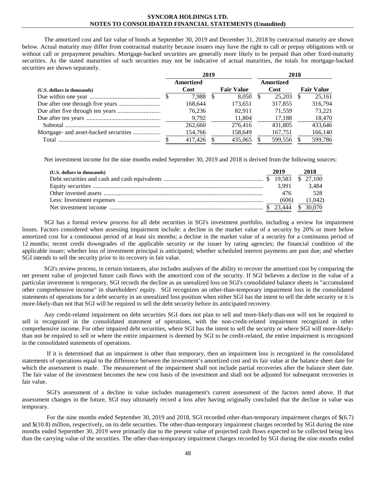The amortized cost and fair value of bonds at September 30, 2019 and December 31, 2018 by contractual maturity are shown below. Actual maturity may differ from contractual maturity because issuers may have the right to call or prepay obligations with or without call or prepayment penalties. Mortgage-backed securities are generally more likely to be prepaid than other fixed-maturity securities. As the stated maturities of such securities may not be indicative of actual maturities, the totals for mortgage-backed securities are shown separately.

|                             |                          | 2019 |                   | 2018              |  |                   |  |  |  |
|-----------------------------|--------------------------|------|-------------------|-------------------|--|-------------------|--|--|--|
| (U.S. dollars in thousands) | <b>Amortized</b><br>Cost |      | <b>Fair Value</b> | Amortized<br>Cost |  | <b>Fair Value</b> |  |  |  |
|                             | 7.988                    |      | 8.050             | 25.203            |  | 25.161            |  |  |  |
|                             | 168.644                  |      | 173.651           | 317.855           |  | 316,794           |  |  |  |
|                             | 76.236                   |      | 82.911            | 71.559            |  | 73.221            |  |  |  |
|                             | 9,792                    |      | 11,804            | 17,188            |  | 18,470            |  |  |  |
|                             | 262,660                  |      | 276.416           | 431.805           |  | 433.646           |  |  |  |
|                             | 154,766                  |      | 158,649           | 167,751           |  | 166,140           |  |  |  |
| Total                       | 417,426                  |      | 435,065           | 599,556           |  | 599,786           |  |  |  |

Net investment income for the nine months ended September 30, 2019 and 2018 is derived from the following sources:

| (U.S. dollars in thousands) | 2019  | 2018    |
|-----------------------------|-------|---------|
|                             |       |         |
|                             | 3.991 | 3.484   |
|                             | 476   | 528     |
|                             | (606) | (1,042) |
|                             |       |         |

SGI has a formal review process for all debt securities in SGI's investment portfolio, including a review for impairment losses. Factors considered when assessing impairment include: a decline in the market value of a security by 20% or more below amortized cost for a continuous period of at least six months; a decline in the market value of a security for a continuous period of 12 months; recent credit downgrades of the applicable security or the issuer by rating agencies; the financial condition of the applicable issuer; whether loss of investment principal is anticipated; whether scheduled interest payments are past due; and whether SGI intends to sell the security prior to its recovery in fair value.

SGI's review process, in certain instances, also includes analyses of the ability to recover the amortized cost by comparing the net present value of projected future cash flows with the amortized cost of the security. If SGI believes a decline in the value of a particular investment is temporary, SGI records the decline as an unrealized loss on SGI's consolidated balance sheets in "accumulated other comprehensive income" in shareholders' equity. SGI recognizes an other-than-temporary impairment loss in the consolidated statements of operations for a debt security in an unrealized loss position when either SGI has the intent to sell the debt security or it is more-likely-than not that SGI will be required to sell the debt security before its anticipated recovery.

Any credit-related impairment on debt securities SGI does not plan to sell and more-likely-than-not will not be required to sell is recognized in the consolidated statement of operations, with the non-credit-related impairment recognized in other comprehensive income. For other impaired debt securities, where SGI has the intent to sell the security or where SGI will more-likelythan not be required to sell or where the entire impairment is deemed by SGI to be credit-related, the entire impairment is recognized in the consolidated statements of operations.

If it is determined that an impairment is other than temporary, then an impairment loss is recognized in the consolidated statements of operations equal to the difference between the investment's amortized cost and its fair value at the balance sheet date for which the assessment is made. The measurement of the impairment shall not include partial recoveries after the balance sheet date. The fair value of the investment becomes the new cost basis of the investment and shall not be adjusted for subsequent recoveries in fair value.

SGI's assessment of a decline in value includes management's current assessment of the factors noted above. If that assessment changes in the future, SGI may ultimately record a loss after having originally concluded that the decline in value was temporary.

For the nine months ended September 30, 2019 and 2018, SGI recorded other-than-temporary impairment charges of  $\S(6.7)$ and \$(10.8) million, respectively, on its debt securities. The other-than-temporary impairment charges recorded by SGI during the nine months ended September 30, 2019 were primarily due to the present value of projected cash flows expected to be collected being less than the carrying value of the securities. The other-than-temporary impairment charges recorded by SGI during the nine months ended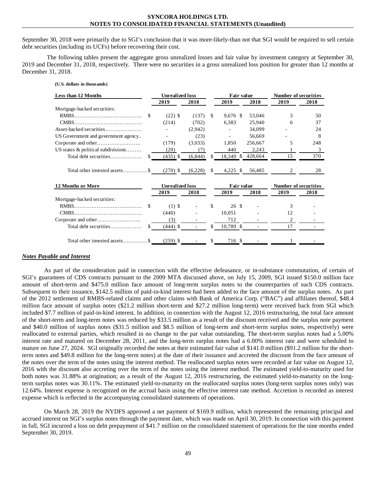September 30, 2018 were primarily due to SGI's conclusion that it was more-likely-than not that SGI would be required to sell certain debt securities (including its UCFs) before recovering their cost.

The following tables present the aggregate gross unrealized losses and fair value by investment category at September 30, 2019 and December 31, 2018, respectively. There were no securities in a gross unrealized loss position for greater than 12 months at December 31, 2018.

| (U.S. dollars in thousands)         |                        |          |    |              |         |                             |      |
|-------------------------------------|------------------------|----------|----|--------------|---------|-----------------------------|------|
| Less than 12 Months                 | <b>Unrealized loss</b> |          |    | Fair value   |         | <b>Number of securities</b> |      |
|                                     | 2019                   | 2018     |    | 2019         | 2018    | 2019                        | 2018 |
| Mortgage-backed securities:         |                        |          |    |              |         |                             |      |
| \$.                                 | $(22)$ \$              | (137)    | \$ | $9,676$ \$   | 53,046  | 3                           | 50   |
|                                     | (214)                  | (702)    |    | 6,383        | 25,940  | 6                           | 37   |
| Asset-backed securities             |                        | (2,942)  |    |              | 34,099  |                             | 24   |
| US Government and government agency |                        | (23)     |    |              | 56.669  |                             | 8    |
|                                     | (179)                  | (3,033)  |    | 1.850        | 256,667 | 5                           | 248  |
| US states & political subdivisions  | (20)                   | (7)      |    | 440          | 2,243   |                             | 3    |
| Total debt securities<br>\$.        | $(435)$ \$             | (6, 844) | \$ | 18,349<br>\$ | 428,664 | 15                          | 370  |
| Total other invested assets\$       | $(270)$ \$             | (6,228)  | \$ | $4,225$ \$   | 56,485  | 2                           | 28   |
| 12 Months or More                   | <b>Unrealized loss</b> |          |    | Fair value   |         | <b>Number of securities</b> |      |
|                                     | 2019                   | 2018     |    | 2019         | 2018    | 2019                        | 2018 |
| Mortgage-backed securities:         |                        |          |    |              |         |                             |      |
| \$.                                 | $(1)$ \$               |          | \$ | 26S          |         | 3                           |      |
|                                     | (440)                  |          |    | 10,051       |         | 12                          |      |
|                                     | (3)                    |          |    | 712          |         | 2                           |      |
| Total debt securities<br>S          | $(444)$ \$             |          | S  | 10,789 \$    |         | 17                          |      |
| Total other invested assets\$       | $(259)$ \$             |          | \$ | 716 \$       |         |                             |      |

# *Notes Payable and Interest*

As part of the consideration paid in connection with the effective defeasance, or in-substance commutation, of certain of SGI's guarantees of CDS contracts pursuant to the 2009 MTA discussed above, on July 15, 2009, SGI issued \$150.0 million face amount of short-term and \$475.0 million face amount of long-term surplus notes to the counterparties of such CDS contracts. Subsequent to their issuance, \$142.5 million of paid-in-kind interest had been added to the face amount of the surplus notes. As part of the 2012 settlement of RMBS-related claims and other claims with Bank of America Corp. ("BAC") and affiliates thereof, \$48.4 million face amount of surplus notes (\$21.2 million short-term and \$27.2 million long-term) were received back from SGI which included \$7.7 million of paid-in-kind interest. In addition, in connection with the August 12, 2016 restructuring, the total face amount of the short-term and long-term notes was reduced by \$33.5 million as a result of the discount received and the surplus note payment and \$40.0 million of surplus notes (\$31.5 million and \$8.5 million of long-term and short-term surplus notes, respectively) were reallocated to external parties, which resulted in no change to the par value outstanding. The short-term surplus notes had a 5.00% interest rate and matured on December 28, 2011, and the long-term surplus notes had a 6.00% interest rate and were scheduled to mature on June 27, 2024. SGI originally recorded the notes at their estimated fair value of \$141.0 million (\$91.2 million for the shortterm notes and \$49.8 million for the long-term notes) at the date of their issuance and accreted the discount from the face amount of the notes over the term of the notes using the interest method. The reallocated surplus notes were recorded at fair value on August 12, 2016 with the discount also accreting over the term of the notes using the interest method. The estimated yield-to-maturity used for both notes was 31.88% at origination; as a result of the August 12, 2016 restructuring, the estimated yield-to-maturity on the longterm surplus notes was 30.11%. The estimated yield-to-maturity on the reallocated surplus notes (long-term surplus notes only) was 12.64%. Interest expense is recognized on the accrual basis using the effective interest rate method. Accretion is recorded as interest expense which is reflected in the accompanying consolidated statements of operations.

On March 28, 2019 the NYDFS approved a net payment of \$169.9 million, which represented the remaining principal and accrued interest on SGI's surplus notes through the payment date, which was made on April 30, 2019. In connection with this payment in full, SGI incurred a loss on debt prepayment of \$41.7 million on the consolidated statement of operations for the nine months ended September 30, 2019.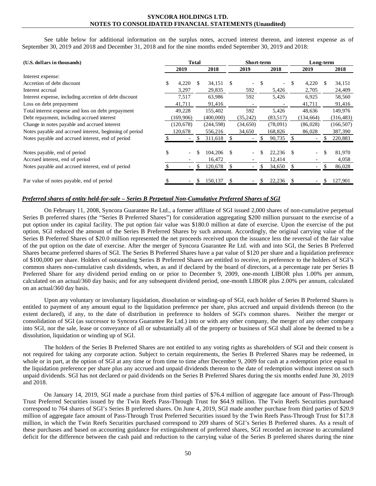See table below for additional information on the surplus notes, accrued interest thereon, and interest expense as of September 30, 2019 and 2018 and December 31, 2018 and for the nine months ended September 30, 2019 and 2018:

| (U.S. dollars in thousands)                             |                                | <b>Total</b> |            | <b>Short-term</b> |           |    |           |    | Long-term      |     |            |  |  |
|---------------------------------------------------------|--------------------------------|--------------|------------|-------------------|-----------|----|-----------|----|----------------|-----|------------|--|--|
|                                                         | 2019                           |              | 2018       |                   | 2019      |    | 2018      |    | 2019           |     | 2018       |  |  |
| Interest expense:                                       |                                |              |            |                   |           |    |           |    |                |     |            |  |  |
| Accretion of debt discount                              | \$<br>4,220                    |              | 34,151     | S                 |           | \$ |           |    | 4,220          | \$. | 34,151     |  |  |
| Interest accrual                                        | 3,297                          |              | 29,835     |                   | 592       |    | 5,426     |    | 2,705          |     | 24,409     |  |  |
| Interest expense, including accretion of debt discount  | 7,517                          |              | 63,986     |                   | 592       |    | 5,426     |    | 6,925          |     | 58,560     |  |  |
| Loss on debt prepayment                                 | 41,711                         |              | 91,416     |                   |           |    |           |    | 41,711         |     | 91,416     |  |  |
| Total interest expense and loss on debt prepayment      | 49,228                         |              | 155,402    |                   | 592       |    | 5,426     |    | 48,636         |     | 149,976    |  |  |
| Debt repayment, including accrued interest              | (169,906)                      |              | (400,000)  |                   | (35,242)  |    | (83, 517) |    | (134, 664)     |     | (316, 483) |  |  |
| Change in notes payable and accrued interest            | (120, 678)                     |              | (244, 598) |                   | (34, 650) |    | (78,091)  |    | (86,028)       |     | (166, 507) |  |  |
| Notes payable and accrued interest, beginning of period | 120,678                        |              | 556,216    |                   | 34,650    |    | 168,826   |    | 86,028         |     | 387,390    |  |  |
| Notes payable and accrued interest, end of period       |                                |              | 311,618    |                   |           |    | 90,735    |    |                | S   | 220,883    |  |  |
| Notes payable, end of period                            | \$<br>$\overline{\phantom{a}}$ |              | 104,206    | \$.               |           |    | 22,236    | -S | $\blacksquare$ | \$  | 81,970     |  |  |
| Accrued interest, end of period                         |                                |              | 16,472     |                   |           |    | 12,414    |    |                |     | 4,058      |  |  |
| Notes payable and accrued interest, end of period       |                                |              | 120,678    | \$.               |           |    | 34,650    | S  |                |     | 86,028     |  |  |
| Par value of notes payable, end of period               |                                |              | 150,137    |                   |           |    | 22,236    |    |                | S   | 127,901    |  |  |

# *Preferred shares of entity held-for-sale – Series B Perpetual Non-Cumulative Preferred Shares of SGI*

On February 11, 2008, Syncora Guarantee Re Ltd., a former affiliate of SGI issued 2,000 shares of non-cumulative perpetual Series B preferred shares (the "Series B Preferred Shares") for consideration aggregating \$200 million pursuant to the exercise of a put option under its capital facility. The put option fair value was \$180.0 million at date of exercise. Upon the exercise of the put option, SGI reduced the amount of the Series B Preferred Shares by such amount. Accordingly, the original carrying value of the Series B Preferred Shares of \$20.0 million represented the net proceeds received upon the issuance less the reversal of the fair value of the put option on the date of exercise. After the merger of Syncora Guarantee Re Ltd. with and into SGI, the Series B Preferred Shares became preferred shares of SGI. The Series B Preferred Shares have a par value of \$120 per share and a liquidation preference of \$100,000 per share. Holders of outstanding Series B Preferred Shares are entitled to receive, in preference to the holders of SGI's common shares non-cumulative cash dividends, when, as and if declared by the board of directors, at a percentage rate per Series B Preferred Share for any dividend period ending on or prior to December 9, 2009, one-month LIBOR plus 1.00% per annum, calculated on an actual/360 day basis; and for any subsequent dividend period, one-month LIBOR plus 2.00% per annum, calculated on an actual/360 day basis.

Upon any voluntary or involuntary liquidation, dissolution or winding-up of SGI, each holder of Series B Preferred Shares is entitled to payment of any amount equal to the liquidation preference per share, plus accrued and unpaid dividends thereon (to the extent declared), if any, to the date of distribution in preference to holders of SGI's common shares. Neither the merger or consolidation of SGI (as successor to Syncora Guarantee Re Ltd.) into or with any other company, the merger of any other company into SGI, nor the sale, lease or conveyance of all or substantially all of the property or business of SGI shall alone be deemed to be a dissolution, liquidation or winding up of SGI.

The holders of the Series B Preferred Shares are not entitled to any voting rights as shareholders of SGI and their consent is not required for taking any corporate action. Subject to certain requirements, the Series B Preferred Shares may be redeemed, in whole or in part, at the option of SGI at any time or from time to time after December 9, 2009 for cash at a redemption price equal to the liquidation preference per share plus any accrued and unpaid dividends thereon to the date of redemption without interest on such unpaid dividends. SGI has not declared or paid dividends on the Series B Preferred Shares during the six months ended June 30, 2019 and 2018.

On January 14, 2019, SGI made a purchase from third parties of \$76.4 million of aggregate face amount of Pass-Through Trust Preferred Securities issued by the Twin Reefs Pass-Through Trust for \$64.9 million. The Twin Reefs Securities purchased correspond to 764 shares of SGI's Series B preferred shares. On June 4, 2019, SGI made another purchase from third parties of \$20.9 million of aggregate face amount of Pass-Through Trust Preferred Securities issued by the Twin Reefs Pass-Through Trust for \$17.8 million, in which the Twin Reefs Securities purchased correspond to 209 shares of SGI's Series B Preferred shares. As a result of these purchases and based on accounting guidance for extinguishment of preferred shares, SGI recorded an increase to accumulated deficit for the difference between the cash paid and reduction to the carrying value of the Series B preferred shares during the nine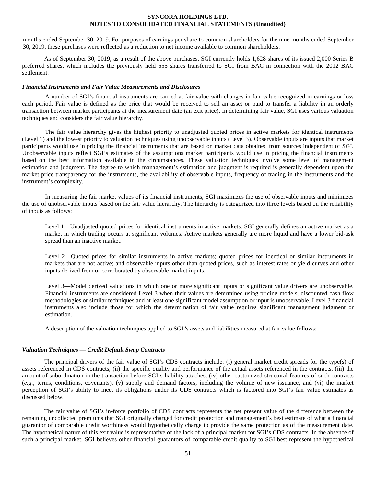months ended September 30, 2019. For purposes of earnings per share to common shareholders for the nine months ended September 30, 2019, these purchases were reflected as a reduction to net income available to common shareholders.

As of September 30, 2019, as a result of the above purchases, SGI currently holds 1,628 shares of its issued 2,000 Series B preferred shares, which includes the previously held 655 shares transferred to SGI from BAC in connection with the 2012 BAC settlement.

#### *Financial Instruments and Fair Value Measurements and Disclosures*

A number of SGI's financial instruments are carried at fair value with changes in fair value recognized in earnings or loss each period. Fair value is defined as the price that would be received to sell an asset or paid to transfer a liability in an orderly transaction between market participants at the measurement date (an exit price). In determining fair value, SGI uses various valuation techniques and considers the fair value hierarchy.

The fair value hierarchy gives the highest priority to unadjusted quoted prices in active markets for identical instruments (Level 1) and the lowest priority to valuation techniques using unobservable inputs (Level 3). Observable inputs are inputs that market participants would use in pricing the financial instruments that are based on market data obtained from sources independent of SGI. Unobservable inputs reflect SGI's estimates of the assumptions market participants would use in pricing the financial instruments based on the best information available in the circumstances. These valuation techniques involve some level of management estimation and judgment. The degree to which management's estimation and judgment is required is generally dependent upon the market price transparency for the instruments, the availability of observable inputs, frequency of trading in the instruments and the instrument's complexity.

In measuring the fair market values of its financial instruments, SGI maximizes the use of observable inputs and minimizes the use of unobservable inputs based on the fair value hierarchy. The hierarchy is categorized into three levels based on the reliability of inputs as follows:

Level 1—Unadjusted quoted prices for identical instruments in active markets. SGI generally defines an active market as a market in which trading occurs at significant volumes. Active markets generally are more liquid and have a lower bid-ask spread than an inactive market.

Level 2—Quoted prices for similar instruments in active markets; quoted prices for identical or similar instruments in markets that are not active; and observable inputs other than quoted prices, such as interest rates or yield curves and other inputs derived from or corroborated by observable market inputs.

Level 3—Model derived valuations in which one or more significant inputs or significant value drivers are unobservable. Financial instruments are considered Level 3 when their values are determined using pricing models, discounted cash flow methodologies or similar techniques and at least one significant model assumption or input is unobservable. Level 3 financial instruments also include those for which the determination of fair value requires significant management judgment or estimation.

A description of the valuation techniques applied to SGI 's assets and liabilities measured at fair value follows:

# *Valuation Techniques — Credit Default Swap Contracts*

The principal drivers of the fair value of SGI's CDS contracts include: (i) general market credit spreads for the type(s) of assets referenced in CDS contracts, (ii) the specific quality and performance of the actual assets referenced in the contracts, (iii) the amount of subordination in the transaction before SGI's liability attaches, (iv) other customized structural features of such contracts (*e.g.,* terms, conditions, covenants), (v) supply and demand factors, including the volume of new issuance, and (vi) the market perception of SGI's ability to meet its obligations under its CDS contracts which is factored into SGI's fair value estimates as discussed below.

The fair value of SGI's in-force portfolio of CDS contracts represents the net present value of the difference between the remaining uncollected premiums that SGI originally charged for credit protection and management's best estimate of what a financial guarantor of comparable credit worthiness would hypothetically charge to provide the same protection as of the measurement date. The hypothetical nature of this exit value is representative of the lack of a principal market for SGI's CDS contracts. In the absence of such a principal market, SGI believes other financial guarantors of comparable credit quality to SGI best represent the hypothetical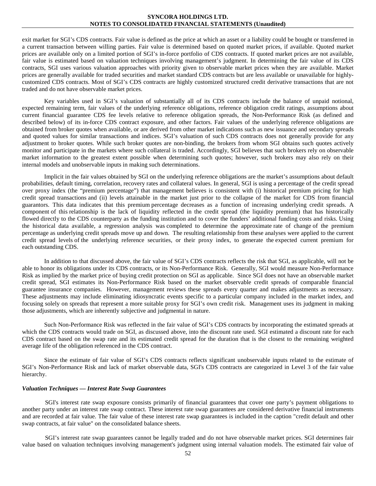exit market for SGI's CDS contracts. Fair value is defined as the price at which an asset or a liability could be bought or transferred in a current transaction between willing parties. Fair value is determined based on quoted market prices, if available. Quoted market prices are available only on a limited portion of SGI's in-force portfolio of CDS contracts. If quoted market prices are not available, fair value is estimated based on valuation techniques involving management's judgment. In determining the fair value of its CDS contracts, SGI uses various valuation approaches with priority given to observable market prices when they are available. Market prices are generally available for traded securities and market standard CDS contracts but are less available or unavailable for highlycustomized CDS contracts. Most of SGI's CDS contracts are highly customized structured credit derivative transactions that are not traded and do not have observable market prices.

Key variables used in SGI's valuation of substantially all of its CDS contracts include the balance of unpaid notional, expected remaining term, fair values of the underlying reference obligations, reference obligation credit ratings, assumptions about current financial guarantee CDS fee levels relative to reference obligation spreads, the Non-Performance Risk (as defined and described below) of its in-force CDS contract exposure, and other factors. Fair values of the underlying reference obligations are obtained from broker quotes when available, or are derived from other market indications such as new issuance and secondary spreads and quoted values for similar transactions and indices. SGI's valuation of such CDS contracts does not generally provide for any adjustment to broker quotes. While such broker quotes are non-binding, the brokers from whom SGI obtains such quotes actively monitor and participate in the markets where such collateral is traded. Accordingly, SGI believes that such brokers rely on observable market information to the greatest extent possible when determining such quotes; however, such brokers may also rely on their internal models and unobservable inputs in making such determinations.

Implicit in the fair values obtained by SGI on the underlying reference obligations are the market's assumptions about default probabilities, default timing, correlation, recovery rates and collateral values. In general, SGI is using a percentage of the credit spread over proxy index (the "premium percentage") that management believes is consistent with (i) historical premium pricing for high credit spread transactions and (ii) levels attainable in the market just prior to the collapse of the market for CDS from financial guarantors. This data indicates that this premium percentage decreases as a function of increasing underlying credit spreads. A component of this relationship is the lack of liquidity reflected in the credit spread (the liquidity premium) that has historically flowed directly to the CDS counterparty as the funding institution and to cover the funders' additional funding costs and risks. Using the historical data available, a regression analysis was completed to determine the approximate rate of change of the premium percentage as underlying credit spreads move up and down. The resulting relationship from these analyses were applied to the current credit spread levels of the underlying reference securities, or their proxy index, to generate the expected current premium for each outstanding CDS.

In addition to that discussed above, the fair value of SGI's CDS contracts reflects the risk that SGI, as applicable, will not be able to honor its obligations under its CDS contracts, or its Non-Performance Risk. Generally, SGI would measure Non-Performance Risk as implied by the market price of buying credit protection on SGI as applicable. Since SGI does not have an observable market credit spread, SGI estimates its Non-Performance Risk based on the market observable credit spreads of comparable financial guarantee insurance companies. However, management reviews these spreads every quarter and makes adjustments as necessary. These adjustments may include eliminating idiosyncratic events specific to a particular company included in the market index, and focusing solely on spreads that represent a more suitable proxy for SGI's own credit risk. Management uses its judgment in making those adjustments, which are inherently subjective and judgmental in nature.

Such Non-Performance Risk was reflected in the fair value of SGI's CDS contracts by incorporating the estimated spreads at which the CDS contracts would trade on SGI, as discussed above, into the discount rate used. SGI estimated a discount rate for each CDS contract based on the swap rate and its estimated credit spread for the duration that is the closest to the remaining weighted average life of the obligation referenced in the CDS contract.

Since the estimate of fair value of SGI's CDS contracts reflects significant unobservable inputs related to the estimate of SGI's Non-Performance Risk and lack of market observable data, SGI's CDS contracts are categorized in Level 3 of the fair value hierarchy.

#### *Valuation Techniques — Interest Rate Swap Guarantees*

SGI's interest rate swap exposure consists primarily of financial guarantees that cover one party's payment obligations to another party under an interest rate swap contract. These interest rate swap guarantees are considered derivative financial instruments and are recorded at fair value. The fair value of these interest rate swap guarantees is included in the caption "credit default and other swap contracts, at fair value" on the consolidated balance sheets.

SGI's interest rate swap guarantees cannot be legally traded and do not have observable market prices. SGI determines fair value based on valuation techniques involving management's judgment using internal valuation models. The estimated fair value of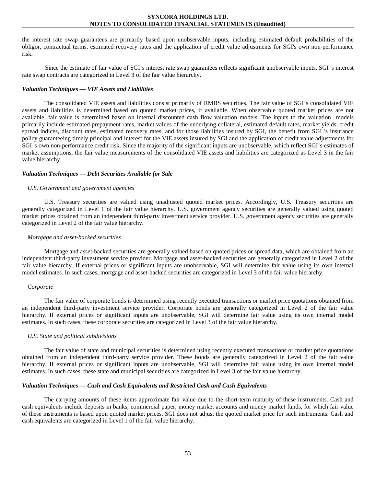the interest rate swap guarantees are primarily based upon unobservable inputs, including estimated default probabilities of the obligor, contractual terms, estimated recovery rates and the application of credit value adjustments for SGI's own non-performance risk.

Since the estimate of fair value of SGI's interest rate swap guarantees reflects significant unobservable inputs, SGI 's interest rate swap contracts are categorized in Level 3 of the fair value hierarchy.

# *Valuation Techniques — VIE Assets and Liabilities*

The consolidated VIE assets and liabilities consist primarily of RMBS securities. The fair value of SGI's consolidated VIE assets and liabilities is determined based on quoted market prices, if available. When observable quoted market prices are not available, fair value is determined based on internal discounted cash flow valuation models. The inputs to the valuation models primarily include estimated prepayment rates, market values of the underlying collateral, estimated default rates, market yields, credit spread indices, discount rates, estimated recovery rates, and for those liabilities insured by SGI, the benefit from SGI 's insurance policy guaranteeing timely principal and interest for the VIE assets insured by SGI and the application of credit value adjustments for SGI 's own non-performance credit risk. Since the majority of the significant inputs are unobservable, which reflect SGI's estimates of market assumptions, the fair value measurements of the consolidated VIE assets and liabilities are categorized as Level 3 in the fair value hierarchy.

## *Valuation Techniques — Debt Securities Available for Sale*

#### *U.S. Government and government agencies*

U.S. Treasury securities are valued using unadjusted quoted market prices. Accordingly, U.S. Treasury securities are generally categorized in Level 1 of the fair value hierarchy. U.S. government agency securities are generally valued using quoted market prices obtained from an independent third-party investment service provider. U.S. government agency securities are generally categorized in Level 2 of the fair value hierarchy.

## *Mortgage and asset-backed securities*

Mortgage and asset-backed securities are generally valued based on quoted prices or spread data, which are obtained from an independent third-party investment service provider. Mortgage and asset-backed securities are generally categorized in Level 2 of the fair value hierarchy. If external prices or significant inputs are unobservable, SGI will determine fair value using its own internal model estimates. In such cases, mortgage and asset-backed securities are categorized in Level 3 of the fair value hierarchy.

#### *Corporate*

The fair value of corporate bonds is determined using recently executed transactions or market price quotations obtained from an independent third-party investment service provider. Corporate bonds are generally categorized in Level 2 of the fair value hierarchy. If external prices or significant inputs are unobservable, SGI will determine fair value using its own internal model estimates. In such cases, these corporate securities are categorized in Level 3 of the fair value hierarchy.

#### *U.S. State and political subdivisions*

The fair value of state and municipal securities is determined using recently executed transactions or market price quotations obtained from an independent third-party service provider. These bonds are generally categorized in Level 2 of the fair value hierarchy. If external prices or significant inputs are unobservable, SGI will determine fair value using its own internal model estimates. In such cases, these state and municipal securities are categorized in Level 3 of the fair value hierarchy.

# *Valuation Techniques — Cash and Cash Equivalents and Restricted Cash and Cash Equivalents*

The carrying amounts of these items approximate fair value due to the short-term maturity of these instruments. Cash and cash equivalents include deposits in banks, commercial paper, money market accounts and money market funds, for which fair value of these instruments is based upon quoted market prices. SGI does not adjust the quoted market price for such instruments. Cash and cash equivalents are categorized in Level 1 of the fair value hierarchy.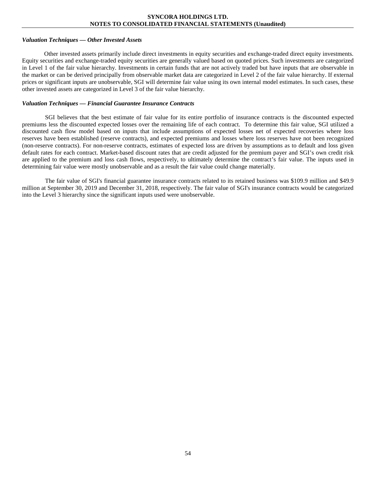#### *Valuation Techniques — Other Invested Assets*

Other invested assets primarily include direct investments in equity securities and exchange-traded direct equity investments. Equity securities and exchange-traded equity securities are generally valued based on quoted prices. Such investments are categorized in Level 1 of the fair value hierarchy. Investments in certain funds that are not actively traded but have inputs that are observable in the market or can be derived principally from observable market data are categorized in Level 2 of the fair value hierarchy. If external prices or significant inputs are unobservable, SGI will determine fair value using its own internal model estimates. In such cases, these other invested assets are categorized in Level 3 of the fair value hierarchy.

## *Valuation Techniques — Financial Guarantee Insurance Contracts*

SGI believes that the best estimate of fair value for its entire portfolio of insurance contracts is the discounted expected premiums less the discounted expected losses over the remaining life of each contract. To determine this fair value, SGI utilized a discounted cash flow model based on inputs that include assumptions of expected losses net of expected recoveries where loss reserves have been established (reserve contracts), and expected premiums and losses where loss reserves have not been recognized (non-reserve contracts). For non-reserve contracts, estimates of expected loss are driven by assumptions as to default and loss given default rates for each contract. Market-based discount rates that are credit adjusted for the premium payer and SGI's own credit risk are applied to the premium and loss cash flows, respectively, to ultimately determine the contract's fair value. The inputs used in determining fair value were mostly unobservable and as a result the fair value could change materially.

The fair value of SGI's financial guarantee insurance contracts related to its retained business was \$109.9 million and \$49.9 million at September 30, 2019 and December 31, 2018, respectively. The fair value of SGI's insurance contracts would be categorized into the Level 3 hierarchy since the significant inputs used were unobservable.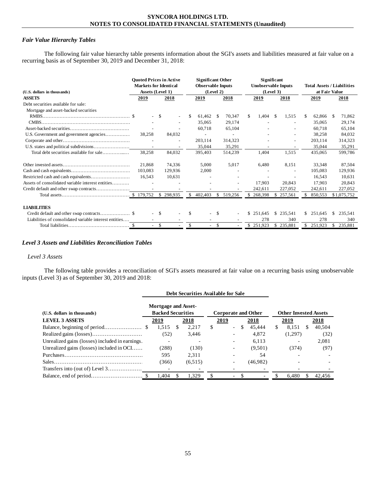## *Fair Value Hierarchy Tables*

The following fair value hierarchy table presents information about the SGI's assets and liabilities measured at fair value on a recurring basis as of September 30, 2019 and December 31, 2018:

| (U.S. dollars in thousands)                            | <b>Quoted Prices in Active</b><br><b>Markets for Identical</b><br>Assets (Level 1) |           |     | <b>Significant Other</b><br><b>Observable Inputs</b><br>(Level 2) |      |                          |     | Significant<br><b>Unobservable Inputs</b><br>(Level 3) |     |                          |     | <b>Total Assets / Liabilities</b><br>at Fair Value |    |             |  |
|--------------------------------------------------------|------------------------------------------------------------------------------------|-----------|-----|-------------------------------------------------------------------|------|--------------------------|-----|--------------------------------------------------------|-----|--------------------------|-----|----------------------------------------------------|----|-------------|--|
| <b>ASSETS</b>                                          | 2019                                                                               | 2018      |     | 2019                                                              |      | 2018                     |     | 2019                                                   |     | 2018                     |     | 2019                                               |    | 2018        |  |
| Debt securities available for sale:                    |                                                                                    |           |     |                                                                   |      |                          |     |                                                        |     |                          |     |                                                    |    |             |  |
| Mortgage and asset-backed securities                   |                                                                                    |           |     |                                                                   |      |                          |     |                                                        |     |                          |     |                                                    |    |             |  |
|                                                        |                                                                                    | -S        | \$  | 61,462                                                            | - \$ | 70,347                   | \$. | 1.404                                                  | -S  | 1.515                    | S   | 62,866                                             | -S | 71,862      |  |
|                                                        |                                                                                    |           |     | 35,065                                                            |      | 29,174                   |     |                                                        |     |                          |     | 35,065                                             |    | 29,174      |  |
|                                                        |                                                                                    |           |     | 60,718                                                            |      | 65,104                   |     |                                                        |     |                          |     | 60,718                                             |    | 65,104      |  |
|                                                        | 38.258                                                                             | 84,032    |     | ۰                                                                 |      | $\overline{\phantom{a}}$ |     |                                                        |     | $\overline{\phantom{0}}$ |     | 38,258                                             |    | 84,032      |  |
|                                                        |                                                                                    |           |     | 203,114                                                           |      | 314,323                  |     |                                                        |     |                          |     | 203,114                                            |    | 314,323     |  |
|                                                        | $\sim$                                                                             |           |     | 35,044                                                            |      | 35,291                   |     |                                                        |     |                          |     | 35,044                                             |    | 35,291      |  |
| Total debt securities available for sale               | 38,258                                                                             | 84,032    |     | 395,403                                                           |      | 514,239                  |     | 1,404                                                  |     | 1,515                    |     | 435,065                                            |    | 599,786     |  |
|                                                        | 21.868                                                                             | 74,336    |     | 5.000                                                             |      | 5,017                    |     | 6,480                                                  |     | 8,151                    |     | 33,348                                             |    | 87,504      |  |
|                                                        | 103.083                                                                            | 129.936   |     | 2.000                                                             |      |                          |     |                                                        |     |                          |     | 105.083                                            |    | 129.936     |  |
|                                                        | 16,543                                                                             | 10,631    |     |                                                                   |      |                          |     |                                                        |     |                          |     | 16,543                                             |    | 10,631      |  |
| Assets of consolidated variable interest entities      |                                                                                    |           |     |                                                                   |      |                          |     | 17.903                                                 |     | 20.843                   |     | 17.903                                             |    | 20,843      |  |
|                                                        |                                                                                    |           |     |                                                                   |      |                          |     | 242,611                                                |     | 227,052                  |     | 242,611                                            |    | 227,052     |  |
|                                                        |                                                                                    | \$298,935 | \$  | 402,403                                                           | \$   | 519,256                  | \$. | 268,398                                                | \$. | 257,561                  |     | 850,553                                            |    | \$1,075,752 |  |
| <b>LIABILITIES</b>                                     |                                                                                    |           |     |                                                                   |      |                          |     |                                                        |     |                          |     |                                                    |    |             |  |
|                                                        |                                                                                    | -S        | \$. |                                                                   | -S   |                          | \$. | 251.645                                                | \$. | 235.541                  | \$. | 251.645                                            | \$ | 235.541     |  |
| Liabilities of consolidated variable interest entities |                                                                                    |           |     |                                                                   |      |                          |     | 278                                                    |     | 340                      |     | 278                                                |    | 340         |  |
|                                                        | $\overline{\phantom{0}}$                                                           | \$        | \$  | $\overline{\phantom{0}}$                                          | -S   |                          |     | \$251,923                                              | \$  | 235,881                  | \$  | 251,923                                            | \$ | 235,881     |  |

## *Level 3 Assets and Liabilities Reconciliation Tables*

# *Level 3 Assets*

The following table provides a reconciliation of SGI's assets measured at fair value on a recurring basis using unobservable inputs (Level 3) as of September 30, 2019 and 2018:

|                                                 |                            |    | Debt Securities Available for Sale |    |                            |    |          |    |                              |   |        |
|-------------------------------------------------|----------------------------|----|------------------------------------|----|----------------------------|----|----------|----|------------------------------|---|--------|
|                                                 | <b>Mortgage and Asset-</b> |    |                                    |    |                            |    |          |    |                              |   |        |
| (U.S. dollars in thousands)                     | <b>Backed Securities</b>   |    |                                    |    | <b>Corporate and Other</b> |    |          |    | <b>Other Invested Assets</b> |   |        |
| <b>LEVEL 3 ASSETS</b>                           | 2019                       |    | 2018                               |    | 2019                       |    | 2018     |    | 2019                         |   | 2018   |
|                                                 | 1.515                      | -S | 2.217                              | S. | $\overline{\phantom{a}}$   | \$ | 45.444   | S. | 8.151                        | S | 40.504 |
|                                                 | (52)                       |    | 3,446                              |    |                            |    | 4.872    |    | (1,297)                      |   | (32)   |
| Unrealized gains (losses) included in earnings. | $\overline{\phantom{0}}$   |    |                                    |    |                            |    | 6.113    |    |                              |   | 2,081  |
| Unrealized gains (losses) included in OCI       | (288)                      |    | (130)                              |    |                            |    | (9,501)  |    | (374)                        |   | (97)   |
|                                                 | 595                        |    | 2.311                              |    |                            |    | 54       |    |                              |   |        |
|                                                 | (366)                      |    | (6,515)                            |    | $\overline{\phantom{a}}$   |    | (46,982) |    |                              |   |        |
|                                                 |                            |    |                                    |    |                            |    |          |    |                              |   |        |
|                                                 | 1.404                      |    | 1.329                              |    | $\overline{\phantom{a}}$   |    |          |    | 6.480                        |   | 42.456 |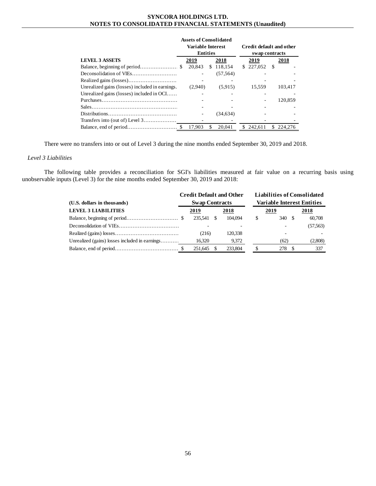|                                                 |         | <b>Assets of Consolidated</b>               |               |                                                   |  |  |  |  |  |
|-------------------------------------------------|---------|---------------------------------------------|---------------|---------------------------------------------------|--|--|--|--|--|
|                                                 |         | <b>Variable Interest</b><br><b>Entities</b> |               | <b>Credit default and other</b><br>swap contracts |  |  |  |  |  |
| <b>LEVEL 3 ASSETS</b>                           | 2019    | 2018                                        | 2019          | 2018                                              |  |  |  |  |  |
|                                                 | 20,843  | \$118,154                                   | 227,052<br>S. | -S                                                |  |  |  |  |  |
|                                                 |         | (57, 564)                                   |               |                                                   |  |  |  |  |  |
|                                                 |         |                                             |               |                                                   |  |  |  |  |  |
| Unrealized gains (losses) included in earnings. | (2.940) | (5.915)                                     | 15.559        | 103.417                                           |  |  |  |  |  |
| Unrealized gains (losses) included in $OCI$     |         |                                             |               |                                                   |  |  |  |  |  |
|                                                 |         |                                             |               | 120.859                                           |  |  |  |  |  |
|                                                 |         |                                             |               |                                                   |  |  |  |  |  |
|                                                 |         | (34, 634)                                   |               |                                                   |  |  |  |  |  |
| Transfers into (out of) Level $3$               |         |                                             |               |                                                   |  |  |  |  |  |
|                                                 | 17.903  | 20.041<br>S.                                | 242.611<br>S. | \$224,276                                         |  |  |  |  |  |

There were no transfers into or out of Level 3 during the nine months ended September 30, 2019 and 2018.

# *Level 3 Liabilities*

The following table provides a reconciliation for SGI's liabilities measured at fair value on a recurring basis using unobservable inputs (Level 3) for the nine months ended September 30, 2019 and 2018:

|                                                | <b>Credit Default and Other</b> |                       |     |         |  |                                   |        |  | <b>Liabilities of Consolidated</b> |  |  |  |
|------------------------------------------------|---------------------------------|-----------------------|-----|---------|--|-----------------------------------|--------|--|------------------------------------|--|--|--|
| (U.S. dollars in thousands)                    |                                 | <b>Swap Contracts</b> |     |         |  | <b>Variable Interest Entities</b> |        |  |                                    |  |  |  |
| <b>LEVEL 3 LIABILITIES</b>                     | 2019<br>2018                    |                       |     |         |  | 2019                              | 2018   |  |                                    |  |  |  |
|                                                |                                 | 235.541               | \$. | 104.094 |  | S                                 | 340 \$ |  | 60,708                             |  |  |  |
|                                                |                                 |                       |     |         |  |                                   |        |  | (57,563)                           |  |  |  |
|                                                |                                 | (216)                 |     | 120.338 |  |                                   |        |  |                                    |  |  |  |
| Unrealized (gains) losses included in earnings |                                 | 16,320                |     | 9,372   |  |                                   | (62)   |  | (2,808)                            |  |  |  |
|                                                |                                 | 251.645               |     | 233,804 |  |                                   | 278    |  | 337                                |  |  |  |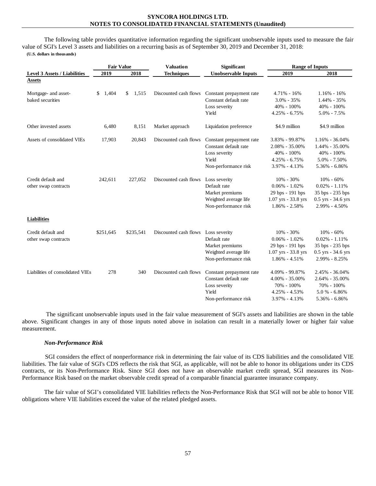The following table provides quantitative information regarding the significant unobservable inputs used to measure the fair value of SGI's Level 3 assets and liabilities on a recurring basis as of September 30, 2019 and December 31, 2018: **(U.S. dollars in thousands)**

|                                     | <b>Fair Value</b> |             | <b>Valuation</b>      | <b>Significant</b>         | <b>Range of Inputs</b> |                      |  |
|-------------------------------------|-------------------|-------------|-----------------------|----------------------------|------------------------|----------------------|--|
| <b>Level 3 Assets / Liabilities</b> | 2019              | 2018        | <b>Techniques</b>     | <b>Unobservable Inputs</b> | 2019                   | 2018                 |  |
| <b>Assets</b>                       |                   |             |                       |                            |                        |                      |  |
| Mortgage- and asset-                | 1,404<br>\$       | \$<br>1,515 | Discounted cash flows | Constant prepayment rate   | 4.71% - 16%            | $1.16\% - 16\%$      |  |
| baked securities                    |                   |             |                       | Constant default rate      | $3.0\% - 35\%$         | 1.44% - 35%          |  |
|                                     |                   |             |                       | Loss severity              | $40\% - 100\%$         | 40% - 100%           |  |
|                                     |                   |             |                       | Yield                      | $4.25\% - 6.75\%$      | $5.0\% - 7.5\%$      |  |
| Other invested assets               | 6,480             | 8,151       | Market approach       | Liquidation preference     | \$4.9 million          | \$4.9 million        |  |
| Assets of consolidated VIEs         | 17,903            | 20,843      | Discounted cash flows | Constant prepayment rate   | 3.83% - 99.87%         | $1.16\% - 36.04\%$   |  |
|                                     |                   |             |                       | Constant default rate      | 2.08% - 35.00%         | 1.44% - 35.00%       |  |
|                                     |                   |             |                       | Loss severity              | 40% - 100%             | $40\% - 100\%$       |  |
|                                     |                   |             |                       | Yield                      | $4.25\% - 6.75\%$      | $5.0\% - 7.50\%$     |  |
|                                     |                   |             |                       | Non-performance risk       | 3.97% - 4.13%          | 5.36% - 6.86%        |  |
| Credit default and                  | 242,611           | 227,052     | Discounted cash flows | Loss severity              | $10\% - 30\%$          | $10\% - 60\%$        |  |
| other swap contracts                |                   |             |                       | Default rate               | $0.06\% - 1.02\%$      | $0.02\% - 1.11\%$    |  |
|                                     |                   |             |                       | Market premiums            | 29 bps - 191 bps       | 35 bps - 235 bps     |  |
|                                     |                   |             |                       | Weighted average life      | $1.07$ yrs - 33.8 yrs  | $0.5$ yrs - 34.6 yrs |  |
|                                     |                   |             |                       | Non-performance risk       | 1.86% - 2.58%          | 2.99% - 4.50%        |  |
| <b>Liabilities</b>                  |                   |             |                       |                            |                        |                      |  |
| Credit default and                  | \$251,645         | \$235,541   | Discounted cash flows | Loss severity              | 10% - 30%              | $10\% - 60\%$        |  |
| other swap contracts                |                   |             |                       | Default rate               | $0.06\% - 1.02\%$      | $0.02\% - 1.11\%$    |  |
|                                     |                   |             |                       | Market premiums            | 29 bps - 191 bps       | 35 bps - 235 bps     |  |
|                                     |                   |             |                       | Weighted average life      | $1.07$ yrs - 33.8 yrs  | 0.5 yrs - 34.6 yrs   |  |
|                                     |                   |             |                       | Non-performance risk       | $1.86\% - 4.51\%$      | 2.99% - 8.25%        |  |
| Liabilities of consolidated VIEs    | 278               | 340         | Discounted cash flows | Constant prepayment rate   | 4.09% - 99.87%         | 2.45% - 36.04%       |  |
|                                     |                   |             |                       | Constant default rate      | 4.00% - 35.00%         | 2.64% - 35.00%       |  |
|                                     |                   |             |                       | Loss severity              | 70% - 100%             | 70% - 100%           |  |
|                                     |                   |             |                       | Yield                      | $4.25\% - 4.53\%$      | $5.0 \% - 6.86\%$    |  |
|                                     |                   |             |                       | Non-performance risk       | 3.97% - 4.13%          | 5.36% - 6.86%        |  |

The significant unobservable inputs used in the fair value measurement of SGI's assets and liabilities are shown in the table above. Significant changes in any of those inputs noted above in isolation can result in a materially lower or higher fair value measurement.

# *Non-Performance Risk*

SGI considers the effect of nonperformance risk in determining the fair value of its CDS liabilities and the consolidated VIE liabilities. The fair value of SGI's CDS reflects the risk that SGI, as applicable, will not be able to honor its obligations under its CDS contracts, or its Non-Performance Risk. Since SGI does not have an observable market credit spread, SGI measures its Non-Performance Risk based on the market observable credit spread of a comparable financial guarantee insurance company.

The fair value of SGI's consolidated VIE liabilities reflects the Non-Performance Risk that SGI will not be able to honor VIE obligations where VIE liabilities exceed the value of the related pledged assets.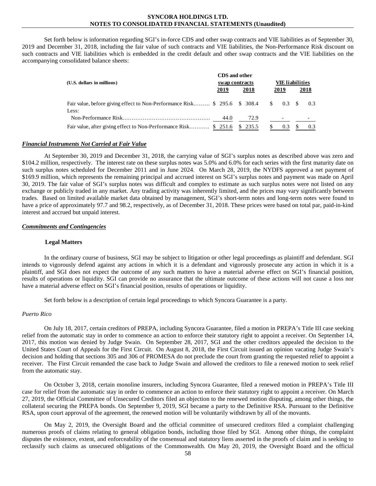Set forth below is information regarding SGI's in-force CDS and other swap contracts and VIE liabilities as of September 30, 2019 and December 31, 2018, including the fair value of such contracts and VIE liabilities, the Non-Performance Risk discount on such contracts and VIE liabilities which is embedded in the credit default and other swap contracts and the VIE liabilities on the accompanying consolidated balance sheets:

|                                                                                   | CDS and other  |      |               |       |                        |      |  |  |
|-----------------------------------------------------------------------------------|----------------|------|---------------|-------|------------------------|------|--|--|
| (U.S. dollars in millions)                                                        | swap contracts |      |               |       | <b>VIE</b> liabilities |      |  |  |
|                                                                                   | 2019           | 2018 |               | 2019  |                        | 2018 |  |  |
| Fair value, before giving effect to Non-Performance Risk \$295.6 \$308.4<br>Less: |                |      | <sup>\$</sup> | 0.3 S |                        | 0.3  |  |  |
|                                                                                   | 44.0           | 72.9 |               |       |                        |      |  |  |
| Fair value, after giving effect to Non-Performance Risk \$ 251.6 \$ 235.5         |                |      |               | 0.3   |                        | 0.3  |  |  |

#### *Financial Instruments Not Carried at Fair Value*

At September 30, 2019 and December 31, 2018, the carrying value of SGI's surplus notes as described above was zero and \$104.2 million, respectively. The interest rate on these surplus notes was 5.0% and 6.0% for each series with the first maturity date on such surplus notes scheduled for December 2011 and in June 2024. On March 28, 2019, the NYDFS approved a net payment of \$169.9 million, which represents the remaining principal and accrued interest on SGI's surplus notes and payment was made on April 30, 2019. The fair value of SGI's surplus notes was difficult and complex to estimate as such surplus notes were not listed on any exchange or publicly traded in any market. Any trading activity was inherently limited, and the prices may vary significantly between trades. Based on limited available market data obtained by management, SGI's short-term notes and long-term notes were found to have a price of approximately 97.7 and 98.2, respectively, as of December 31, 2018. These prices were based on total par, paid-in-kind interest and accrued but unpaid interest.

#### *Commitments and Contingencies*

#### **Legal Matters**

In the ordinary course of business, SGI may be subject to litigation or other legal proceedings as plaintiff and defendant. SGI intends to vigorously defend against any actions in which it is a defendant and vigorously prosecute any action in which it is a plaintiff, and SGI does not expect the outcome of any such matters to have a material adverse effect on SGI's financial position, results of operations or liquidity. SGI can provide no assurance that the ultimate outcome of these actions will not cause a loss nor have a material adverse effect on SGI's financial position, results of operations or liquidity.

Set forth below is a description of certain legal proceedings to which Syncora Guarantee is a party.

## *Puerto Rico*

On July 18, 2017, certain creditors of PREPA, including Syncora Guarantee, filed a motion in PREPA's Title III case seeking relief from the automatic stay in order to commence an action to enforce their statutory right to appoint a receiver. On September 14, 2017, this motion was denied by Judge Swain. On September 28, 2017, SGI and the other creditors appealed the decision to the United States Court of Appeals for the First Circuit. On August 8, 2018, the First Circuit issued an opinion vacating Judge Swain's decision and holding that sections 305 and 306 of PROMESA do not preclude the court from granting the requested relief to appoint a receiver. The First Circuit remanded the case back to Judge Swain and allowed the creditors to file a renewed motion to seek relief from the automatic stay.

On October 3, 2018, certain monoline insurers, including Syncora Guarantee, filed a renewed motion in PREPA's Title III case for relief from the automatic stay in order to commence an action to enforce their statutory right to appoint a receiver. On March 27, 2019, the Official Committee of Unsecured Creditors filed an objection to the renewed motion disputing, among other things, the collateral securing the PREPA bonds. On September 9, 2019, SGI became a party to the Definitive RSA. Pursuant to the Definitive RSA, upon court approval of the agreement, the renewed motion will be voluntarily withdrawn by all of the movants.

On May 2, 2019, the Oversight Board and the official committee of unsecured creditors filed a complaint challenging numerous proofs of claims relating to general obligation bonds, including those filed by SGI. Among other things, the complaint disputes the existence, extent, and enforceability of the consensual and statutory liens asserted in the proofs of claim and is seeking to reclassify such claims as unsecured obligations of the Commonwealth. On May 20, 2019, the Oversight Board and the official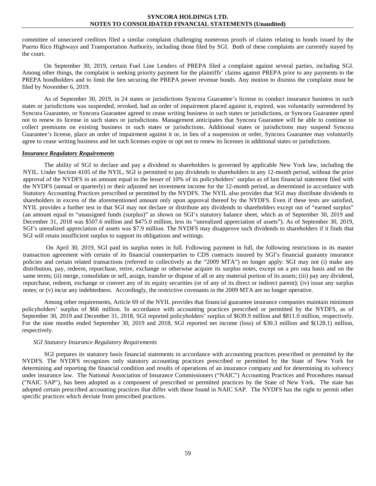committee of unsecured creditors filed a similar complaint challenging numerous proofs of claims relating to bonds issued by the Puerto Rico Highways and Transportation Authority, including those filed by SGI. Both of these complaints are currently stayed by the court.

On September 30, 2019, certain Fuel Line Lenders of PREPA filed a complaint against several parties, including SGI. Among other things, the complaint is seeking priority payment for the plaintiffs' claims against PREPA prior to any payments to the PREPA bondholders and to limit the lien securing the PREPA power revenue bonds. Any motion to dismiss the complaint must be filed by November 6, 2019.

As of September 30, 2019, in 24 states or jurisdictions Syncora Guarantee's license to conduct insurance business in such states or jurisdictions was suspended, revoked, had an order of impairment placed against it, expired, was voluntarily surrendered by Syncora Guarantee, or Syncora Guarantee agreed to cease writing business in such states or jurisdictions, or Syncora Guarantee opted not to renew its license in such states or jurisdictions. Management anticipates that Syncora Guarantee will be able to continue to collect premiums on existing business in such states or jurisdictions. Additional states or jurisdictions may suspend Syncora Guarantee's license, place an order of impairment against it or, in lieu of a suspension or order, Syncora Guarantee may voluntarily agree to cease writing business and let such licenses expire or opt not to renew its licenses in additional states or jurisdictions.

## *Insurance Regulatory Requirements*

The ability of SGI to declare and pay a dividend to shareholders is governed by applicable New York law, including the NYIL. Under Section 4105 of the NYIL, SGI is permitted to pay dividends to shareholders in any 12-month period, without the prior approval of the NYDFS in an amount equal to the lesser of 10% of its policyholders' surplus as of last financial statement filed with the NYDFS (annual or quarterly) or their adjusted net investment income for the 12-month period, as determined in accordance with Statutory Accounting Practices prescribed or permitted by the NYDFS. The NYIL also provides that SGI may distribute dividends to shareholders in excess of the aforementioned amount only upon approval thereof by the NYDFS. Even if these tests are satisfied, NYIL provides a further test in that SGI may not declare or distribute any dividends to shareholders except out of "earned surplus" (an amount equal to "unassigned funds (surplus)" as shown on SGI's statutory balance sheet, which as of September 30, 2019 and December 31, 2018 was \$507.6 million and \$475.0 million, less its "unrealized appreciation of assets"). As of September 30, 2019, SGI's unrealized appreciation of assets was \$7.9 million. The NYDFS may disapprove such dividends to shareholders if it finds that SGI will retain insufficient surplus to support its obligations and writings.

On April 30, 2019, SGI paid its surplus notes in full. Following payment in full, the following restrictions in its master transaction agreement with certain of its financial counterparties to CDS contracts insured by SGI's financial guaranty insurance policies and certain related transactions (referred to collectively as the "2009 MTA") no longer apply: SGI may not (i) make any distribution, pay, redeem, repurchase, retire, exchange or otherwise acquire its surplus notes, except on a pro rata basis and on the same terms; (ii) merge, consolidate or sell, assign, transfer or dispose of all or any material portion of its assets; (iii) pay any dividend, repurchase, redeem, exchange or convert any of its equity securities (or of any of its direct or indirect parent); (iv) issue any surplus notes; or (v) incur any indebtedness. Accordingly, the restrictive covenants in the 2009 MTA are no longer operative.

Among other requirements, Article 69 of the NYIL provides that financial guarantee insurance companies maintain minimum policyholders' surplus of \$66 million. In accordance with accounting practices prescribed or permitted by the NYDFS, as of September 30, 2019 and December 31, 2018, SGI reported policyholders' surplus of \$639.9 million and \$811.0 million, respectively. For the nine months ended September 30, 2019 and 2018, SGI reported net income (loss) of \$30.3 million and \$(128.1) million, respectively.

#### *SGI Statutory Insurance Regulatory Requirements*

SGI prepares its statutory basis financial statements in accordance with accounting practices prescribed or permitted by the NYDFS. The NYDFS recognizes only statutory accounting practices prescribed or permitted by the State of New York for determining and reporting the financial condition and results of operations of an insurance company and for determining its solvency under insurance law. The National Association of Insurance Commissioners ("NAIC") Accounting Practices and Procedures manual ("NAIC SAP"), has been adopted as a component of prescribed or permitted practices by the State of New York. The state has adopted certain prescribed accounting practices that differ with those found in NAIC SAP. The NYDFS has the right to permit other specific practices which deviate from prescribed practices.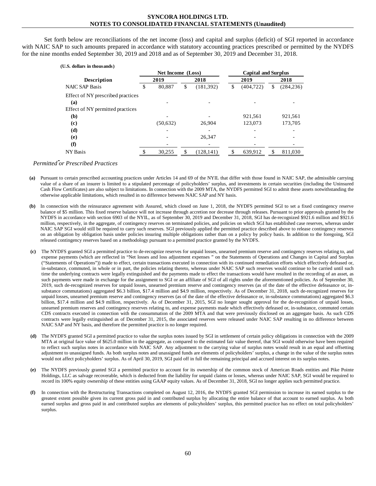Set forth below are reconciliations of the net income (loss) and capital and surplus (deficit) of SGI reported in accordance with NAIC SAP to such amounts prepared in accordance with statutory accounting practices prescribed or permitted by the NYDFS for the nine months ended September 30, 2019 and 2018 and as of September 30, 2019 and December 31, 2018.

| (U.S. dollars in thousands)              |                   |           |      |                            |      |            |      |            |
|------------------------------------------|-------------------|-----------|------|----------------------------|------|------------|------|------------|
|                                          | Net Income (Loss) |           |      | <b>Capital and Surplus</b> |      |            |      |            |
| <b>Description</b>                       | 2019              |           | 2018 |                            | 2019 |            | 2018 |            |
| <b>NAIC SAP Basis</b>                    | \$                | 80.887    | \$   | (181,392)                  | \$   | (404, 722) | S    | (284, 236) |
| Effect of NY prescribed practices<br>(a) |                   |           |      |                            |      |            |      |            |
| Effect of NY permitted practices         |                   |           |      |                            |      |            |      |            |
| (b)                                      |                   |           |      |                            |      | 921,561    |      | 921,561    |
| (c)                                      |                   | (50, 632) |      | 26,904                     |      | 123,073    |      | 173.705    |
| (d)                                      |                   |           |      |                            |      |            |      |            |
| (e)                                      |                   |           |      | 26,347                     |      |            |      |            |
| (f)                                      |                   |           |      |                            |      |            |      |            |
| <b>NY</b> Basis                          |                   | 30,255    | \$   | (128, 141)                 |      | 639,912    |      | 811,030    |

*Permitted or Prescribed Practices*

- **(a)** Pursuant to certain prescribed accounting practices under Articles 14 and 69 of the NYIL that differ with those found in NAIC SAP, the admissible carrying value of a share of an insurer is limited to a stipulated percentage of policyholders' surplus, and investments in certain securities (including the Uninsured Cash Flow Certificates) are also subject to limitations. In connection with the 2009 MTA, the NYDFS permitted SGI to admit these assets notwithstanding the otherwise applicable limitations, which resulted in no difference between NAIC SAP and NY basis.
- **(b)** In connection with the reinsurance agreement with Assured, which closed on June 1, 2018, the NYDFS permitted SGI to set a fixed contingency reserve balance of \$5 million. This fixed reserve balance will not increase through accretion nor decrease through releases. Pursuant to prior approvals granted by the NYDFS in accordance with section 6903 of the NYIL, as of September 30, 2019 and December 31, 2018, SGI has de-recognized \$921.6 million and \$921.6 million, respectively, in the aggregate, of contingency reserves on terminated policies, and policies on which SGI has established case reserves, whereas under NAIC SAP SGI would still be required to carry such reserves. SGI previously applied the permitted practice described above to release contingency reserves on an obligation by obligation basis under policies insuring multiple obligations rather than on a policy by policy basis. In addition to the foregoing, SGI released contingency reserves based on a methodology pursuant to a permitted practice granted by the NYDFS.
- **(c)** The NYDFS granted SGI a permitted practice to de-recognize reserves for unpaid losses, unearned premium reserve and contingency reserves relating to, and expense payments (which are reflected in "Net losses and loss adjustment expenses " on the Statements of Operations and Changes in Capital and Surplus ("Statements of Operations")) made to effect, certain transactions executed in connection with its continued remediation efforts which effectively defeased or, in-substance, commuted, in whole or in part, the policies relating thereto, whereas under NAIC SAP such reserves would continue to be carried until such time the underlying contracts were legally extinguished and the payments made to effect the transactions would have resulted in the recording of an asset, as such payments were made in exchange for the assignment to SGI or an affiliate of SGI of all rights under the aforementioned policies. As of September 30, 2019, such de-recognized reserves for unpaid losses, unearned premium reserve and contingency reserves (as of the date of the effective defeasance or, insubstance commutations) aggregated \$6.3 billion, \$17.4 million and \$4.9 million, respectively. As of December 31, 2018, such de-recognized reserves for unpaid losses, unearned premium reserve and contingency reserves (as of the date of the effective defeasance or, in-substance commutations) aggregated \$6.3 billion, \$17.4 million and \$4.9 million, respectively. As of December 31, 2015, SGI no longer sought approval for the de-recognition of unpaid losses, unearned premium reserves and contingency reserves relating to, and expense payments made which effectively defeased or, in-substance, commuted certain CDS contracts executed in connection with the consummation of the 2009 MTA and that were previously disclosed on an aggregate basis. As such CDS contracts were legally extinguished as of December 31, 2015, the associated reserves were released under NAIC SAP resulting in no difference between NAIC SAP and NY basis, and therefore the permitted practice is no longer required.
- **(d)** The NYDFS granted SGI a permitted practice to value the surplus notes issued by SGI in settlement of certain policy obligations in connection with the 2009 MTA at original face value of \$625.0 million in the aggregate, as compared to the estimated fair value thereof, that SGI would otherwise have been required to reflect such surplus notes in accordance with NAIC SAP. Any adjustment to the carrying value of surplus notes would result in an equal and offsetting adjustment to unassigned funds. As both surplus notes and unassigned funds are elements of policyholders' surplus, a change in the value of the surplus notes would not affect policyholders' surplus. As of April 30, 2019, SGI paid off in full the remaining principal and accrued interest on its surplus notes.
- **(e)** The NYDFS previously granted SGI a permitted practice to account for its ownership of the common stock of American Roads entities and Pike Pointe Holdings, LLC as salvage recoverable, which is deducted from the liability for unpaid claims or losses, whereas under NAIC SAP, SGI would be required to record its 100% equity ownership of these entities using GAAP equity values. As of December 31, 2018, SGI no longer applies such permitted practice.
- **(f)** In connection with the Restructuring Transactions completed on August 12, 2016, the NYDFS granted SGI permission to increase its earned surplus to the greatest extent possible given its current gross paid in and contributed surplus by allocating the entire balance of that account to earned surplus. As both earned surplus and gross paid in and contributed surplus are elements of policyholders' surplus, this permitted practice has no effect on total policyholders' surplus.